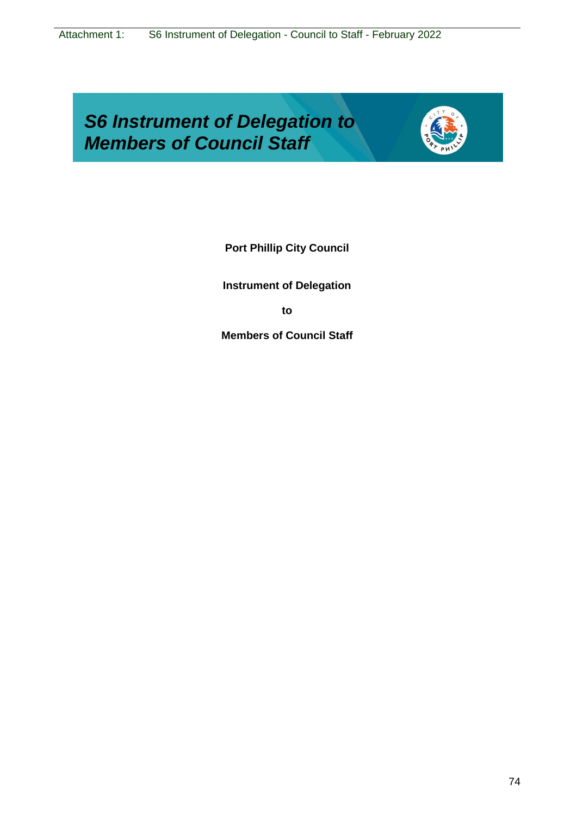# *S6 Instrument of Delegation to Members of Council Staff*



**Port Phillip City Council**

**Instrument of Delegation**

**to**

**Members of Council Staff**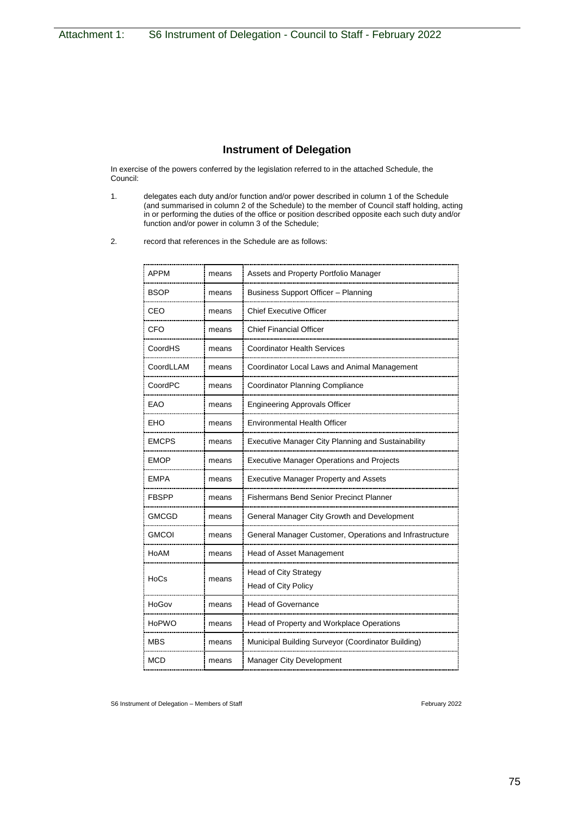## **Instrument of Delegation**

In exercise of the powers conferred by the legislation referred to in the attached Schedule, the Council:

- 1. delegates each duty and/or function and/or power described in column 1 of the Schedule (and summarised in column 2 of the Schedule) to the member of Council staff holding, acting in or performing the duties of the office or position described opposite each such duty and/or function and/or power in column 3 of the Schedule;
- 2. record that references in the Schedule are as follows:

| <b>APPM</b>  | means | Assets and Property Portfolio Manager                     |
|--------------|-------|-----------------------------------------------------------|
| <b>BSOP</b>  | means | Business Support Officer - Planning                       |
| CEO          | means | <b>Chief Executive Officer</b>                            |
| CFO          | means | <b>Chief Financial Officer</b>                            |
| CoordHS      | means | <b>Coordinator Health Services</b>                        |
| CoordLLAM    | means | Coordinator Local Laws and Animal Management              |
| CoordPC      | means | Coordinator Planning Compliance                           |
| EAO          | means | <b>Engineering Approvals Officer</b>                      |
| EHO          | means | <b>Environmental Health Officer</b>                       |
| <b>EMCPS</b> | means | <b>Executive Manager City Planning and Sustainability</b> |
| <b>EMOP</b>  | means | <b>Executive Manager Operations and Projects</b>          |
| <b>EMPA</b>  | means | <b>Executive Manager Property and Assets</b>              |
| FBSPP        | means | <b>Fishermans Bend Senior Precinct Planner</b>            |
| <b>GMCGD</b> | means | General Manager City Growth and Development               |
| <b>GMCOI</b> | means | General Manager Customer, Operations and Infrastructure   |
| HoAM         | means | <b>Head of Asset Management</b>                           |
| HoCs         | means | Head of City Strategy<br>Head of City Policy              |
| HoGov        | means | <b>Head of Governance</b>                                 |
| <b>HoPWO</b> |       | Head of Property and Workplace Operations                 |
|              | means |                                                           |
| MBS          | means | Municipal Building Surveyor (Coordinator Building)        |
| MCD          | means | <b>Manager City Development</b>                           |
|              |       |                                                           |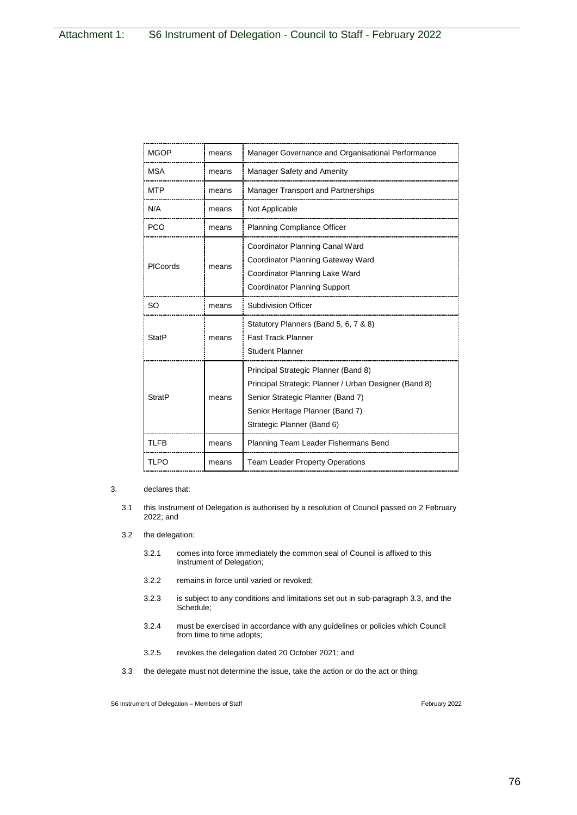| <b>MGOP</b>   | means | Manager Governance and Organisational Performance                                                                                                                                                    |
|---------------|-------|------------------------------------------------------------------------------------------------------------------------------------------------------------------------------------------------------|
| <b>MSA</b>    | means | Manager Safety and Amenity                                                                                                                                                                           |
| <b>MTP</b>    | means | Manager Transport and Partnerships                                                                                                                                                                   |
| N/A           | means | Not Applicable                                                                                                                                                                                       |
| <b>PCO</b>    | means | <b>Planning Compliance Officer</b>                                                                                                                                                                   |
| PICoords      | means | Coordinator Planning Canal Ward<br>Coordinator Planning Gateway Ward<br>Coordinator Planning Lake Ward<br><b>Coordinator Planning Support</b>                                                        |
| <b>SO</b>     | means | <b>Subdivision Officer</b>                                                                                                                                                                           |
| <b>StatP</b>  | means | Statutory Planners (Band 5, 6, 7 & 8)<br><b>Fast Track Planner</b><br><b>Student Planner</b>                                                                                                         |
| <b>StratP</b> | means | Principal Strategic Planner (Band 8)<br>Principal Strategic Planner / Urban Designer (Band 8)<br>Senior Strategic Planner (Band 7)<br>Senior Heritage Planner (Band 7)<br>Strategic Planner (Band 6) |
| TLFB          | means | Planning Team Leader Fishermans Bend                                                                                                                                                                 |
| <b>TLPO</b>   | means | <b>Team Leader Property Operations</b>                                                                                                                                                               |

### 3. declares that:

- 3.1 this Instrument of Delegation is authorised by a resolution of Council passed on 2 February 2022; and
- 3.2 the delegation:
	- 3.2.1 comes into force immediately the common seal of Council is affixed to this Instrument of Delegation;
	- 3.2.2 remains in force until varied or revoked;
	- 3.2.3 is subject to any conditions and limitations set out in sub-paragraph 3.3, and the Schedule;
	- 3.2.4 must be exercised in accordance with any guidelines or policies which Council from time to time adopts;
	- 3.2.5 revokes the delegation dated 20 October 2021; and
- 3.3 the delegate must not determine the issue, take the action or do the act or thing: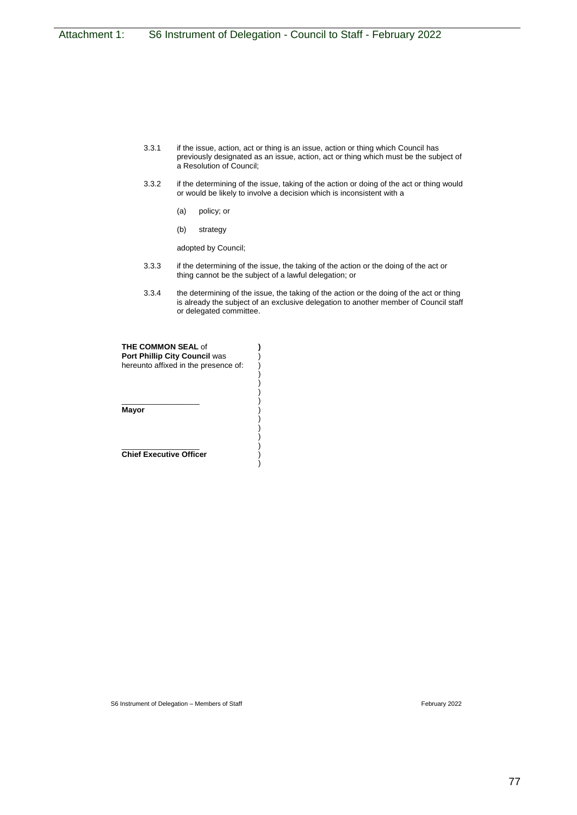- 3.3.1 if the issue, action, act or thing is an issue, action or thing which Council has previously designated as an issue, action, act or thing which must be the subject of a Resolution of Council;
- 3.3.2 if the determining of the issue, taking of the action or doing of the act or thing would or would be likely to involve a decision which is inconsistent with a
	- (a) policy; or
	- (b) strategy

adopted by Council;

- 3.3.3 if the determining of the issue, the taking of the action or the doing of the act or thing cannot be the subject of a lawful delegation; or
- 3.3.4 the determining of the issue, the taking of the action or the doing of the act or thing is already the subject of an exclusive delegation to another member of Council staff or delegated committee.

| <b>THE COMMON SEAL of</b><br><b>Port Phillip City Council was</b> |  |  |  |
|-------------------------------------------------------------------|--|--|--|
| hereunto affixed in the presence of:                              |  |  |  |
|                                                                   |  |  |  |
|                                                                   |  |  |  |
| Mayor                                                             |  |  |  |
|                                                                   |  |  |  |
|                                                                   |  |  |  |
| <b>Chief Executive Officer</b>                                    |  |  |  |
|                                                                   |  |  |  |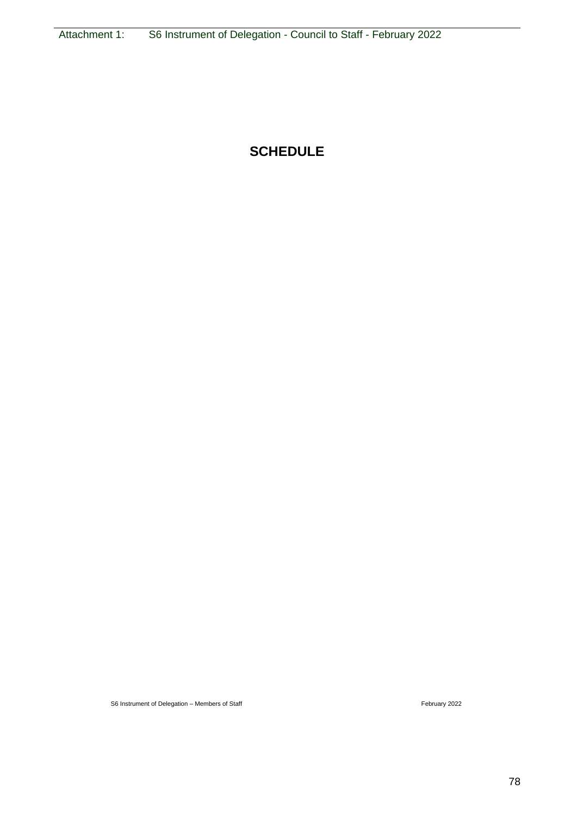## **SCHEDULE**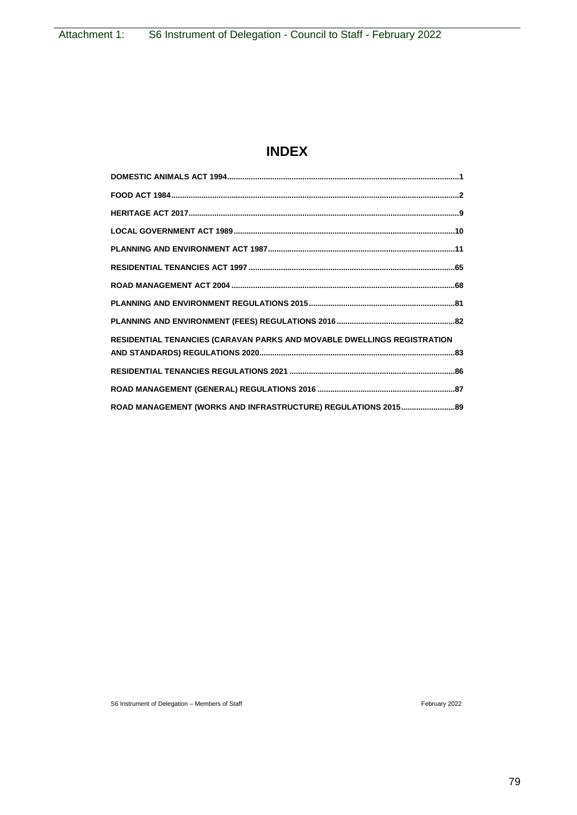## **INDEX**

| RESIDENTIAL TENANCIES (CARAVAN PARKS AND MOVABLE DWELLINGS REGISTRATION |
|-------------------------------------------------------------------------|
|                                                                         |
|                                                                         |
|                                                                         |
|                                                                         |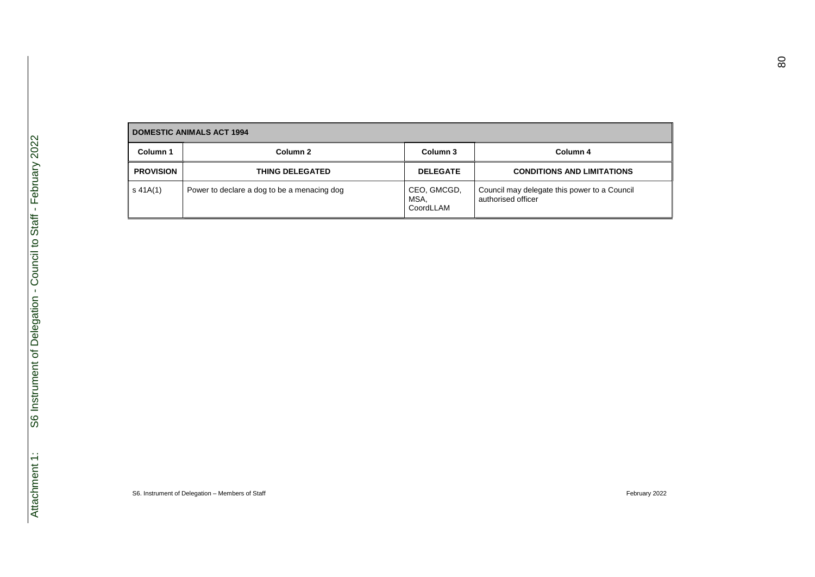| <b>DOMESTIC ANIMALS ACT 1994</b> |                                             |                                  |                                                                    |
|----------------------------------|---------------------------------------------|----------------------------------|--------------------------------------------------------------------|
| Column 1                         | Column 2                                    | Column 3                         | Column 4                                                           |
| <b>PROVISION</b>                 | THING DELEGATED                             | <b>DELEGATE</b>                  | <b>CONDITIONS AND LIMITATIONS</b>                                  |
| s 41A(1)                         | Power to declare a dog to be a menacing dog | CEO, GMCGD,<br>MSA,<br>CoordLLAM | Council may delegate this power to a Council<br>authorised officer |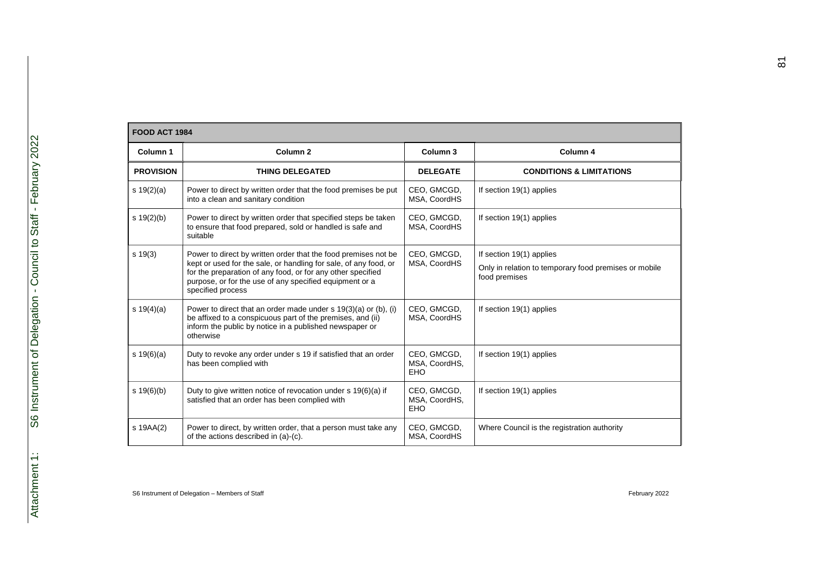|                  | <b>FOOD ACT 1984</b>                                                                                                                                                                                                                                                              |                                            |                                                                                                    |  |  |
|------------------|-----------------------------------------------------------------------------------------------------------------------------------------------------------------------------------------------------------------------------------------------------------------------------------|--------------------------------------------|----------------------------------------------------------------------------------------------------|--|--|
| Column 1         | Column <sub>2</sub>                                                                                                                                                                                                                                                               | Column <sub>3</sub>                        | Column 4                                                                                           |  |  |
| <b>PROVISION</b> | <b>THING DELEGATED</b>                                                                                                                                                                                                                                                            | <b>DELEGATE</b>                            | <b>CONDITIONS &amp; LIMITATIONS</b>                                                                |  |  |
| s $19(2)(a)$     | Power to direct by written order that the food premises be put<br>into a clean and sanitary condition                                                                                                                                                                             | CEO, GMCGD,<br>MSA, CoordHS                | If section 19(1) applies                                                                           |  |  |
| s 19(2)(b)       | Power to direct by written order that specified steps be taken<br>to ensure that food prepared, sold or handled is safe and<br>suitable                                                                                                                                           | CEO, GMCGD,<br>MSA, CoordHS                | If section 19(1) applies                                                                           |  |  |
| $s \ 19(3)$      | Power to direct by written order that the food premises not be<br>kept or used for the sale, or handling for sale, of any food, or<br>for the preparation of any food, or for any other specified<br>purpose, or for the use of any specified equipment or a<br>specified process | CEO, GMCGD,<br>MSA, CoordHS                | If section 19(1) applies<br>Only in relation to temporary food premises or mobile<br>food premises |  |  |
| s $19(4)(a)$     | Power to direct that an order made under s 19(3)(a) or (b), (i)<br>be affixed to a conspicuous part of the premises, and (ii)<br>inform the public by notice in a published newspaper or<br>otherwise                                                                             | CEO, GMCGD,<br>MSA, CoordHS                | If section 19(1) applies                                                                           |  |  |
| $s \ 19(6)(a)$   | Duty to revoke any order under s 19 if satisfied that an order<br>has been complied with                                                                                                                                                                                          | CEO, GMCGD,<br>MSA, CoordHS,<br><b>EHO</b> | If section 19(1) applies                                                                           |  |  |
| s 19(6)(b)       | Duty to give written notice of revocation under s 19(6)(a) if<br>satisfied that an order has been complied with                                                                                                                                                                   | CEO, GMCGD,<br>MSA, CoordHS,<br><b>EHO</b> | If section 19(1) applies                                                                           |  |  |
| s 19AA(2)        | Power to direct, by written order, that a person must take any<br>of the actions described in (a)-(c).                                                                                                                                                                            | CEO, GMCGD,<br>MSA, CoordHS                | Where Council is the registration authority                                                        |  |  |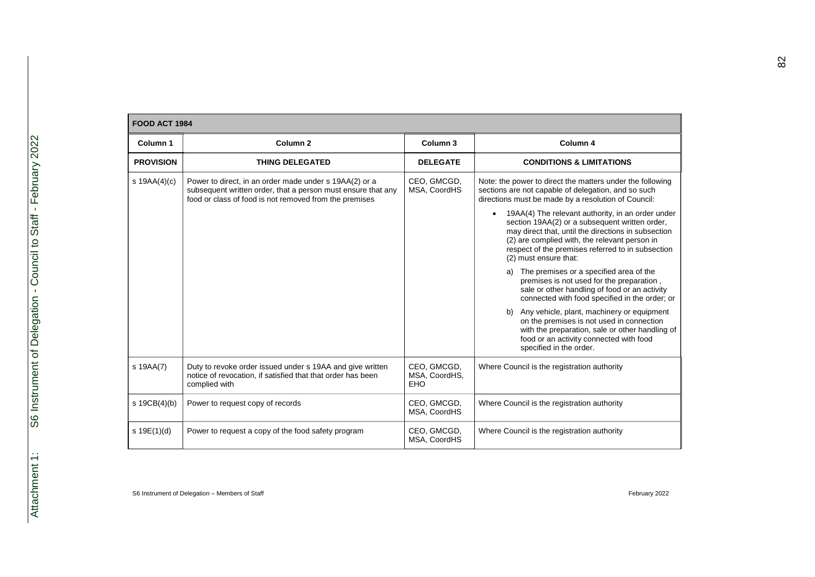|                  | <b>FOOD ACT 1984</b>                                                                                                                                                             |                                     |                                                                                                                                                                                                                                                                                                                                                                                                                                                                                                                                                                                                                                                                                                                                                                                                                                                                                              |  |  |
|------------------|----------------------------------------------------------------------------------------------------------------------------------------------------------------------------------|-------------------------------------|----------------------------------------------------------------------------------------------------------------------------------------------------------------------------------------------------------------------------------------------------------------------------------------------------------------------------------------------------------------------------------------------------------------------------------------------------------------------------------------------------------------------------------------------------------------------------------------------------------------------------------------------------------------------------------------------------------------------------------------------------------------------------------------------------------------------------------------------------------------------------------------------|--|--|
| Column 1         | Column <sub>2</sub>                                                                                                                                                              | Column <sub>3</sub>                 | Column 4                                                                                                                                                                                                                                                                                                                                                                                                                                                                                                                                                                                                                                                                                                                                                                                                                                                                                     |  |  |
| <b>PROVISION</b> | <b>THING DELEGATED</b>                                                                                                                                                           | <b>DELEGATE</b>                     | <b>CONDITIONS &amp; LIMITATIONS</b>                                                                                                                                                                                                                                                                                                                                                                                                                                                                                                                                                                                                                                                                                                                                                                                                                                                          |  |  |
| s $19AA(4)(c)$   | Power to direct, in an order made under s 19AA(2) or a<br>subsequent written order, that a person must ensure that any<br>food or class of food is not removed from the premises | CEO, GMCGD,<br>MSA, CoordHS         | Note: the power to direct the matters under the following<br>sections are not capable of delegation, and so such<br>directions must be made by a resolution of Council:<br>19AA(4) The relevant authority, in an order under<br>section 19AA(2) or a subsequent written order,<br>may direct that, until the directions in subsection<br>(2) are complied with, the relevant person in<br>respect of the premises referred to in subsection<br>(2) must ensure that:<br>The premises or a specified area of the<br>a)<br>premises is not used for the preparation,<br>sale or other handling of food or an activity<br>connected with food specified in the order; or<br>b) Any vehicle, plant, machinery or equipment<br>on the premises is not used in connection<br>with the preparation, sale or other handling of<br>food or an activity connected with food<br>specified in the order. |  |  |
| s 19AA(7)        | Duty to revoke order issued under s 19AA and give written<br>notice of revocation, if satisfied that that order has been<br>complied with                                        | CEO, GMCGD,<br>MSA, CoordHS,<br>EHO | Where Council is the registration authority                                                                                                                                                                                                                                                                                                                                                                                                                                                                                                                                                                                                                                                                                                                                                                                                                                                  |  |  |
| s 19CB(4)(b)     | Power to request copy of records                                                                                                                                                 | CEO, GMCGD,<br>MSA, CoordHS         | Where Council is the registration authority                                                                                                                                                                                                                                                                                                                                                                                                                                                                                                                                                                                                                                                                                                                                                                                                                                                  |  |  |
| s 19E(1)(d)      | Power to request a copy of the food safety program                                                                                                                               | CEO, GMCGD,<br>MSA, CoordHS         | Where Council is the registration authority                                                                                                                                                                                                                                                                                                                                                                                                                                                                                                                                                                                                                                                                                                                                                                                                                                                  |  |  |
|                  |                                                                                                                                                                                  |                                     |                                                                                                                                                                                                                                                                                                                                                                                                                                                                                                                                                                                                                                                                                                                                                                                                                                                                                              |  |  |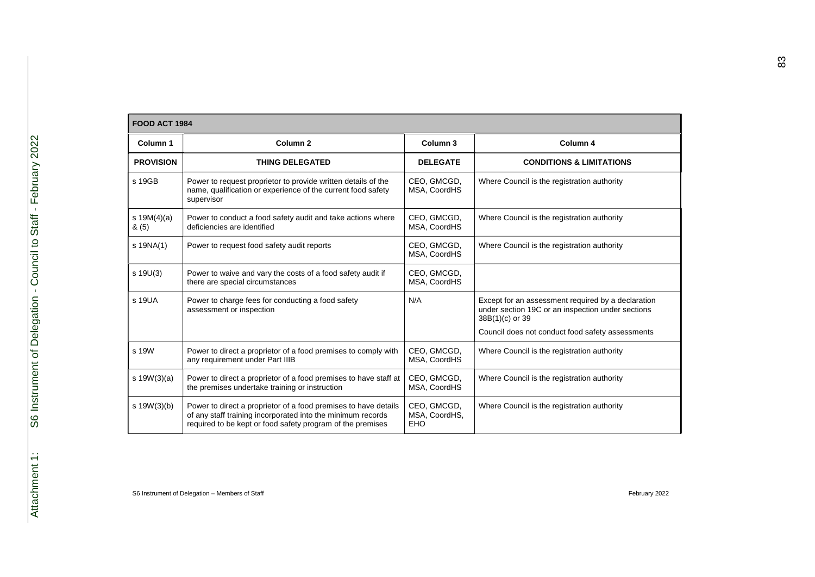|                          | <b>FOOD ACT 1984</b>                                                                                                                                                                         |                                     |                                                                                                                            |  |  |
|--------------------------|----------------------------------------------------------------------------------------------------------------------------------------------------------------------------------------------|-------------------------------------|----------------------------------------------------------------------------------------------------------------------------|--|--|
| Column 1                 | Column <sub>2</sub>                                                                                                                                                                          | Column <sub>3</sub>                 | Column 4                                                                                                                   |  |  |
| <b>PROVISION</b>         | <b>THING DELEGATED</b>                                                                                                                                                                       | <b>DELEGATE</b>                     | <b>CONDITIONS &amp; LIMITATIONS</b>                                                                                        |  |  |
| s 19GB                   | Power to request proprietor to provide written details of the<br>name, qualification or experience of the current food safety<br>supervisor                                                  | CEO, GMCGD,<br>MSA, CoordHS         | Where Council is the registration authority                                                                                |  |  |
| s $19M(4)(a)$<br>$\&(5)$ | Power to conduct a food safety audit and take actions where<br>deficiencies are identified                                                                                                   | CEO, GMCGD,<br>MSA, CoordHS         | Where Council is the registration authority                                                                                |  |  |
| $s$ 19NA(1)              | Power to request food safety audit reports                                                                                                                                                   | CEO, GMCGD,<br>MSA, CoordHS         | Where Council is the registration authority                                                                                |  |  |
| $s$ 19U(3)               | Power to waive and vary the costs of a food safety audit if<br>there are special circumstances                                                                                               | CEO, GMCGD,<br>MSA, CoordHS         |                                                                                                                            |  |  |
| s 19UA                   | Power to charge fees for conducting a food safety<br>assessment or inspection                                                                                                                | N/A                                 | Except for an assessment required by a declaration<br>under section 19C or an inspection under sections<br>38B(1)(c) or 39 |  |  |
|                          |                                                                                                                                                                                              |                                     | Council does not conduct food safety assessments                                                                           |  |  |
| s 19W                    | Power to direct a proprietor of a food premises to comply with<br>any requirement under Part IIIB                                                                                            | CEO, GMCGD,<br>MSA, CoordHS         | Where Council is the registration authority                                                                                |  |  |
| s $19W(3)(a)$            | Power to direct a proprietor of a food premises to have staff at<br>the premises undertake training or instruction                                                                           | CEO, GMCGD,<br>MSA, CoordHS         | Where Council is the registration authority                                                                                |  |  |
| s.19W(3)(b)              | Power to direct a proprietor of a food premises to have details<br>of any staff training incorporated into the minimum records<br>required to be kept or food safety program of the premises | CEO, GMCGD,<br>MSA, CoordHS,<br>EHO | Where Council is the registration authority                                                                                |  |  |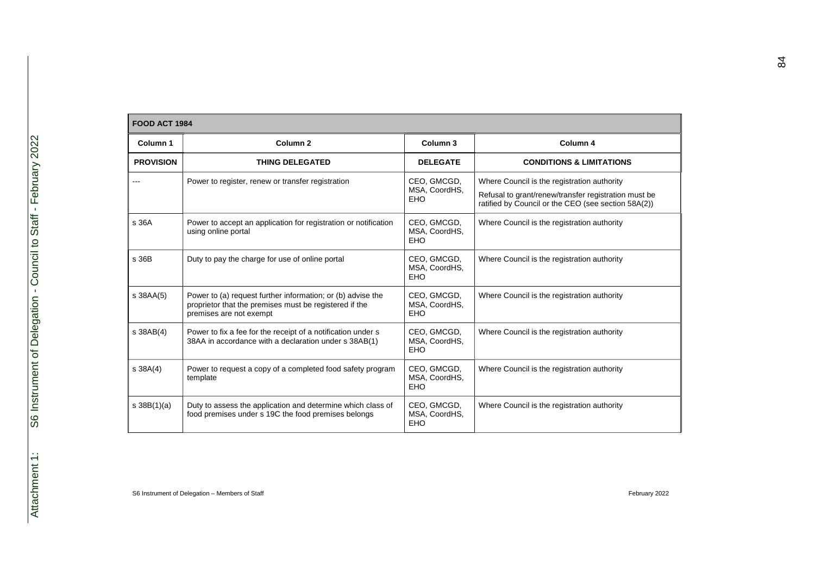| <b>FOOD ACT 1984</b> |                                                                                                                                                  |                                            |                                                                                                                                                            |
|----------------------|--------------------------------------------------------------------------------------------------------------------------------------------------|--------------------------------------------|------------------------------------------------------------------------------------------------------------------------------------------------------------|
| Column <sub>1</sub>  | Column <sub>2</sub>                                                                                                                              | Column <sub>3</sub>                        | Column 4                                                                                                                                                   |
| <b>PROVISION</b>     | <b>THING DELEGATED</b>                                                                                                                           | <b>DELEGATE</b>                            | <b>CONDITIONS &amp; LIMITATIONS</b>                                                                                                                        |
|                      | Power to register, renew or transfer registration                                                                                                | CEO, GMCGD,<br>MSA, CoordHS,<br><b>EHO</b> | Where Council is the registration authority<br>Refusal to grant/renew/transfer registration must be<br>ratified by Council or the CEO (see section 58A(2)) |
| s 36A                | Power to accept an application for registration or notification<br>using online portal                                                           | CEO, GMCGD,<br>MSA, CoordHS,<br><b>EHO</b> | Where Council is the registration authority                                                                                                                |
| s 36B                | Duty to pay the charge for use of online portal                                                                                                  | CEO, GMCGD,<br>MSA, CoordHS,<br><b>EHO</b> | Where Council is the registration authority                                                                                                                |
| s 38AA(5)            | Power to (a) request further information; or (b) advise the<br>proprietor that the premises must be registered if the<br>premises are not exempt | CEO, GMCGD,<br>MSA, CoordHS,<br>EHO        | Where Council is the registration authority                                                                                                                |
| s 38AB(4)            | Power to fix a fee for the receipt of a notification under s<br>38AA in accordance with a declaration under s 38AB(1)                            | CEO, GMCGD,<br>MSA, CoordHS,<br><b>EHO</b> | Where Council is the registration authority                                                                                                                |
| \$38A(4)             | Power to request a copy of a completed food safety program<br>template                                                                           | CEO, GMCGD,<br>MSA, CoordHS,<br><b>EHO</b> | Where Council is the registration authority                                                                                                                |
| s 38B(1)(a)          | Duty to assess the application and determine which class of<br>food premises under s 19C the food premises belongs                               | CEO, GMCGD,<br>MSA, CoordHS,<br>EHO        | Where Council is the registration authority                                                                                                                |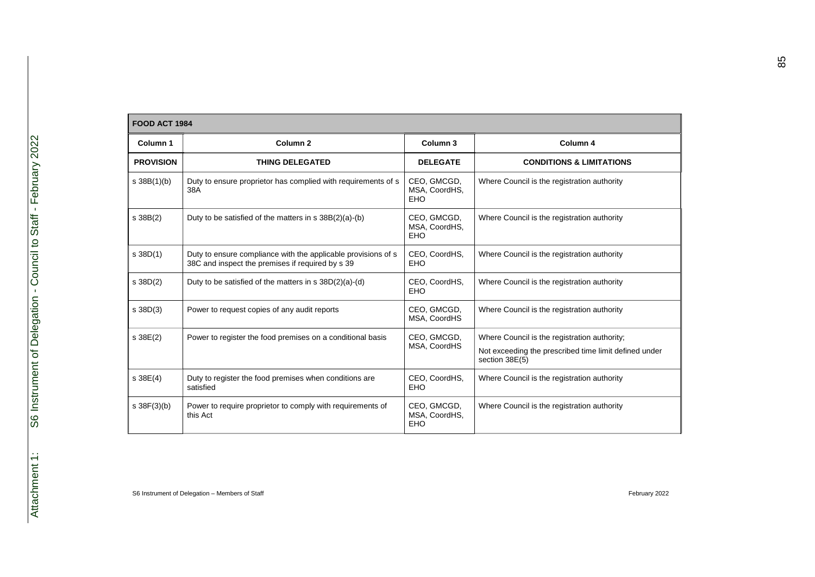|                  | <b>FOOD ACT 1984</b>                                                                                              |                                            |                                                                                                                         |  |  |
|------------------|-------------------------------------------------------------------------------------------------------------------|--------------------------------------------|-------------------------------------------------------------------------------------------------------------------------|--|--|
| Column 1         | Column <sub>2</sub>                                                                                               | Column <sub>3</sub>                        | Column 4                                                                                                                |  |  |
| <b>PROVISION</b> | <b>THING DELEGATED</b>                                                                                            | <b>DELEGATE</b>                            | <b>CONDITIONS &amp; LIMITATIONS</b>                                                                                     |  |  |
| $s \, 38B(1)(b)$ | Duty to ensure proprietor has complied with requirements of s<br>38A                                              | CEO, GMCGD,<br>MSA, CoordHS,<br><b>EHO</b> | Where Council is the registration authority                                                                             |  |  |
| s 38B(2)         | Duty to be satisfied of the matters in s 38B(2)(a)-(b)                                                            | CEO, GMCGD,<br>MSA, CoordHS,<br><b>EHO</b> | Where Council is the registration authority                                                                             |  |  |
| $s$ 38D $(1)$    | Duty to ensure compliance with the applicable provisions of s<br>38C and inspect the premises if required by s 39 | CEO, CoordHS,<br>EHO                       | Where Council is the registration authority                                                                             |  |  |
| $s$ 38D(2)       | Duty to be satisfied of the matters in $s$ 38D(2)(a)-(d)                                                          | CEO, CoordHS,<br>EHO                       | Where Council is the registration authority                                                                             |  |  |
| $s$ 38D(3)       | Power to request copies of any audit reports                                                                      | CEO, GMCGD,<br>MSA, CoordHS                | Where Council is the registration authority                                                                             |  |  |
| s 38E(2)         | Power to register the food premises on a conditional basis                                                        | CEO, GMCGD,<br>MSA, CoordHS                | Where Council is the registration authority;<br>Not exceeding the prescribed time limit defined under<br>section 38E(5) |  |  |
| \$38E(4)         | Duty to register the food premises when conditions are.<br>satisfied                                              | CEO, CoordHS,<br><b>EHO</b>                | Where Council is the registration authority                                                                             |  |  |
| $s \, 38F(3)(b)$ | Power to require proprietor to comply with requirements of<br>this Act                                            | CEO, GMCGD,<br>MSA, CoordHS,<br>EHO        | Where Council is the registration authority                                                                             |  |  |

85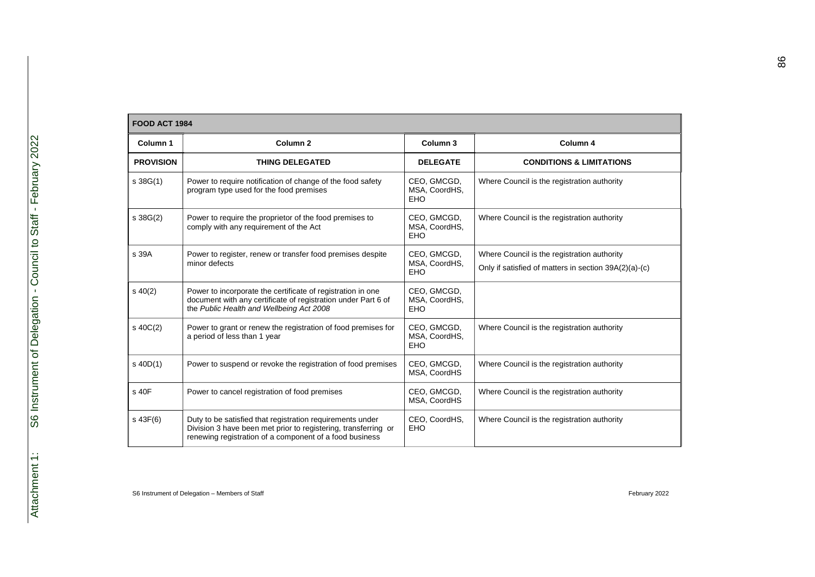|                  | <b>FOOD ACT 1984</b>                                                                                                                                                                   |                                            |                                                                                                      |  |  |
|------------------|----------------------------------------------------------------------------------------------------------------------------------------------------------------------------------------|--------------------------------------------|------------------------------------------------------------------------------------------------------|--|--|
| Column 1         | Column <sub>2</sub>                                                                                                                                                                    | Column <sub>3</sub>                        | Column 4                                                                                             |  |  |
| <b>PROVISION</b> | <b>THING DELEGATED</b>                                                                                                                                                                 | <b>DELEGATE</b>                            | <b>CONDITIONS &amp; LIMITATIONS</b>                                                                  |  |  |
| $s \, 38G(1)$    | Power to require notification of change of the food safety<br>program type used for the food premises                                                                                  | CEO, GMCGD,<br>MSA, CoordHS,<br><b>EHO</b> | Where Council is the registration authority                                                          |  |  |
| $s \, 38G(2)$    | Power to require the proprietor of the food premises to<br>comply with any requirement of the Act                                                                                      | CEO, GMCGD,<br>MSA, CoordHS,<br>EHO.       | Where Council is the registration authority                                                          |  |  |
| s 39A            | Power to register, renew or transfer food premises despite<br>minor defects                                                                                                            | CEO, GMCGD,<br>MSA, CoordHS,<br><b>EHO</b> | Where Council is the registration authority<br>Only if satisfied of matters in section 39A(2)(a)-(c) |  |  |
| $s\ 40(2)$       | Power to incorporate the certificate of registration in one<br>document with any certificate of registration under Part 6 of<br>the Public Health and Wellbeing Act 2008               | CEO, GMCGD,<br>MSA, CoordHS,<br><b>EHO</b> |                                                                                                      |  |  |
| \$40C(2)         | Power to grant or renew the registration of food premises for<br>a period of less than 1 year                                                                                          | CEO, GMCGD,<br>MSA, CoordHS,<br><b>EHO</b> | Where Council is the registration authority                                                          |  |  |
| $s$ 40D(1)       | Power to suspend or revoke the registration of food premises                                                                                                                           | CEO, GMCGD,<br>MSA, CoordHS                | Where Council is the registration authority                                                          |  |  |
| s 40F            | Power to cancel registration of food premises                                                                                                                                          | CEO, GMCGD,<br>MSA, CoordHS                | Where Council is the registration authority                                                          |  |  |
| $s$ 43 $F(6)$    | Duty to be satisfied that registration requirements under<br>Division 3 have been met prior to registering, transferring or<br>renewing registration of a component of a food business | CEO, CoordHS,<br><b>EHO</b>                | Where Council is the registration authority                                                          |  |  |

86

 $\overline{\phantom{0}}$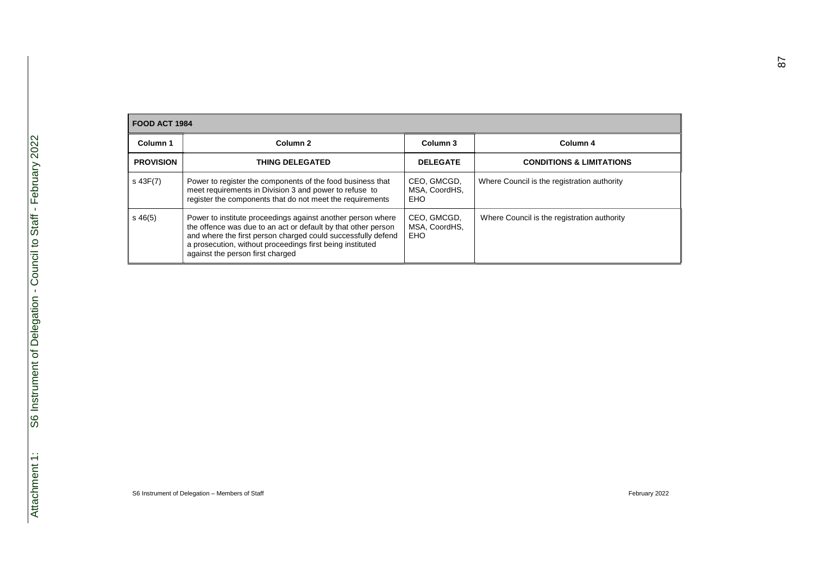| FOOD ACT 1984    |                                                                                                                                                                                                                                                                                               |                                            |                                             |  |
|------------------|-----------------------------------------------------------------------------------------------------------------------------------------------------------------------------------------------------------------------------------------------------------------------------------------------|--------------------------------------------|---------------------------------------------|--|
| Column 1         | Column <sub>2</sub>                                                                                                                                                                                                                                                                           | Column 3                                   | Column 4                                    |  |
| <b>PROVISION</b> | <b>THING DELEGATED</b>                                                                                                                                                                                                                                                                        | <b>DELEGATE</b>                            | <b>CONDITIONS &amp; LIMITATIONS</b>         |  |
| s 43F(7)         | Power to register the components of the food business that<br>meet requirements in Division 3 and power to refuse to<br>register the components that do not meet the requirements                                                                                                             | CEO, GMCGD,<br>MSA. CoordHS.<br><b>EHO</b> | Where Council is the registration authority |  |
| $s\,46(5)$       | Power to institute proceedings against another person where<br>the offence was due to an act or default by that other person<br>and where the first person charged could successfully defend<br>a prosecution, without proceedings first being instituted<br>against the person first charged | CEO, GMCGD,<br>MSA. CoordHS.<br><b>EHO</b> | Where Council is the registration authority |  |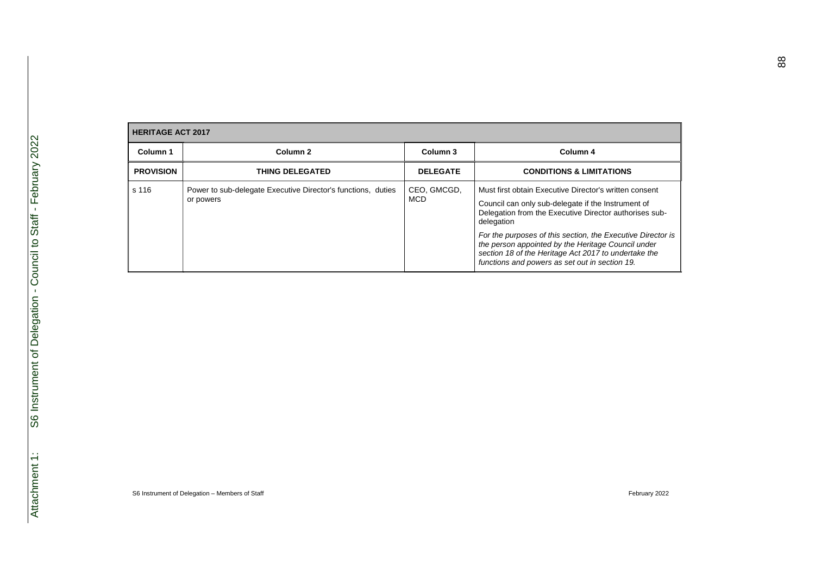| <b>HERITAGE ACT 2017</b> |                                                                           |                           |                                                                                                                                                                                                                                                                                                                                                                                                                     |  |
|--------------------------|---------------------------------------------------------------------------|---------------------------|---------------------------------------------------------------------------------------------------------------------------------------------------------------------------------------------------------------------------------------------------------------------------------------------------------------------------------------------------------------------------------------------------------------------|--|
| Column 1                 | Column <sub>2</sub>                                                       | Column 3                  | Column 4                                                                                                                                                                                                                                                                                                                                                                                                            |  |
| <b>PROVISION</b>         | <b>THING DELEGATED</b>                                                    | <b>DELEGATE</b>           | <b>CONDITIONS &amp; LIMITATIONS</b>                                                                                                                                                                                                                                                                                                                                                                                 |  |
| s 116                    | Power to sub-delegate Executive Director's functions, duties<br>or powers | CEO, GMCGD,<br><b>MCD</b> | Must first obtain Executive Director's written consent<br>Council can only sub-delegate if the Instrument of<br>Delegation from the Executive Director authorises sub-<br>delegation<br>For the purposes of this section, the Executive Director is<br>the person appointed by the Heritage Council under<br>section 18 of the Heritage Act 2017 to undertake the<br>functions and powers as set out in section 19. |  |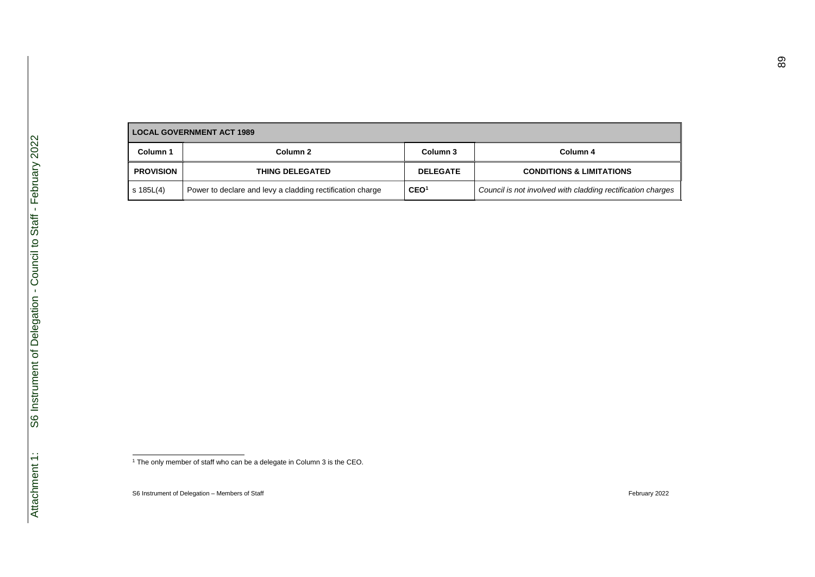| <b>LOCAL GOVERNMENT ACT 1989</b> |                                                           |                  |                                                             |
|----------------------------------|-----------------------------------------------------------|------------------|-------------------------------------------------------------|
| Column 1                         | Column 2                                                  | Column 3         | Column 4                                                    |
| <b>PROVISION</b>                 | <b>THING DELEGATED</b>                                    | <b>DELEGATE</b>  | <b>CONDITIONS &amp; LIMITATIONS</b>                         |
| s 185L(4)                        | Power to declare and levy a cladding rectification charge | CEO <sup>1</sup> | Council is not involved with cladding rectification charges |

1 The only member of staff who can be a delegate in Column 3 is the CEO.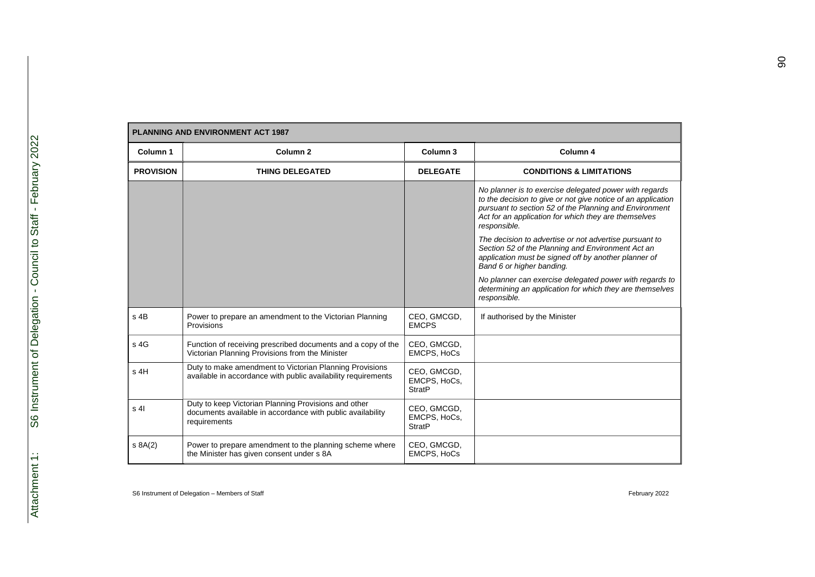| <b>PLANNING AND ENVIRONMENT ACT 1987</b> |                                                                                                                                    |                                              |                                                                                                                                                                                                                                                                                                                                                                                                                                                              |  |
|------------------------------------------|------------------------------------------------------------------------------------------------------------------------------------|----------------------------------------------|--------------------------------------------------------------------------------------------------------------------------------------------------------------------------------------------------------------------------------------------------------------------------------------------------------------------------------------------------------------------------------------------------------------------------------------------------------------|--|
| Column 1                                 | Column <sub>2</sub>                                                                                                                | Column <sub>3</sub>                          | Column 4                                                                                                                                                                                                                                                                                                                                                                                                                                                     |  |
| <b>PROVISION</b>                         | <b>THING DELEGATED</b>                                                                                                             | <b>DELEGATE</b>                              | <b>CONDITIONS &amp; LIMITATIONS</b>                                                                                                                                                                                                                                                                                                                                                                                                                          |  |
|                                          |                                                                                                                                    |                                              | No planner is to exercise delegated power with regards<br>to the decision to give or not give notice of an application<br>pursuant to section 52 of the Planning and Environment<br>Act for an application for which they are themselves<br>responsible.<br>The decision to advertise or not advertise pursuant to<br>Section 52 of the Planning and Environment Act an<br>application must be signed off by another planner of<br>Band 6 or higher banding. |  |
|                                          |                                                                                                                                    |                                              | No planner can exercise delegated power with regards to<br>determining an application for which they are themselves<br>responsible.                                                                                                                                                                                                                                                                                                                          |  |
| $s$ 4B                                   | Power to prepare an amendment to the Victorian Planning<br>Provisions                                                              | CEO, GMCGD,<br><b>EMCPS</b>                  | If authorised by the Minister                                                                                                                                                                                                                                                                                                                                                                                                                                |  |
| s 4G                                     | Function of receiving prescribed documents and a copy of the<br>Victorian Planning Provisions from the Minister                    | CEO, GMCGD,<br><b>EMCPS, HoCs</b>            |                                                                                                                                                                                                                                                                                                                                                                                                                                                              |  |
| s 4H                                     | Duty to make amendment to Victorian Planning Provisions<br>available in accordance with public availability requirements           | CEO, GMCGD,<br>EMCPS, HoCs,<br><b>StratP</b> |                                                                                                                                                                                                                                                                                                                                                                                                                                                              |  |
| s <sub>4</sub>                           | Duty to keep Victorian Planning Provisions and other<br>documents available in accordance with public availability<br>requirements | CEO, GMCGD,<br>EMCPS, HoCs,<br><b>StratP</b> |                                                                                                                                                                                                                                                                                                                                                                                                                                                              |  |
| s 8A(2)                                  | Power to prepare amendment to the planning scheme where<br>the Minister has given consent under s 8A                               | CEO, GMCGD,<br>EMCPS, HoCs                   |                                                                                                                                                                                                                                                                                                                                                                                                                                                              |  |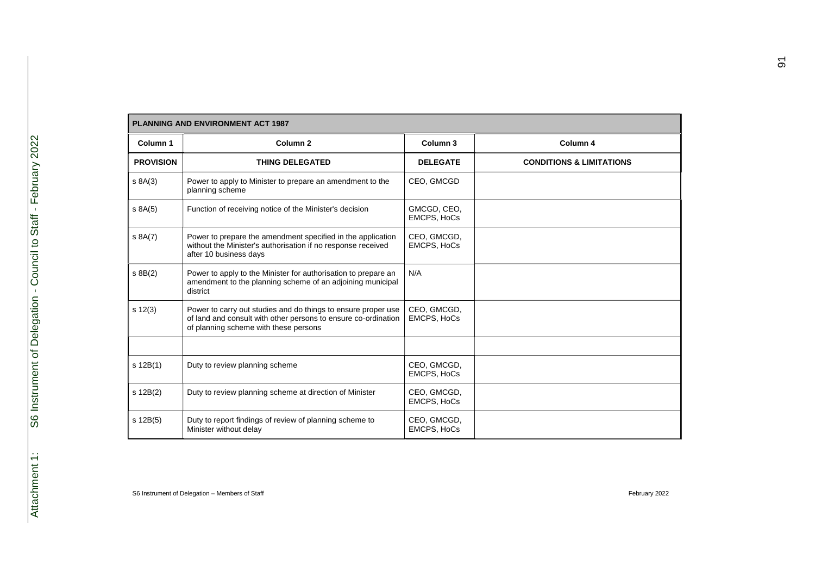| <b>PLANNING AND ENVIRONMENT ACT 1987</b> |                                                                                                                                                                          |                                   |                                     |
|------------------------------------------|--------------------------------------------------------------------------------------------------------------------------------------------------------------------------|-----------------------------------|-------------------------------------|
| Column 1                                 | Column <sub>2</sub>                                                                                                                                                      | Column 3                          | Column 4                            |
| <b>PROVISION</b>                         | <b>THING DELEGATED</b>                                                                                                                                                   | <b>DELEGATE</b>                   | <b>CONDITIONS &amp; LIMITATIONS</b> |
| s 8A(3)                                  | Power to apply to Minister to prepare an amendment to the<br>planning scheme                                                                                             | CEO, GMCGD                        |                                     |
| $s$ 8A $(5)$                             | Function of receiving notice of the Minister's decision                                                                                                                  | GMCGD, CEO,<br><b>EMCPS, HoCs</b> |                                     |
| s 8A(7)                                  | Power to prepare the amendment specified in the application<br>without the Minister's authorisation if no response received<br>after 10 business days                    | CEO, GMCGD,<br><b>EMCPS, HoCs</b> |                                     |
| $s$ 8B $(2)$                             | Power to apply to the Minister for authorisation to prepare an<br>amendment to the planning scheme of an adjoining municipal<br>district                                 | N/A                               |                                     |
| $s \ 12(3)$                              | Power to carry out studies and do things to ensure proper use<br>of land and consult with other persons to ensure co-ordination<br>of planning scheme with these persons | CEO, GMCGD,<br><b>EMCPS, HoCs</b> |                                     |
|                                          |                                                                                                                                                                          |                                   |                                     |
| s 12B(1)                                 | Duty to review planning scheme                                                                                                                                           | CEO, GMCGD,<br><b>EMCPS, HoCs</b> |                                     |
| s 12B(2)                                 | Duty to review planning scheme at direction of Minister                                                                                                                  | CEO, GMCGD,<br><b>EMCPS, HoCs</b> |                                     |
| s 12B(5)                                 | Duty to report findings of review of planning scheme to<br>Minister without delay                                                                                        | CEO, GMCGD,<br><b>EMCPS, HoCs</b> |                                     |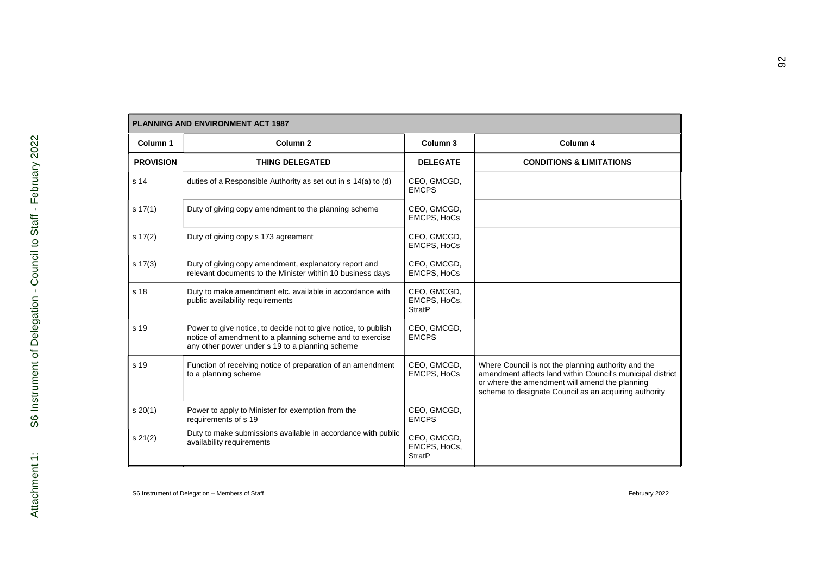|                  | <b>PLANNING AND ENVIRONMENT ACT 1987</b>                                                                                                                                      |                                              |                                                                                                                                                                                                                              |  |
|------------------|-------------------------------------------------------------------------------------------------------------------------------------------------------------------------------|----------------------------------------------|------------------------------------------------------------------------------------------------------------------------------------------------------------------------------------------------------------------------------|--|
| Column 1         | Column <sub>2</sub>                                                                                                                                                           | Column <sub>3</sub>                          | Column 4                                                                                                                                                                                                                     |  |
| <b>PROVISION</b> | <b>THING DELEGATED</b>                                                                                                                                                        | <b>DELEGATE</b>                              | <b>CONDITIONS &amp; LIMITATIONS</b>                                                                                                                                                                                          |  |
| s 14             | duties of a Responsible Authority as set out in s 14(a) to (d)                                                                                                                | CEO, GMCGD,<br><b>EMCPS</b>                  |                                                                                                                                                                                                                              |  |
| $s \, 17(1)$     | Duty of giving copy amendment to the planning scheme                                                                                                                          | CEO, GMCGD,<br><b>EMCPS, HoCs</b>            |                                                                                                                                                                                                                              |  |
| s 17(2)          | Duty of giving copy s 173 agreement                                                                                                                                           | CEO, GMCGD,<br><b>EMCPS, HoCs</b>            |                                                                                                                                                                                                                              |  |
| $s \ 17(3)$      | Duty of giving copy amendment, explanatory report and<br>relevant documents to the Minister within 10 business days                                                           | CEO, GMCGD,<br><b>EMCPS, HoCs</b>            |                                                                                                                                                                                                                              |  |
| s 18             | Duty to make amendment etc. available in accordance with<br>public availability requirements                                                                                  | CEO, GMCGD,<br>EMCPS, HoCs,<br><b>StratP</b> |                                                                                                                                                                                                                              |  |
| s 19             | Power to give notice, to decide not to give notice, to publish<br>notice of amendment to a planning scheme and to exercise<br>any other power under s 19 to a planning scheme | CEO, GMCGD,<br><b>EMCPS</b>                  |                                                                                                                                                                                                                              |  |
| s 19             | Function of receiving notice of preparation of an amendment<br>to a planning scheme                                                                                           | CEO, GMCGD,<br>EMCPS, HoCs                   | Where Council is not the planning authority and the<br>amendment affects land within Council's municipal district<br>or where the amendment will amend the planning<br>scheme to designate Council as an acquiring authority |  |
| s 20(1)          | Power to apply to Minister for exemption from the<br>requirements of s 19                                                                                                     | CEO, GMCGD,<br><b>EMCPS</b>                  |                                                                                                                                                                                                                              |  |
| s 21(2)          | Duty to make submissions available in accordance with public<br>availability requirements                                                                                     | CEO, GMCGD,<br>EMCPS, HoCs,<br><b>StratP</b> |                                                                                                                                                                                                                              |  |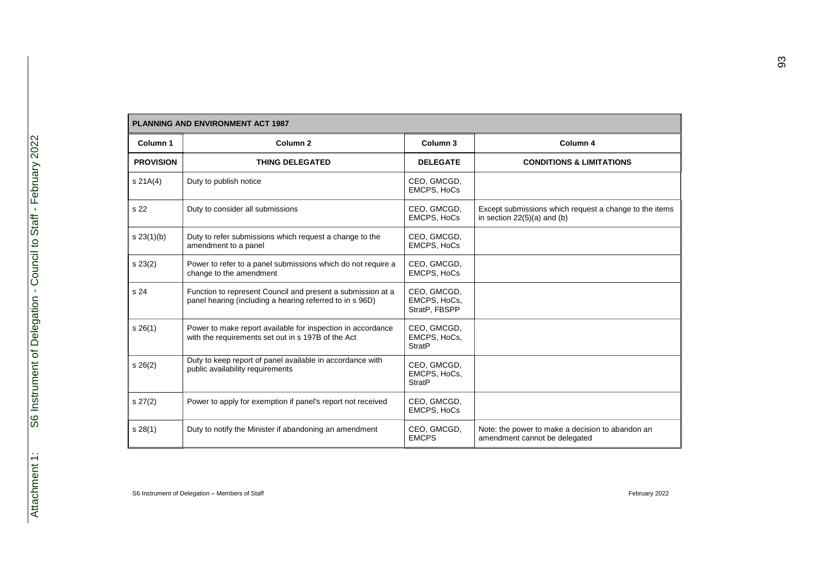|                  | <b>PLANNING AND ENVIRONMENT ACT 1987</b>                                                                                |                                              |                                                                                         |  |
|------------------|-------------------------------------------------------------------------------------------------------------------------|----------------------------------------------|-----------------------------------------------------------------------------------------|--|
| Column 1         | Column <sub>2</sub>                                                                                                     | Column <sub>3</sub>                          | Column 4                                                                                |  |
| <b>PROVISION</b> | <b>THING DELEGATED</b>                                                                                                  | <b>DELEGATE</b>                              | <b>CONDITIONS &amp; LIMITATIONS</b>                                                     |  |
| s 21A(4)         | Duty to publish notice                                                                                                  | CEO, GMCGD,<br><b>EMCPS, HoCs</b>            |                                                                                         |  |
| s 22             | Duty to consider all submissions                                                                                        | CEO, GMCGD,<br><b>EMCPS, HoCs</b>            | Except submissions which request a change to the items<br>in section $22(5)(a)$ and (b) |  |
| s 23(1)(b)       | Duty to refer submissions which request a change to the<br>amendment to a panel                                         | CEO, GMCGD,<br><b>EMCPS, HoCs</b>            |                                                                                         |  |
| s 23(2)          | Power to refer to a panel submissions which do not require a<br>change to the amendment                                 | CEO, GMCGD,<br><b>EMCPS, HoCs</b>            |                                                                                         |  |
| s 24             | Function to represent Council and present a submission at a<br>panel hearing (including a hearing referred to in s 96D) | CEO, GMCGD,<br>EMCPS, HoCs,<br>StratP, FBSPP |                                                                                         |  |
| s26(1)           | Power to make report available for inspection in accordance<br>with the requirements set out in s 197B of the Act       | CEO, GMCGD,<br>EMCPS, HoCs,<br><b>StratP</b> |                                                                                         |  |
| $s \; 26(2)$     | Duty to keep report of panel available in accordance with<br>public availability requirements                           | CEO, GMCGD,<br>EMCPS, HoCs,<br><b>StratP</b> |                                                                                         |  |
| $s \, 27(2)$     | Power to apply for exemption if panel's report not received                                                             | CEO, GMCGD,<br><b>EMCPS, HoCs</b>            |                                                                                         |  |
| s 28(1)          | Duty to notify the Minister if abandoning an amendment                                                                  | CEO, GMCGD,<br><b>EMCPS</b>                  | Note: the power to make a decision to abandon an<br>amendment cannot be delegated       |  |

Г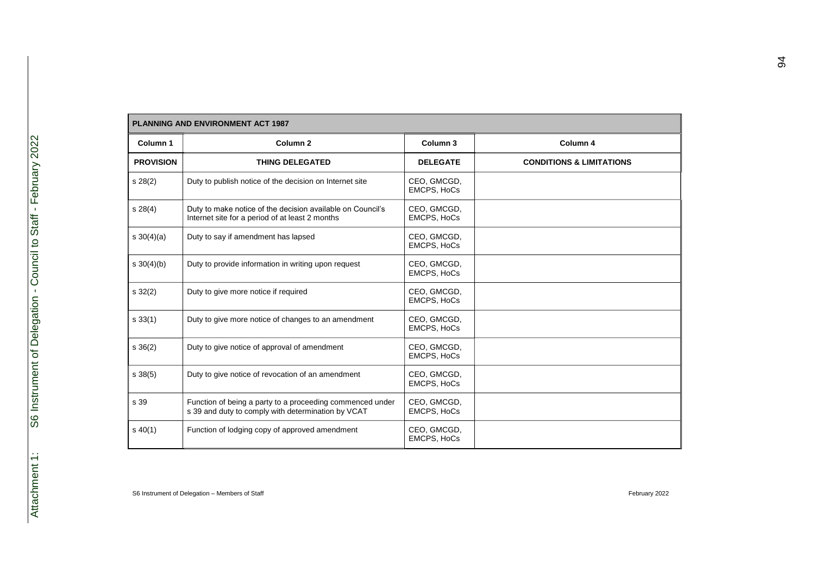| <b>PLANNING AND ENVIRONMENT ACT 1987</b> |                                                                                                                 |                                   |                                     |
|------------------------------------------|-----------------------------------------------------------------------------------------------------------------|-----------------------------------|-------------------------------------|
| Column 1                                 | Column <sub>2</sub>                                                                                             | Column <sub>3</sub>               | Column 4                            |
| <b>PROVISION</b>                         | <b>THING DELEGATED</b>                                                                                          | <b>DELEGATE</b>                   | <b>CONDITIONS &amp; LIMITATIONS</b> |
| s28(2)                                   | Duty to publish notice of the decision on Internet site                                                         | CEO, GMCGD,<br><b>EMCPS, HoCs</b> |                                     |
| s 28(4)                                  | Duty to make notice of the decision available on Council's<br>Internet site for a period of at least 2 months   | CEO. GMCGD.<br><b>EMCPS, HoCs</b> |                                     |
| s $30(4)(a)$                             | Duty to say if amendment has lapsed                                                                             | CEO, GMCGD,<br><b>EMCPS, HoCs</b> |                                     |
| $s \frac{30(4)}{b}$                      | Duty to provide information in writing upon request                                                             | CEO, GMCGD,<br><b>EMCPS, HoCs</b> |                                     |
| $s \, 32(2)$                             | Duty to give more notice if required                                                                            | CEO, GMCGD,<br><b>EMCPS, HoCs</b> |                                     |
| $s \, 33(1)$                             | Duty to give more notice of changes to an amendment                                                             | CEO, GMCGD,<br>EMCPS, HoCs        |                                     |
| $s \, 36(2)$                             | Duty to give notice of approval of amendment                                                                    | CEO, GMCGD,<br>EMCPS, HoCs        |                                     |
| $s \, 38(5)$                             | Duty to give notice of revocation of an amendment                                                               | CEO, GMCGD,<br><b>EMCPS, HoCs</b> |                                     |
| s 39                                     | Function of being a party to a proceeding commenced under<br>s 39 and duty to comply with determination by VCAT | CEO, GMCGD,<br><b>EMCPS, HoCs</b> |                                     |
| $s\,40(1)$                               | Function of lodging copy of approved amendment                                                                  | CEO, GMCGD,<br>EMCPS, HoCs        |                                     |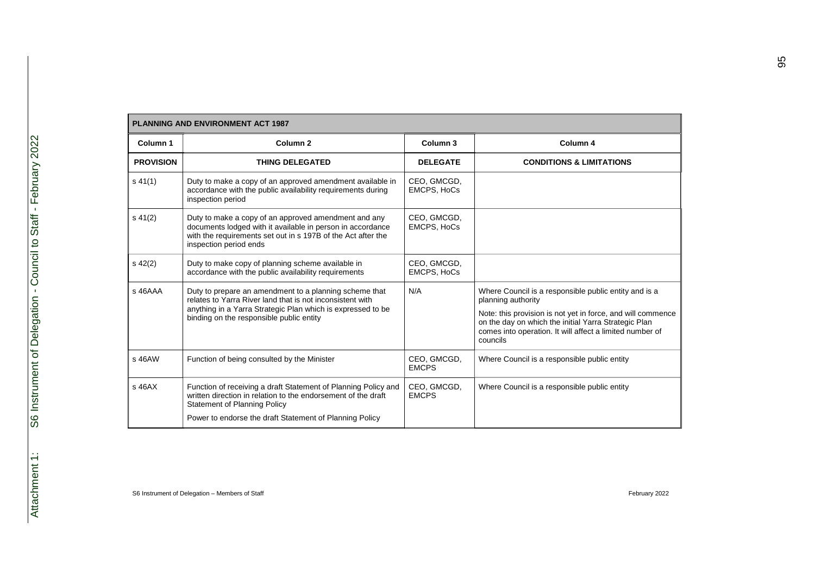| <b>PLANNING AND ENVIRONMENT ACT 1987</b> |                                                                                                                                                                                                                                |                                   |                                                                                                                                                                                                                                                                            |
|------------------------------------------|--------------------------------------------------------------------------------------------------------------------------------------------------------------------------------------------------------------------------------|-----------------------------------|----------------------------------------------------------------------------------------------------------------------------------------------------------------------------------------------------------------------------------------------------------------------------|
| Column 1                                 | Column <sub>2</sub>                                                                                                                                                                                                            | Column <sub>3</sub>               | Column 4                                                                                                                                                                                                                                                                   |
| <b>PROVISION</b>                         | <b>THING DELEGATED</b>                                                                                                                                                                                                         | <b>DELEGATE</b>                   | <b>CONDITIONS &amp; LIMITATIONS</b>                                                                                                                                                                                                                                        |
| $s\,41(1)$                               | Duty to make a copy of an approved amendment available in<br>accordance with the public availability requirements during<br>inspection period                                                                                  | CEO, GMCGD,<br><b>EMCPS, HoCs</b> |                                                                                                                                                                                                                                                                            |
| $s\ 41(2)$                               | Duty to make a copy of an approved amendment and any<br>documents lodged with it available in person in accordance<br>with the requirements set out in s 197B of the Act after the<br>inspection period ends                   | CEO, GMCGD,<br><b>EMCPS, HoCs</b> |                                                                                                                                                                                                                                                                            |
| $s\,42(2)$                               | Duty to make copy of planning scheme available in<br>accordance with the public availability requirements                                                                                                                      | CEO, GMCGD,<br><b>EMCPS, HoCs</b> |                                                                                                                                                                                                                                                                            |
| s 46AAA                                  | Duty to prepare an amendment to a planning scheme that<br>relates to Yarra River land that is not inconsistent with<br>anything in a Yarra Strategic Plan which is expressed to be<br>binding on the responsible public entity | N/A                               | Where Council is a responsible public entity and is a<br>planning authority<br>Note: this provision is not yet in force, and will commence<br>on the day on which the initial Yarra Strategic Plan<br>comes into operation. It will affect a limited number of<br>councils |
| s 46AW                                   | Function of being consulted by the Minister                                                                                                                                                                                    | CEO, GMCGD,<br><b>EMCPS</b>       | Where Council is a responsible public entity                                                                                                                                                                                                                               |
| $s$ 46A $X$                              | Function of receiving a draft Statement of Planning Policy and<br>written direction in relation to the endorsement of the draft<br><b>Statement of Planning Policy</b>                                                         | CEO, GMCGD,<br><b>EMCPS</b>       | Where Council is a responsible public entity                                                                                                                                                                                                                               |
|                                          | Power to endorse the draft Statement of Planning Policy                                                                                                                                                                        |                                   |                                                                                                                                                                                                                                                                            |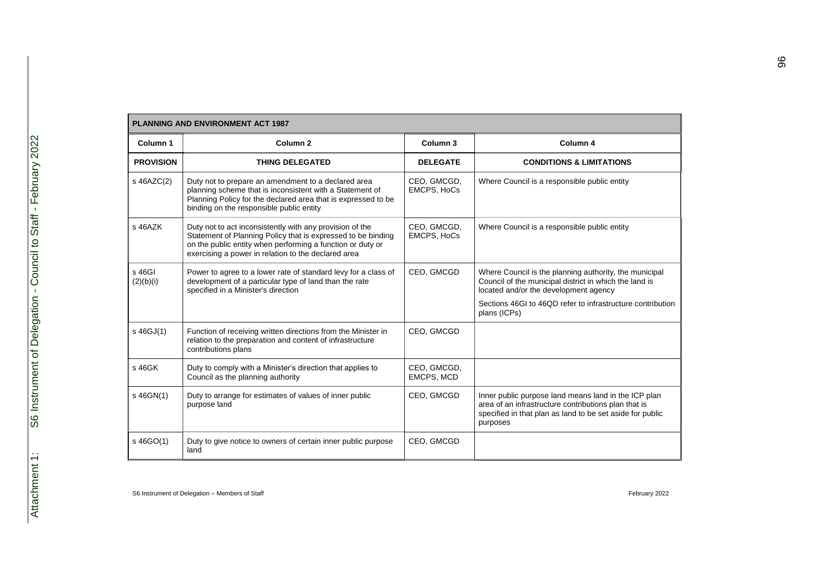|                     | <b>PLANNING AND ENVIRONMENT ACT 1987</b>                                                                                                                                                                                                      |                                   |                                                                                                                                                                                       |  |  |
|---------------------|-----------------------------------------------------------------------------------------------------------------------------------------------------------------------------------------------------------------------------------------------|-----------------------------------|---------------------------------------------------------------------------------------------------------------------------------------------------------------------------------------|--|--|
| Column 1            | Column <sub>2</sub>                                                                                                                                                                                                                           | Column 3                          | Column 4                                                                                                                                                                              |  |  |
| <b>PROVISION</b>    | <b>THING DELEGATED</b>                                                                                                                                                                                                                        | <b>DELEGATE</b>                   | <b>CONDITIONS &amp; LIMITATIONS</b>                                                                                                                                                   |  |  |
| s 46AZC(2)          | Duty not to prepare an amendment to a declared area<br>planning scheme that is inconsistent with a Statement of<br>Planning Policy for the declared area that is expressed to be<br>binding on the responsible public entity                  | CEO, GMCGD,<br><b>EMCPS, HoCs</b> | Where Council is a responsible public entity                                                                                                                                          |  |  |
| s 46AZK             | Duty not to act inconsistently with any provision of the<br>Statement of Planning Policy that is expressed to be binding<br>on the public entity when performing a function or duty or<br>exercising a power in relation to the declared area | CEO, GMCGD,<br><b>EMCPS, HoCs</b> | Where Council is a responsible public entity                                                                                                                                          |  |  |
| s 46GI<br>(2)(b)(i) | Power to agree to a lower rate of standard levy for a class of<br>development of a particular type of land than the rate<br>specified in a Minister's direction                                                                               | CEO, GMCGD                        | Where Council is the planning authority, the municipal<br>Council of the municipal district in which the land is<br>located and/or the development agency                             |  |  |
|                     |                                                                                                                                                                                                                                               |                                   | Sections 46GI to 46QD refer to infrastructure contribution<br>plans (ICPs)                                                                                                            |  |  |
| s 46GJ(1)           | Function of receiving written directions from the Minister in<br>relation to the preparation and content of infrastructure<br>contributions plans                                                                                             | CEO, GMCGD                        |                                                                                                                                                                                       |  |  |
| s 46GK              | Duty to comply with a Minister's direction that applies to<br>Council as the planning authority                                                                                                                                               | CEO, GMCGD,<br>EMCPS, MCD         |                                                                                                                                                                                       |  |  |
| s 46GN(1)           | Duty to arrange for estimates of values of inner public<br>purpose land                                                                                                                                                                       | CEO, GMCGD                        | Inner public purpose land means land in the ICP plan<br>area of an infrastructure contributions plan that is<br>specified in that plan as land to be set aside for public<br>purposes |  |  |
| s 46GO(1)           | Duty to give notice to owners of certain inner public purpose<br>land                                                                                                                                                                         | CEO, GMCGD                        |                                                                                                                                                                                       |  |  |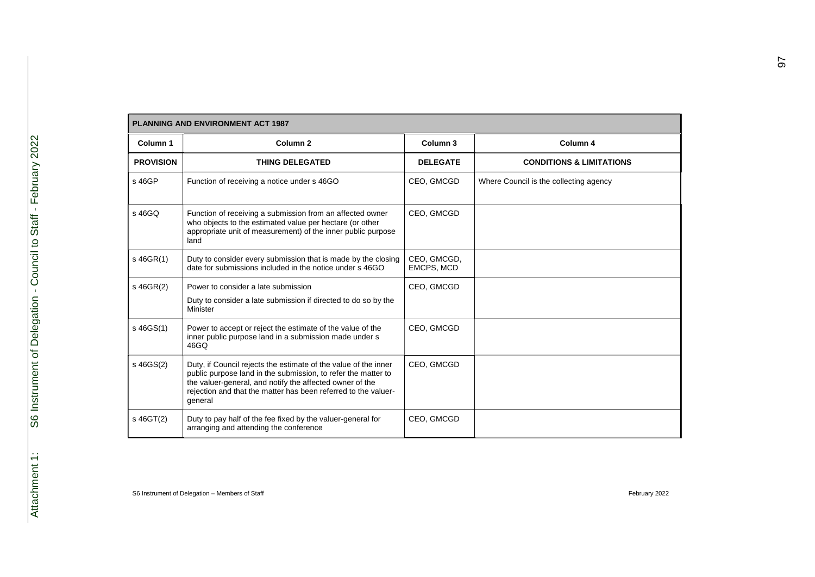| <b>PLANNING AND ENVIRONMENT ACT 1987</b> |                                                                                                                                                                                                                                                                           |                           |                                        |  |
|------------------------------------------|---------------------------------------------------------------------------------------------------------------------------------------------------------------------------------------------------------------------------------------------------------------------------|---------------------------|----------------------------------------|--|
| Column 1                                 | Column <sub>2</sub>                                                                                                                                                                                                                                                       | Column 3                  | Column 4                               |  |
| <b>PROVISION</b>                         | <b>THING DELEGATED</b>                                                                                                                                                                                                                                                    | <b>DELEGATE</b>           | <b>CONDITIONS &amp; LIMITATIONS</b>    |  |
| s 46GP                                   | Function of receiving a notice under s 46GO                                                                                                                                                                                                                               | CEO, GMCGD                | Where Council is the collecting agency |  |
| s 46GQ                                   | Function of receiving a submission from an affected owner<br>who objects to the estimated value per hectare (or other<br>appropriate unit of measurement) of the inner public purpose<br>land                                                                             | CEO, GMCGD                |                                        |  |
| s 46GR(1)                                | Duty to consider every submission that is made by the closing<br>date for submissions included in the notice under s 46GO                                                                                                                                                 | CEO, GMCGD,<br>EMCPS, MCD |                                        |  |
| s 46GR(2)                                | Power to consider a late submission<br>Duty to consider a late submission if directed to do so by the<br>Minister                                                                                                                                                         | CEO, GMCGD                |                                        |  |
| s 46GS(1)                                | Power to accept or reject the estimate of the value of the<br>inner public purpose land in a submission made under s<br>46GQ                                                                                                                                              | CEO, GMCGD                |                                        |  |
| s 46GS(2)                                | Duty, if Council rejects the estimate of the value of the inner<br>public purpose land in the submission, to refer the matter to<br>the valuer-general, and notify the affected owner of the<br>rejection and that the matter has been referred to the valuer-<br>general | CEO. GMCGD                |                                        |  |
| s 46GT(2)                                | Duty to pay half of the fee fixed by the valuer-general for<br>arranging and attending the conference                                                                                                                                                                     | CEO, GMCGD                |                                        |  |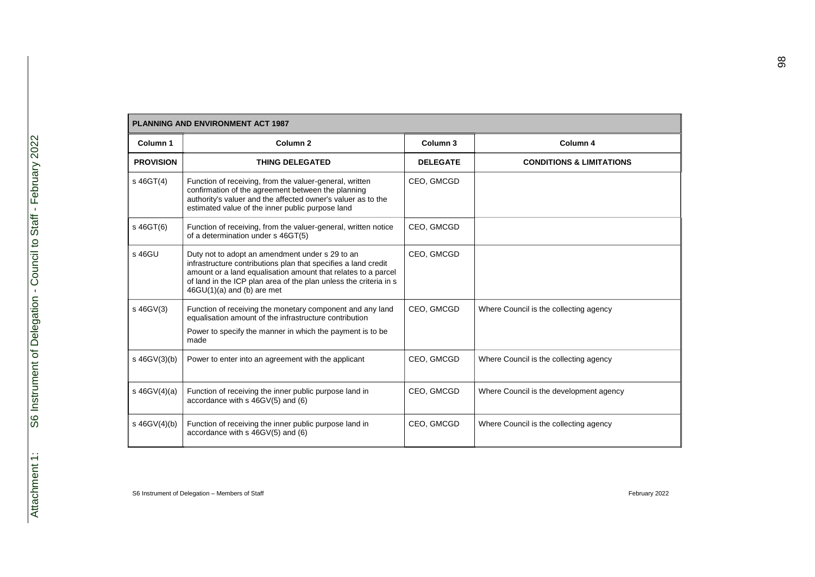| <b>PLANNING AND ENVIRONMENT ACT 1987</b> |                                                                                                                                                                                                                                                                                         |                     |                                         |
|------------------------------------------|-----------------------------------------------------------------------------------------------------------------------------------------------------------------------------------------------------------------------------------------------------------------------------------------|---------------------|-----------------------------------------|
| Column 1                                 | Column <sub>2</sub>                                                                                                                                                                                                                                                                     | Column <sub>3</sub> | Column 4                                |
| <b>PROVISION</b>                         | <b>THING DELEGATED</b>                                                                                                                                                                                                                                                                  | <b>DELEGATE</b>     | <b>CONDITIONS &amp; LIMITATIONS</b>     |
| s 46GT(4)                                | Function of receiving, from the valuer-general, written<br>confirmation of the agreement between the planning<br>authority's valuer and the affected owner's valuer as to the<br>estimated value of the inner public purpose land                                                       | CEO, GMCGD          |                                         |
| s 46GT(6)                                | Function of receiving, from the valuer-general, written notice<br>of a determination under s 46GT(5)                                                                                                                                                                                    | CEO, GMCGD          |                                         |
| s 46GU                                   | Duty not to adopt an amendment under s 29 to an<br>infrastructure contributions plan that specifies a land credit<br>amount or a land equalisation amount that relates to a parcel<br>of land in the ICP plan area of the plan unless the criteria in s<br>$46GU(1)(a)$ and (b) are met | CEO, GMCGD          |                                         |
| s 46GV(3)                                | Function of receiving the monetary component and any land<br>equalisation amount of the infrastructure contribution<br>Power to specify the manner in which the payment is to be<br>made                                                                                                | CEO, GMCGD          | Where Council is the collecting agency  |
| $s$ 46GV(3)(b)                           | Power to enter into an agreement with the applicant                                                                                                                                                                                                                                     | CEO, GMCGD          | Where Council is the collecting agency  |
| s $46GV(4)(a)$                           | Function of receiving the inner public purpose land in<br>accordance with s 46GV(5) and (6)                                                                                                                                                                                             | CEO, GMCGD          | Where Council is the development agency |
| s $46GV(4)(b)$                           | Function of receiving the inner public purpose land in<br>accordance with s 46GV(5) and (6)                                                                                                                                                                                             | CEO, GMCGD          | Where Council is the collecting agency  |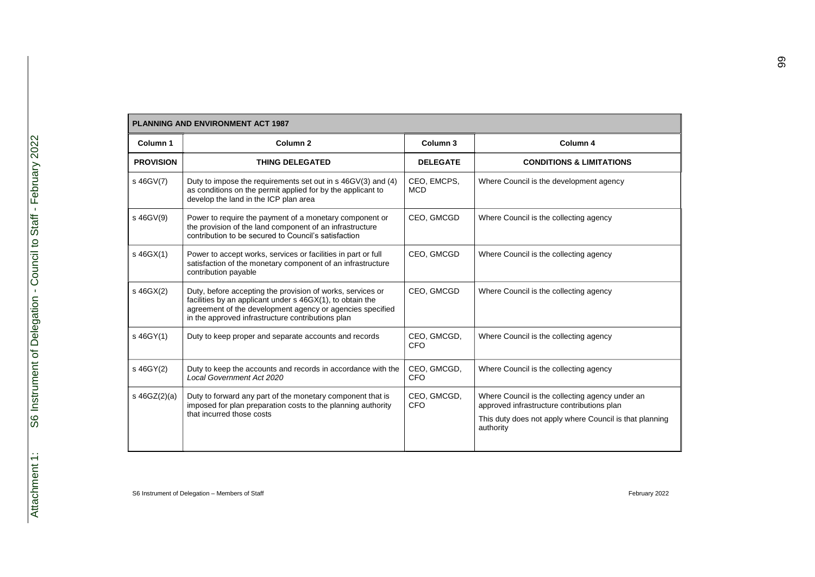| <b>PLANNING AND ENVIRONMENT ACT 1987</b> |                                                                                                                                                                                                                                           |                           |                                                                                                                                                                       |
|------------------------------------------|-------------------------------------------------------------------------------------------------------------------------------------------------------------------------------------------------------------------------------------------|---------------------------|-----------------------------------------------------------------------------------------------------------------------------------------------------------------------|
| Column 1                                 | Column <sub>2</sub>                                                                                                                                                                                                                       | Column <sub>3</sub>       | Column 4                                                                                                                                                              |
| <b>PROVISION</b>                         | <b>THING DELEGATED</b>                                                                                                                                                                                                                    | <b>DELEGATE</b>           | <b>CONDITIONS &amp; LIMITATIONS</b>                                                                                                                                   |
| s 46GV(7)                                | Duty to impose the requirements set out in s 46GV(3) and (4)<br>as conditions on the permit applied for by the applicant to<br>develop the land in the ICP plan area                                                                      | CEO, EMCPS,<br><b>MCD</b> | Where Council is the development agency                                                                                                                               |
| s 46GV(9)                                | Power to require the payment of a monetary component or<br>the provision of the land component of an infrastructure<br>contribution to be secured to Council's satisfaction                                                               | CEO, GMCGD                | Where Council is the collecting agency                                                                                                                                |
| s 46GX(1)                                | Power to accept works, services or facilities in part or full<br>satisfaction of the monetary component of an infrastructure<br>contribution payable                                                                                      | CEO, GMCGD                | Where Council is the collecting agency                                                                                                                                |
| s 46GX(2)                                | Duty, before accepting the provision of works, services or<br>facilities by an applicant under s 46GX(1), to obtain the<br>agreement of the development agency or agencies specified<br>in the approved infrastructure contributions plan | CEO, GMCGD                | Where Council is the collecting agency                                                                                                                                |
| s 46GY(1)                                | Duty to keep proper and separate accounts and records                                                                                                                                                                                     | CEO, GMCGD,<br><b>CFO</b> | Where Council is the collecting agency                                                                                                                                |
| s 46GY(2)                                | Duty to keep the accounts and records in accordance with the<br>Local Government Act 2020                                                                                                                                                 | CEO, GMCGD,<br><b>CFO</b> | Where Council is the collecting agency                                                                                                                                |
| s $46GZ(2)(a)$                           | Duty to forward any part of the monetary component that is<br>imposed for plan preparation costs to the planning authority<br>that incurred those costs                                                                                   | CEO, GMCGD,<br>CFO        | Where Council is the collecting agency under an<br>approved infrastructure contributions plan<br>This duty does not apply where Council is that planning<br>authority |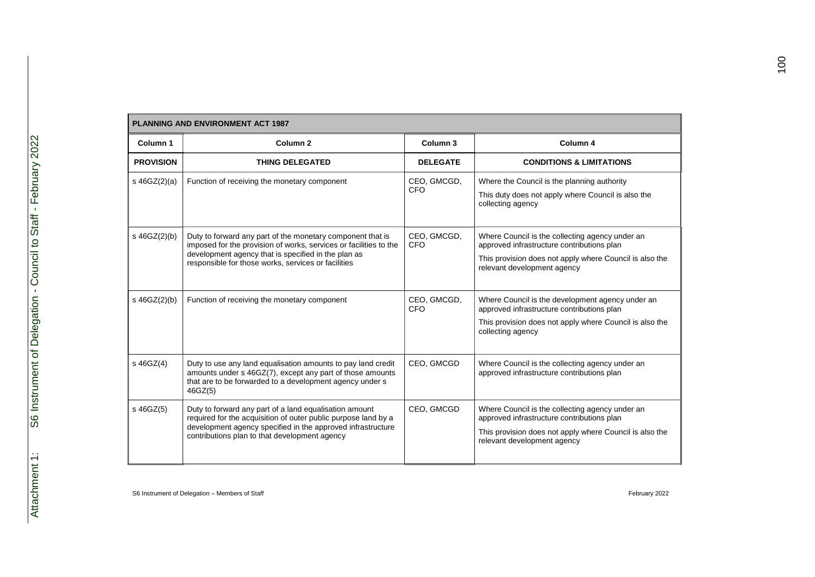| <b>PLANNING AND ENVIRONMENT ACT 1987</b> |                                                                                                                                                                                                                                               |                           |                                                                                                                                                                                         |
|------------------------------------------|-----------------------------------------------------------------------------------------------------------------------------------------------------------------------------------------------------------------------------------------------|---------------------------|-----------------------------------------------------------------------------------------------------------------------------------------------------------------------------------------|
| Column 1                                 | Column <sub>2</sub>                                                                                                                                                                                                                           | Column <sub>3</sub>       | Column 4                                                                                                                                                                                |
| <b>PROVISION</b>                         | <b>THING DELEGATED</b>                                                                                                                                                                                                                        | <b>DELEGATE</b>           | <b>CONDITIONS &amp; LIMITATIONS</b>                                                                                                                                                     |
| s 46GZ(2)(a)                             | Function of receiving the monetary component                                                                                                                                                                                                  | CEO, GMCGD,<br><b>CFO</b> | Where the Council is the planning authority<br>This duty does not apply where Council is also the<br>collecting agency                                                                  |
| s 46GZ(2)(b)                             | Duty to forward any part of the monetary component that is<br>imposed for the provision of works, services or facilities to the<br>development agency that is specified in the plan as<br>responsible for those works, services or facilities | CEO, GMCGD,<br>CFO        | Where Council is the collecting agency under an<br>approved infrastructure contributions plan<br>This provision does not apply where Council is also the<br>relevant development agency |
| s 46GZ(2)(b)                             | Function of receiving the monetary component                                                                                                                                                                                                  | CEO, GMCGD,<br><b>CFO</b> | Where Council is the development agency under an<br>approved infrastructure contributions plan<br>This provision does not apply where Council is also the<br>collecting agency          |
| s 46GZ(4)                                | Duty to use any land equalisation amounts to pay land credit<br>amounts under s 46GZ(7), except any part of those amounts<br>that are to be forwarded to a development agency under s<br>46GZ(5)                                              | CEO, GMCGD                | Where Council is the collecting agency under an<br>approved infrastructure contributions plan                                                                                           |
| s 46GZ(5)                                | Duty to forward any part of a land equalisation amount<br>required for the acquisition of outer public purpose land by a<br>development agency specified in the approved infrastructure<br>contributions plan to that development agency      | CEO, GMCGD                | Where Council is the collecting agency under an<br>approved infrastructure contributions plan<br>This provision does not apply where Council is also the<br>relevant development agency |

Г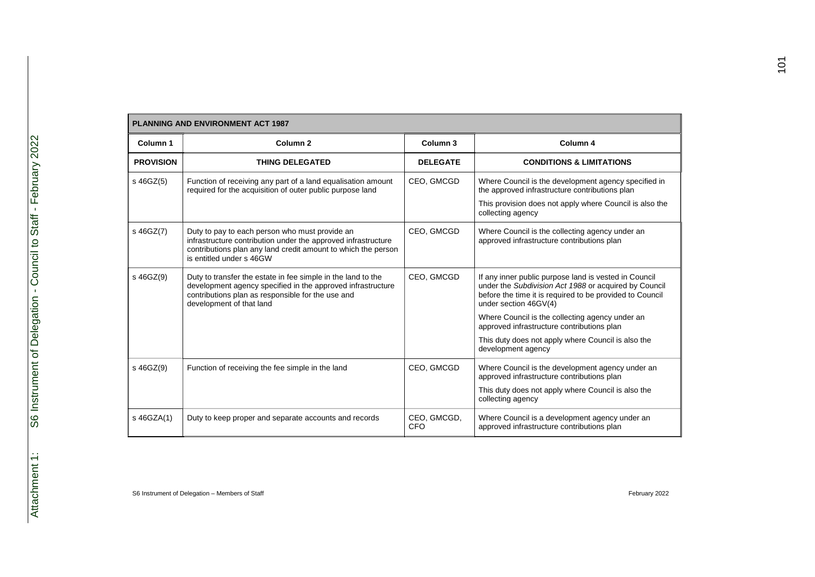| <b>PLANNING AND ENVIRONMENT ACT 1987</b> |                                                                                                                                                                                                              |                           |                                                                                                                                                                                                     |
|------------------------------------------|--------------------------------------------------------------------------------------------------------------------------------------------------------------------------------------------------------------|---------------------------|-----------------------------------------------------------------------------------------------------------------------------------------------------------------------------------------------------|
| Column 1                                 | Column <sub>2</sub>                                                                                                                                                                                          | Column <sub>3</sub>       | Column 4                                                                                                                                                                                            |
| <b>PROVISION</b>                         | <b>THING DELEGATED</b>                                                                                                                                                                                       | <b>DELEGATE</b>           | <b>CONDITIONS &amp; LIMITATIONS</b>                                                                                                                                                                 |
| s 46GZ(5)                                | Function of receiving any part of a land equalisation amount<br>required for the acquisition of outer public purpose land                                                                                    | CEO, GMCGD                | Where Council is the development agency specified in<br>the approved infrastructure contributions plan                                                                                              |
|                                          |                                                                                                                                                                                                              |                           | This provision does not apply where Council is also the<br>collecting agency                                                                                                                        |
| s 46GZ(7)                                | Duty to pay to each person who must provide an<br>infrastructure contribution under the approved infrastructure<br>contributions plan any land credit amount to which the person<br>is entitled under s 46GW | CEO, GMCGD                | Where Council is the collecting agency under an<br>approved infrastructure contributions plan                                                                                                       |
| s 46GZ(9)                                | Duty to transfer the estate in fee simple in the land to the<br>development agency specified in the approved infrastructure<br>contributions plan as responsible for the use and<br>development of that land | CEO. GMCGD                | If any inner public purpose land is vested in Council<br>under the Subdivision Act 1988 or acquired by Council<br>before the time it is required to be provided to Council<br>under section 46GV(4) |
|                                          |                                                                                                                                                                                                              |                           | Where Council is the collecting agency under an<br>approved infrastructure contributions plan                                                                                                       |
|                                          |                                                                                                                                                                                                              |                           | This duty does not apply where Council is also the<br>development agency                                                                                                                            |
| s 46GZ(9)                                | Function of receiving the fee simple in the land                                                                                                                                                             | CEO, GMCGD                | Where Council is the development agency under an<br>approved infrastructure contributions plan                                                                                                      |
|                                          |                                                                                                                                                                                                              |                           | This duty does not apply where Council is also the<br>collecting agency                                                                                                                             |
| s 46GZA(1)                               | Duty to keep proper and separate accounts and records                                                                                                                                                        | CEO, GMCGD,<br><b>CFO</b> | Where Council is a development agency under an<br>approved infrastructure contributions plan                                                                                                        |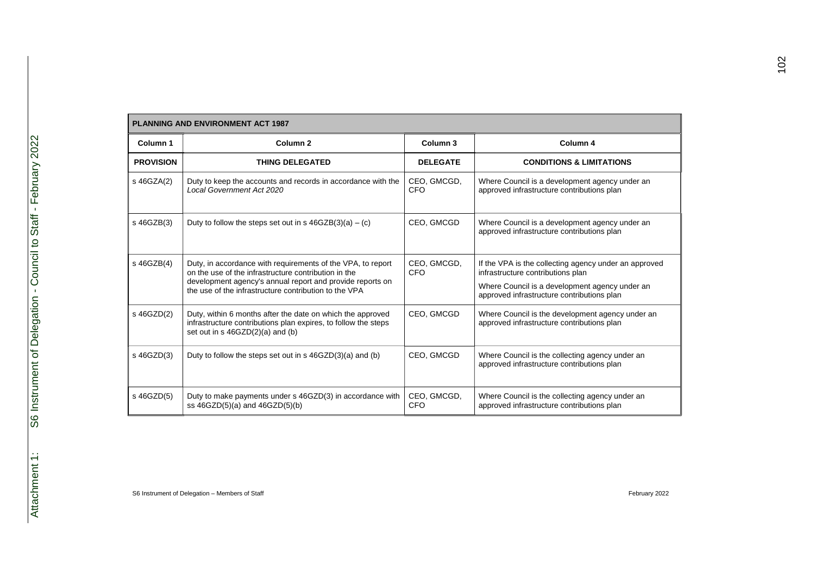| <b>PLANNING AND ENVIRONMENT ACT 1987</b> |                                                                                                                                                                                                                                           |                           |                                                                                                                                                                                            |
|------------------------------------------|-------------------------------------------------------------------------------------------------------------------------------------------------------------------------------------------------------------------------------------------|---------------------------|--------------------------------------------------------------------------------------------------------------------------------------------------------------------------------------------|
| Column 1                                 | Column <sub>2</sub>                                                                                                                                                                                                                       | Column <sub>3</sub>       | Column 4                                                                                                                                                                                   |
| <b>PROVISION</b>                         | <b>THING DELEGATED</b>                                                                                                                                                                                                                    | <b>DELEGATE</b>           | <b>CONDITIONS &amp; LIMITATIONS</b>                                                                                                                                                        |
| s 46GZA(2)                               | Duty to keep the accounts and records in accordance with the<br>Local Government Act 2020                                                                                                                                                 | CEO, GMCGD,<br>CFO        | Where Council is a development agency under an<br>approved infrastructure contributions plan                                                                                               |
| s 46GZB(3)                               | Duty to follow the steps set out in s $46GZB(3)(a) - (c)$                                                                                                                                                                                 | CEO, GMCGD                | Where Council is a development agency under an<br>approved infrastructure contributions plan                                                                                               |
| s 46GZB(4)                               | Duty, in accordance with requirements of the VPA, to report<br>on the use of the infrastructure contribution in the<br>development agency's annual report and provide reports on<br>the use of the infrastructure contribution to the VPA | CEO, GMCGD,<br>CFO        | If the VPA is the collecting agency under an approved<br>infrastructure contributions plan<br>Where Council is a development agency under an<br>approved infrastructure contributions plan |
| s 46GZD(2)                               | Duty, within 6 months after the date on which the approved<br>infrastructure contributions plan expires, to follow the steps<br>set out in s 46GZD(2)(a) and (b)                                                                          | CEO. GMCGD                | Where Council is the development agency under an<br>approved infrastructure contributions plan                                                                                             |
| s 46GZD(3)                               | Duty to follow the steps set out in $s$ 46GZD(3)(a) and (b)                                                                                                                                                                               | CEO, GMCGD                | Where Council is the collecting agency under an<br>approved infrastructure contributions plan                                                                                              |
| s 46GZD(5)                               | Duty to make payments under s 46GZD(3) in accordance with<br>ss $46GZD(5)(a)$ and $46GZD(5)(b)$                                                                                                                                           | CEO, GMCGD,<br><b>CFO</b> | Where Council is the collecting agency under an<br>approved infrastructure contributions plan                                                                                              |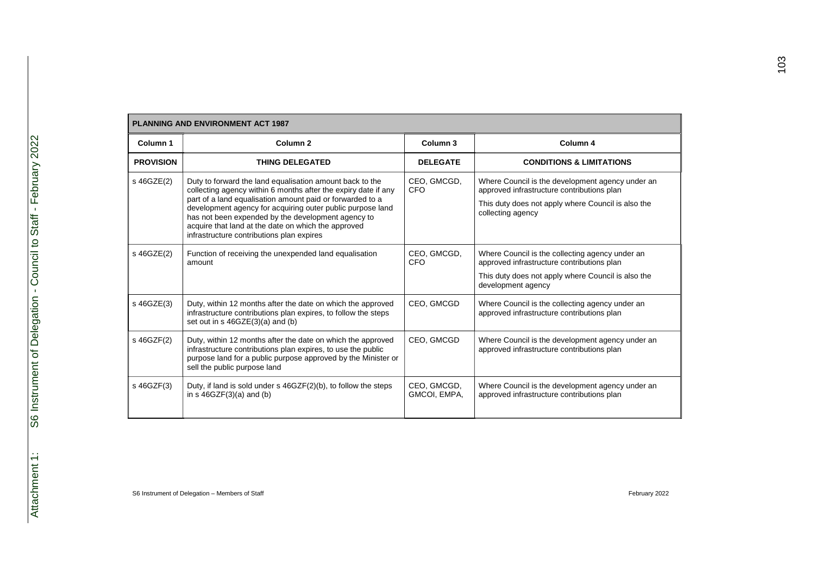| <b>PLANNING AND ENVIRONMENT ACT 1987</b> |                                                                                                                                                                                                                                                                                                                                                                                                                 |                             |                                                                                                                                                                           |
|------------------------------------------|-----------------------------------------------------------------------------------------------------------------------------------------------------------------------------------------------------------------------------------------------------------------------------------------------------------------------------------------------------------------------------------------------------------------|-----------------------------|---------------------------------------------------------------------------------------------------------------------------------------------------------------------------|
| Column 1                                 | Column <sub>2</sub>                                                                                                                                                                                                                                                                                                                                                                                             | Column <sub>3</sub>         | Column 4                                                                                                                                                                  |
| <b>PROVISION</b>                         | <b>THING DELEGATED</b>                                                                                                                                                                                                                                                                                                                                                                                          | <b>DELEGATE</b>             | <b>CONDITIONS &amp; LIMITATIONS</b>                                                                                                                                       |
| s 46GZE(2)                               | Duty to forward the land equalisation amount back to the<br>collecting agency within 6 months after the expiry date if any<br>part of a land equalisation amount paid or forwarded to a<br>development agency for acquiring outer public purpose land<br>has not been expended by the development agency to<br>acquire that land at the date on which the approved<br>infrastructure contributions plan expires | CEO, GMCGD,<br>CFO          | Where Council is the development agency under an<br>approved infrastructure contributions plan<br>This duty does not apply where Council is also the<br>collecting agency |
| s 46GZE(2)                               | Function of receiving the unexpended land equalisation<br>amount                                                                                                                                                                                                                                                                                                                                                | CEO, GMCGD,<br>CFO          | Where Council is the collecting agency under an<br>approved infrastructure contributions plan<br>This duty does not apply where Council is also the<br>development agency |
| s 46GZE(3)                               | Duty, within 12 months after the date on which the approved<br>infrastructure contributions plan expires, to follow the steps<br>set out in s 46GZE(3)(a) and (b)                                                                                                                                                                                                                                               | CEO, GMCGD                  | Where Council is the collecting agency under an<br>approved infrastructure contributions plan                                                                             |
| s 46GZF(2)                               | Duty, within 12 months after the date on which the approved<br>infrastructure contributions plan expires, to use the public<br>purpose land for a public purpose approved by the Minister or<br>sell the public purpose land                                                                                                                                                                                    | CEO. GMCGD                  | Where Council is the development agency under an<br>approved infrastructure contributions plan                                                                            |
| s 46GZF(3)                               | Duty, if land is sold under s 46GZF(2)(b), to follow the steps<br>in $s$ 46GZF $(3)(a)$ and $(b)$                                                                                                                                                                                                                                                                                                               | CEO, GMCGD,<br>GMCOI, EMPA, | Where Council is the development agency under an<br>approved infrastructure contributions plan                                                                            |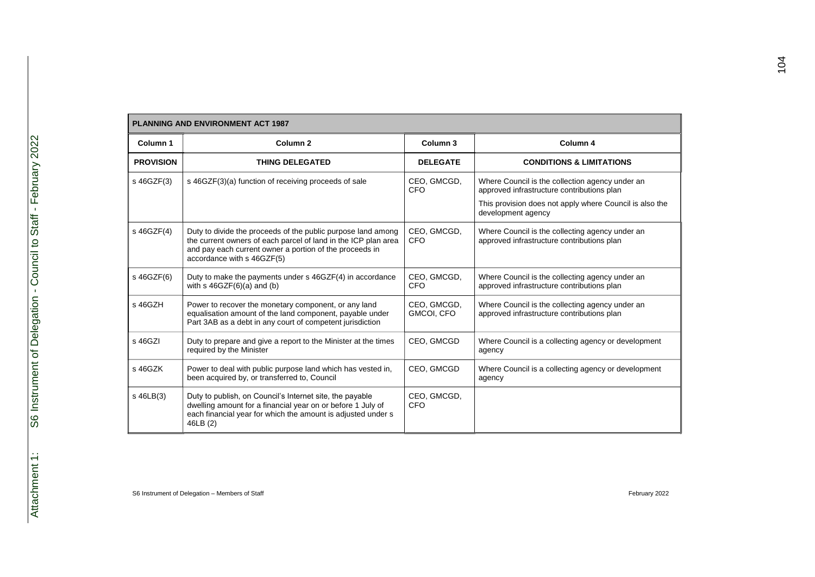| <b>PLANNING AND ENVIRONMENT ACT 1987</b> |                                                                                                                                                                                                                         |                           |                                                                                                                                                                                |  |
|------------------------------------------|-------------------------------------------------------------------------------------------------------------------------------------------------------------------------------------------------------------------------|---------------------------|--------------------------------------------------------------------------------------------------------------------------------------------------------------------------------|--|
| Column 1                                 | Column <sub>2</sub>                                                                                                                                                                                                     | Column <sub>3</sub>       | Column 4                                                                                                                                                                       |  |
| <b>PROVISION</b>                         | <b>THING DELEGATED</b>                                                                                                                                                                                                  | <b>DELEGATE</b>           | <b>CONDITIONS &amp; LIMITATIONS</b>                                                                                                                                            |  |
| s 46GZF(3)                               | s 46GZF(3)(a) function of receiving proceeds of sale                                                                                                                                                                    | CEO, GMCGD,<br>CFO        | Where Council is the collection agency under an<br>approved infrastructure contributions plan<br>This provision does not apply where Council is also the<br>development agency |  |
| s 46GZF(4)                               | Duty to divide the proceeds of the public purpose land among<br>the current owners of each parcel of land in the ICP plan area<br>and pay each current owner a portion of the proceeds in<br>accordance with s 46GZF(5) | CEO, GMCGD,<br>CFO        | Where Council is the collecting agency under an<br>approved infrastructure contributions plan                                                                                  |  |
| s 46GZF(6)                               | Duty to make the payments under s 46GZF(4) in accordance<br>with $s$ 46GZF $(6)(a)$ and $(b)$                                                                                                                           | CEO, GMCGD,<br><b>CFO</b> | Where Council is the collecting agency under an<br>approved infrastructure contributions plan                                                                                  |  |
| s 46GZH                                  | Power to recover the monetary component, or any land<br>equalisation amount of the land component, payable under<br>Part 3AB as a debt in any court of competent jurisdiction                                           | CEO, GMCGD,<br>GMCOI, CFO | Where Council is the collecting agency under an<br>approved infrastructure contributions plan                                                                                  |  |
| s 46GZI                                  | Duty to prepare and give a report to the Minister at the times<br>required by the Minister                                                                                                                              | CEO, GMCGD                | Where Council is a collecting agency or development<br>agency                                                                                                                  |  |
| s 46GZK                                  | Power to deal with public purpose land which has vested in,<br>been acquired by, or transferred to, Council                                                                                                             | CEO, GMCGD                | Where Council is a collecting agency or development<br>agency                                                                                                                  |  |
| s 46LB(3)                                | Duty to publish, on Council's Internet site, the payable<br>dwelling amount for a financial year on or before 1 July of<br>each financial year for which the amount is adjusted under s<br>46LB (2)                     | CEO, GMCGD,<br><b>CFO</b> |                                                                                                                                                                                |  |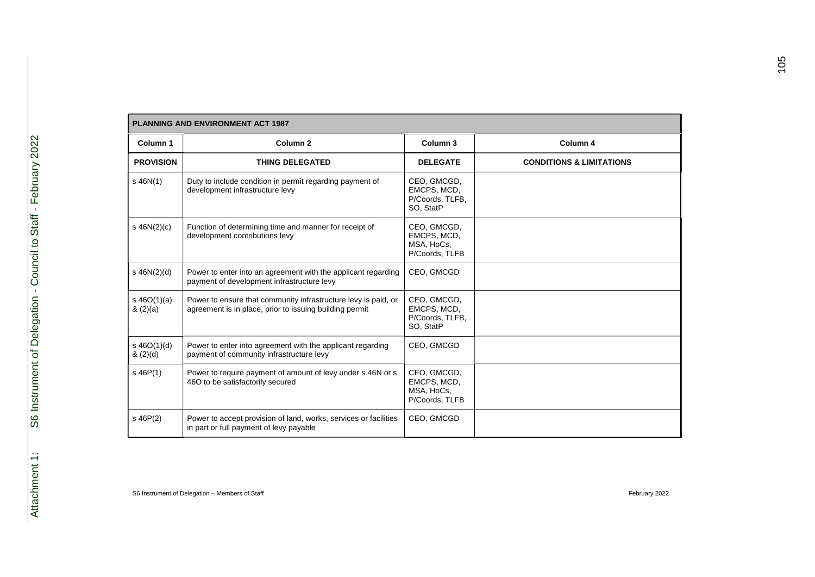|                          | <b>PLANNING AND ENVIRONMENT ACT 1987</b>                                                                                  |                                                            |                                     |  |
|--------------------------|---------------------------------------------------------------------------------------------------------------------------|------------------------------------------------------------|-------------------------------------|--|
| Column 1                 | Column <sub>2</sub>                                                                                                       | Column <sub>3</sub>                                        | Column 4                            |  |
| <b>PROVISION</b>         | <b>THING DELEGATED</b>                                                                                                    | <b>DELEGATE</b>                                            | <b>CONDITIONS &amp; LIMITATIONS</b> |  |
| $s$ 46N(1)               | Duty to include condition in permit regarding payment of<br>development infrastructure levy                               | CEO, GMCGD,<br>EMCPS, MCD,<br>P/Coords, TLFB,<br>SO, StatP |                                     |  |
| $s$ 46N(2)(c)            | Function of determining time and manner for receipt of<br>development contributions levy                                  | CEO, GMCGD,<br>EMCPS, MCD,<br>MSA, HoCs,<br>P/Coords, TLFB |                                     |  |
| $s$ 46N(2)(d)            | Power to enter into an agreement with the applicant regarding<br>payment of development infrastructure levy               | CEO, GMCGD                                                 |                                     |  |
| s $46O(1)(a)$<br>(2)(a)  | Power to ensure that community infrastructure levy is paid, or<br>agreement is in place, prior to issuing building permit | CEO, GMCGD,<br>EMCPS, MCD,<br>P/Coords, TLFB,<br>SO, StatP |                                     |  |
| $s\ 46O(1)(d)$<br>(2)(d) | Power to enter into agreement with the applicant regarding<br>payment of community infrastructure levy                    | CEO, GMCGD                                                 |                                     |  |
| $s$ 46P(1)               | Power to require payment of amount of levy under s 46N or s<br>46O to be satisfactorily secured                           | CEO, GMCGD,<br>EMCPS, MCD,<br>MSA, HoCs,<br>P/Coords, TLFB |                                     |  |
| $s$ 46P(2)               | Power to accept provision of land, works, services or facilities<br>in part or full payment of levy payable               | CEO, GMCGD                                                 |                                     |  |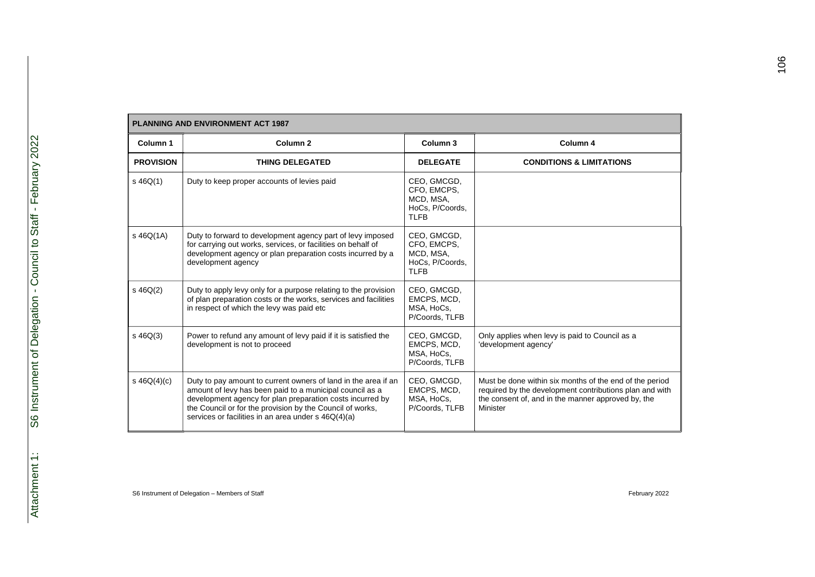|                  | PLANNING AND ENVIRONMENT ACT 1987                                                                                                                                                                                                                                                                           |                                                                           |                                                                                                                                                                                      |  |
|------------------|-------------------------------------------------------------------------------------------------------------------------------------------------------------------------------------------------------------------------------------------------------------------------------------------------------------|---------------------------------------------------------------------------|--------------------------------------------------------------------------------------------------------------------------------------------------------------------------------------|--|
| Column 1         | Column <sub>2</sub>                                                                                                                                                                                                                                                                                         | Column 3                                                                  | Column 4                                                                                                                                                                             |  |
| <b>PROVISION</b> | <b>THING DELEGATED</b>                                                                                                                                                                                                                                                                                      | <b>DELEGATE</b>                                                           | <b>CONDITIONS &amp; LIMITATIONS</b>                                                                                                                                                  |  |
| $s\,46Q(1)$      | Duty to keep proper accounts of levies paid                                                                                                                                                                                                                                                                 | CEO, GMCGD,<br>CFO, EMCPS,<br>MCD, MSA,<br>HoCs, P/Coords,<br><b>TLFB</b> |                                                                                                                                                                                      |  |
| $s$ 46Q(1A)      | Duty to forward to development agency part of levy imposed<br>for carrying out works, services, or facilities on behalf of<br>development agency or plan preparation costs incurred by a<br>development agency                                                                                              | CEO, GMCGD,<br>CFO, EMCPS,<br>MCD, MSA,<br>HoCs, P/Coords,<br><b>TLFB</b> |                                                                                                                                                                                      |  |
| $s\ 46Q(2)$      | Duty to apply levy only for a purpose relating to the provision<br>of plan preparation costs or the works, services and facilities<br>in respect of which the levy was paid etc                                                                                                                             | CEO, GMCGD,<br>EMCPS, MCD,<br>MSA, HoCs,<br>P/Coords, TLFB                |                                                                                                                                                                                      |  |
| $s\ 46Q(3)$      | Power to refund any amount of levy paid if it is satisfied the<br>development is not to proceed                                                                                                                                                                                                             | CEO, GMCGD,<br>EMCPS, MCD,<br>MSA, HoCs,<br>P/Coords, TLFB                | Only applies when levy is paid to Council as a<br>'development agency'                                                                                                               |  |
| s $46Q(4)(c)$    | Duty to pay amount to current owners of land in the area if an<br>amount of levy has been paid to a municipal council as a<br>development agency for plan preparation costs incurred by<br>the Council or for the provision by the Council of works,<br>services or facilities in an area under s 46Q(4)(a) | CEO, GMCGD,<br>EMCPS, MCD,<br>MSA, HoCs,<br>P/Coords, TLFB                | Must be done within six months of the end of the period<br>required by the development contributions plan and with<br>the consent of, and in the manner approved by, the<br>Minister |  |

#### **PLANNING AND ENVIRONMENT ACT 1987**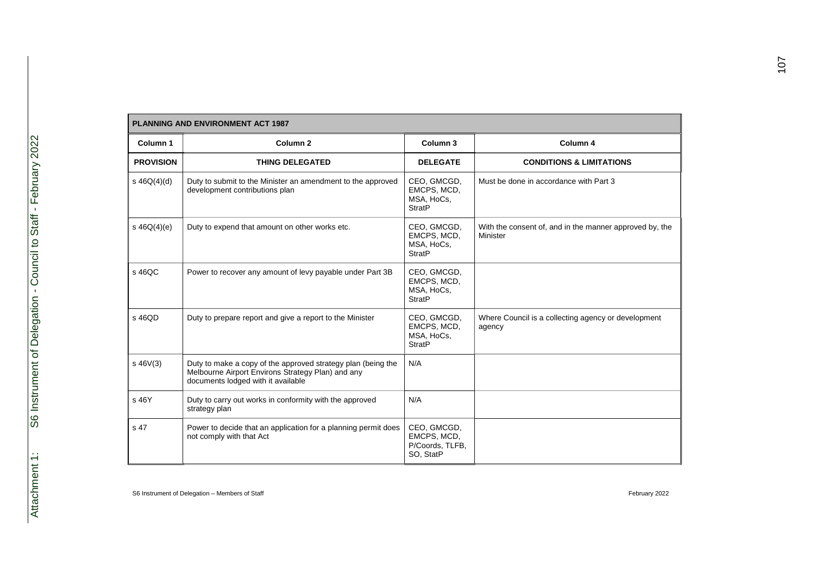| Column 1         | Column <sub>2</sub>                                                                                                                                     | Column <sub>3</sub>                                        | Column 4                                                            |
|------------------|---------------------------------------------------------------------------------------------------------------------------------------------------------|------------------------------------------------------------|---------------------------------------------------------------------|
| <b>PROVISION</b> | <b>THING DELEGATED</b>                                                                                                                                  | <b>DELEGATE</b>                                            | <b>CONDITIONS &amp; LIMITATIONS</b>                                 |
| s $46Q(4)(d)$    | Duty to submit to the Minister an amendment to the approved<br>development contributions plan                                                           | CEO, GMCGD,<br>EMCPS, MCD,<br>MSA, HoCs,<br><b>StratP</b>  | Must be done in accordance with Part 3                              |
| s $46Q(4)(e)$    | Duty to expend that amount on other works etc.                                                                                                          | CEO, GMCGD,<br>EMCPS, MCD,<br>MSA, HoCs,<br><b>StratP</b>  | With the consent of, and in the manner approved by, the<br>Minister |
| s 46QC           | Power to recover any amount of levy payable under Part 3B                                                                                               | CEO, GMCGD,<br>EMCPS, MCD,<br>MSA, HoCs,<br><b>StratP</b>  |                                                                     |
| s 46QD           | Duty to prepare report and give a report to the Minister                                                                                                | CEO, GMCGD,<br>EMCPS, MCD,<br>MSA, HoCs,<br><b>StratP</b>  | Where Council is a collecting agency or development<br>agency       |
| $s$ 46 $V(3)$    | Duty to make a copy of the approved strategy plan (being the<br>Melbourne Airport Environs Strategy Plan) and any<br>documents lodged with it available | N/A                                                        |                                                                     |
| s 46Y            | Duty to carry out works in conformity with the approved<br>strategy plan                                                                                | N/A                                                        |                                                                     |
| s 47             | Power to decide that an application for a planning permit does<br>not comply with that Act                                                              | CEO, GMCGD,<br>EMCPS, MCD,<br>P/Coords, TLFB,<br>SO, StatP |                                                                     |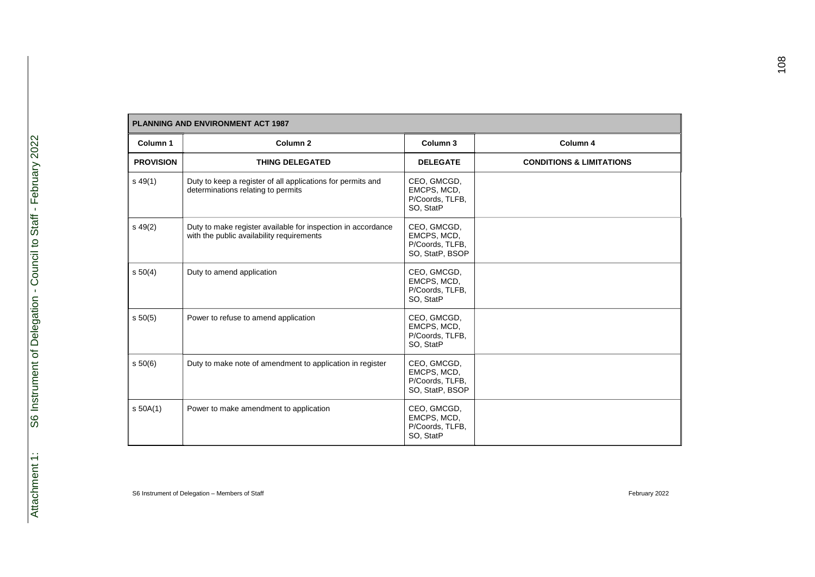| <b>PLANNING AND ENVIRONMENT ACT 1987</b> |                                                                                                           |                                                                  |                                     |
|------------------------------------------|-----------------------------------------------------------------------------------------------------------|------------------------------------------------------------------|-------------------------------------|
| Column 1                                 | Column <sub>2</sub>                                                                                       | Column 3                                                         | Column 4                            |
| <b>PROVISION</b>                         | <b>THING DELEGATED</b>                                                                                    | <b>DELEGATE</b>                                                  | <b>CONDITIONS &amp; LIMITATIONS</b> |
| $s\,49(1)$                               | Duty to keep a register of all applications for permits and<br>determinations relating to permits         | CEO, GMCGD,<br>EMCPS, MCD,<br>P/Coords, TLFB,<br>SO, StatP       |                                     |
| $s\,49(2)$                               | Duty to make register available for inspection in accordance<br>with the public availability requirements | CEO, GMCGD,<br>EMCPS, MCD,<br>P/Coords, TLFB,<br>SO, StatP, BSOP |                                     |
| 50(4)                                    | Duty to amend application                                                                                 | CEO, GMCGD,<br>EMCPS, MCD,<br>P/Coords, TLFB,<br>SO, StatP       |                                     |
| s 50(5)                                  | Power to refuse to amend application                                                                      | CEO, GMCGD,<br>EMCPS, MCD,<br>P/Coords, TLFB,<br>SO, StatP       |                                     |
| s 50(6)                                  | Duty to make note of amendment to application in register                                                 | CEO, GMCGD,<br>EMCPS, MCD,<br>P/Coords, TLFB,<br>SO, StatP, BSOP |                                     |
| $s$ 50A(1)                               | Power to make amendment to application                                                                    | CEO, GMCGD,<br>EMCPS, MCD,<br>P/Coords, TLFB,<br>SO, StatP       |                                     |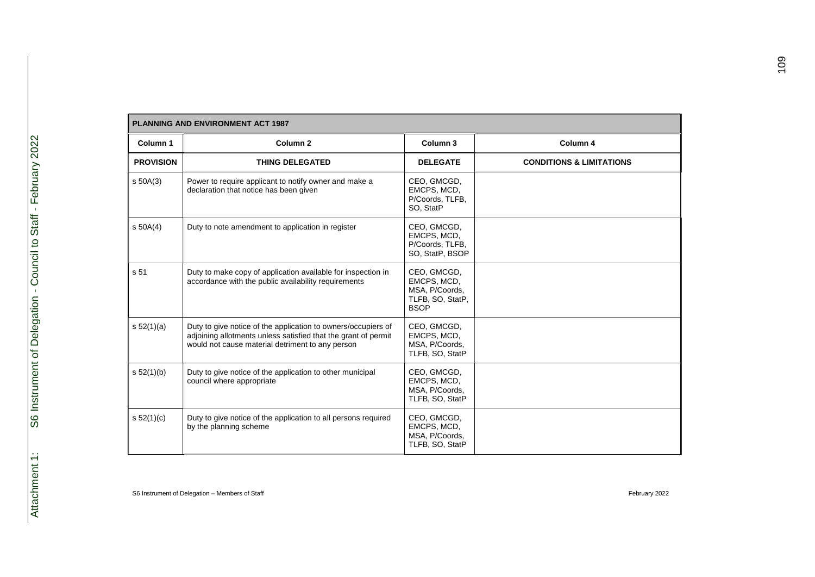|                  | <b>PLANNING AND ENVIRONMENT ACT 1987</b>                                                                                                                                            |                                                                                 |                                     |  |
|------------------|-------------------------------------------------------------------------------------------------------------------------------------------------------------------------------------|---------------------------------------------------------------------------------|-------------------------------------|--|
| Column 1         | Column <sub>2</sub>                                                                                                                                                                 | Column 3                                                                        | Column 4                            |  |
| <b>PROVISION</b> | <b>THING DELEGATED</b>                                                                                                                                                              | <b>DELEGATE</b>                                                                 | <b>CONDITIONS &amp; LIMITATIONS</b> |  |
| $s$ 50A(3)       | Power to require applicant to notify owner and make a<br>declaration that notice has been given                                                                                     | CEO, GMCGD,<br>EMCPS, MCD,<br>P/Coords, TLFB,<br>SO, StatP                      |                                     |  |
| $s$ 50A(4)       | Duty to note amendment to application in register                                                                                                                                   | CEO, GMCGD,<br>EMCPS, MCD,<br>P/Coords, TLFB,<br>SO, StatP, BSOP                |                                     |  |
| s 51             | Duty to make copy of application available for inspection in<br>accordance with the public availability requirements                                                                | CEO, GMCGD,<br>EMCPS, MCD,<br>MSA, P/Coords,<br>TLFB, SO, StatP,<br><b>BSOP</b> |                                     |  |
| s 52(1)(a)       | Duty to give notice of the application to owners/occupiers of<br>adjoining allotments unless satisfied that the grant of permit<br>would not cause material detriment to any person | CEO, GMCGD,<br>EMCPS, MCD,<br>MSA, P/Coords,<br>TLFB, SO, StatP                 |                                     |  |
| s 52(1)(b)       | Duty to give notice of the application to other municipal<br>council where appropriate                                                                                              | CEO, GMCGD,<br>EMCPS, MCD,<br>MSA, P/Coords,<br>TLFB, SO, StatP                 |                                     |  |
| s 52(1)(c)       | Duty to give notice of the application to all persons required<br>by the planning scheme                                                                                            | CEO, GMCGD,<br>EMCPS, MCD,<br>MSA, P/Coords,<br>TLFB, SO, StatP                 |                                     |  |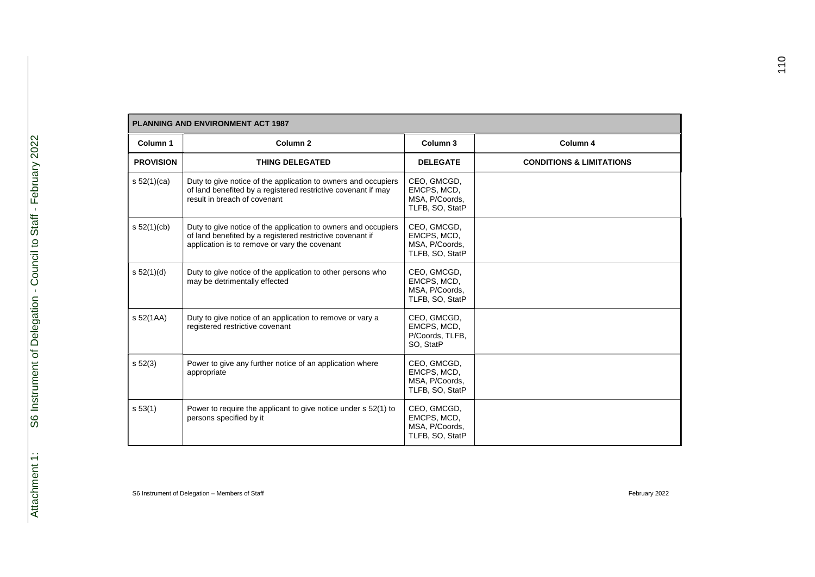| <b>PLANNING AND ENVIRONMENT ACT 1987</b> |                                                                                                                                                                              |                                                                 |                                     |
|------------------------------------------|------------------------------------------------------------------------------------------------------------------------------------------------------------------------------|-----------------------------------------------------------------|-------------------------------------|
| Column 1                                 | Column <sub>2</sub>                                                                                                                                                          | Column 3                                                        | Column 4                            |
| <b>PROVISION</b>                         | <b>THING DELEGATED</b>                                                                                                                                                       | <b>DELEGATE</b>                                                 | <b>CONDITIONS &amp; LIMITATIONS</b> |
| s 52(1)(ca)                              | Duty to give notice of the application to owners and occupiers<br>of land benefited by a registered restrictive covenant if may<br>result in breach of covenant              | CEO, GMCGD,<br>EMCPS, MCD,<br>MSA, P/Coords,<br>TLFB, SO, StatP |                                     |
| s 52(1)(cb)                              | Duty to give notice of the application to owners and occupiers<br>of land benefited by a registered restrictive covenant if<br>application is to remove or vary the covenant | CEO, GMCGD,<br>EMCPS, MCD,<br>MSA, P/Coords,<br>TLFB, SO, StatP |                                     |
| s 52(1)(d)                               | Duty to give notice of the application to other persons who<br>may be detrimentally effected                                                                                 | CEO, GMCGD,<br>EMCPS, MCD.<br>MSA, P/Coords,<br>TLFB, SO, StatP |                                     |
| s 52(1AA)                                | Duty to give notice of an application to remove or vary a<br>registered restrictive covenant                                                                                 | CEO, GMCGD,<br>EMCPS, MCD,<br>P/Coords, TLFB,<br>SO, StatP      |                                     |
| s 52(3)                                  | Power to give any further notice of an application where<br>appropriate                                                                                                      | CEO, GMCGD,<br>EMCPS, MCD,<br>MSA. P/Coords.<br>TLFB, SO, StatP |                                     |
| s 53(1)                                  | Power to require the applicant to give notice under s 52(1) to<br>persons specified by it                                                                                    | CEO, GMCGD,<br>EMCPS, MCD,<br>MSA, P/Coords,<br>TLFB, SO, StatP |                                     |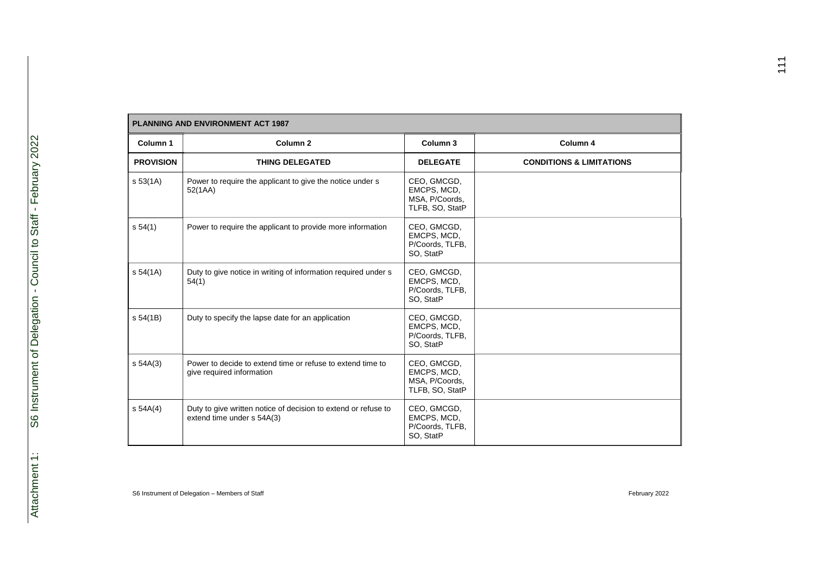| <b>PLANNING AND ENVIRONMENT ACT 1987</b> |                                                                                              |                                                                 |                                     |  |
|------------------------------------------|----------------------------------------------------------------------------------------------|-----------------------------------------------------------------|-------------------------------------|--|
| Column 1                                 | Column <sub>2</sub>                                                                          | Column 3                                                        | Column 4                            |  |
| <b>PROVISION</b>                         | <b>THING DELEGATED</b>                                                                       | <b>DELEGATE</b>                                                 | <b>CONDITIONS &amp; LIMITATIONS</b> |  |
| s 53(1A)                                 | Power to require the applicant to give the notice under s<br>52(1AA)                         | CEO, GMCGD,<br>EMCPS, MCD,<br>MSA, P/Coords,<br>TLFB, SO, StatP |                                     |  |
| s 54(1)                                  | Power to require the applicant to provide more information                                   | CEO, GMCGD,<br>EMCPS, MCD,<br>P/Coords, TLFB,<br>SO, StatP      |                                     |  |
| s 54(1A)                                 | Duty to give notice in writing of information required under s<br>54(1)                      | CEO, GMCGD,<br>EMCPS, MCD,<br>P/Coords, TLFB,<br>SO, StatP      |                                     |  |
| s 54(1B)                                 | Duty to specify the lapse date for an application                                            | CEO, GMCGD,<br>EMCPS, MCD,<br>P/Coords, TLFB,<br>SO, StatP      |                                     |  |
| $s$ 54A(3)                               | Power to decide to extend time or refuse to extend time to<br>give required information      | CEO, GMCGD,<br>EMCPS, MCD,<br>MSA, P/Coords,<br>TLFB, SO, StatP |                                     |  |
| s 54A(4)                                 | Duty to give written notice of decision to extend or refuse to<br>extend time under s 54A(3) | CEO, GMCGD,<br>EMCPS, MCD,<br>P/Coords, TLFB,<br>SO, StatP      |                                     |  |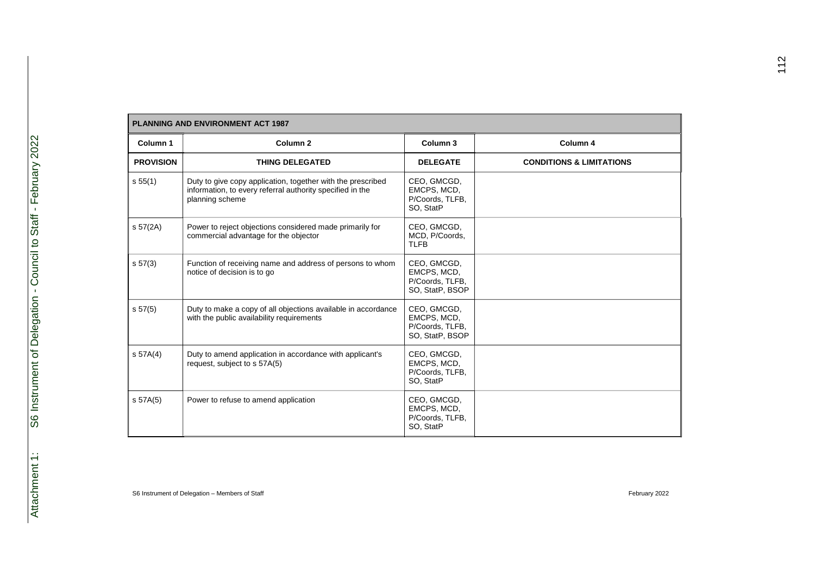| <b>PLANNING AND ENVIRONMENT ACT 1987</b> |                                                                                                                                             |                                                                  |                                     |
|------------------------------------------|---------------------------------------------------------------------------------------------------------------------------------------------|------------------------------------------------------------------|-------------------------------------|
| Column 1                                 | Column <sub>2</sub>                                                                                                                         | Column 3                                                         | Column 4                            |
| <b>PROVISION</b>                         | <b>THING DELEGATED</b>                                                                                                                      | <b>DELEGATE</b>                                                  | <b>CONDITIONS &amp; LIMITATIONS</b> |
| s 55(1)                                  | Duty to give copy application, together with the prescribed<br>information, to every referral authority specified in the<br>planning scheme | CEO, GMCGD,<br>EMCPS, MCD,<br>P/Coords, TLFB,<br>SO, StatP       |                                     |
| s 57(2A)                                 | Power to reject objections considered made primarily for<br>commercial advantage for the objector                                           | CEO, GMCGD,<br>MCD, P/Coords,<br><b>TLFB</b>                     |                                     |
| s 57(3)                                  | Function of receiving name and address of persons to whom<br>notice of decision is to go                                                    | CEO, GMCGD,<br>EMCPS, MCD,<br>P/Coords, TLFB,<br>SO, StatP, BSOP |                                     |
| s 57(5)                                  | Duty to make a copy of all objections available in accordance<br>with the public availability requirements                                  | CEO, GMCGD,<br>EMCPS, MCD,<br>P/Coords, TLFB,<br>SO, StatP, BSOP |                                     |
| $s$ 57A $(4)$                            | Duty to amend application in accordance with applicant's<br>request, subject to s 57A(5)                                                    | CEO, GMCGD,<br>EMCPS, MCD,<br>P/Coords, TLFB,<br>SO, StatP       |                                     |
| s 57A(5)                                 | Power to refuse to amend application                                                                                                        | CEO, GMCGD,<br>EMCPS, MCD,<br>P/Coords, TLFB,<br>SO, StatP       |                                     |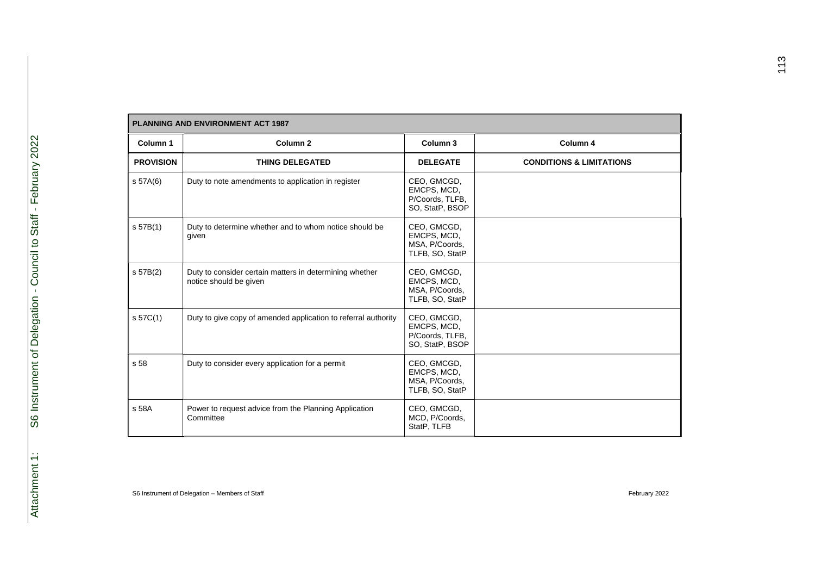| <b>PLANNING AND ENVIRONMENT ACT 1987</b> |                                                                                   |                                                                  |                                     |
|------------------------------------------|-----------------------------------------------------------------------------------|------------------------------------------------------------------|-------------------------------------|
| Column 1                                 | Column <sub>2</sub>                                                               | Column 3                                                         | Column 4                            |
| <b>PROVISION</b>                         | <b>THING DELEGATED</b>                                                            | <b>DELEGATE</b>                                                  | <b>CONDITIONS &amp; LIMITATIONS</b> |
| s 57A(6)                                 | Duty to note amendments to application in register                                | CEO, GMCGD,<br>EMCPS, MCD,<br>P/Coords, TLFB,<br>SO, StatP, BSOP |                                     |
| S <sub>57B(1)</sub>                      | Duty to determine whether and to whom notice should be<br>given                   | CEO, GMCGD,<br>EMCPS, MCD,<br>MSA, P/Coords,<br>TLFB, SO, StatP  |                                     |
| s 57B(2)                                 | Duty to consider certain matters in determining whether<br>notice should be given | CEO, GMCGD,<br>EMCPS, MCD,<br>MSA, P/Coords,<br>TLFB, SO, StatP  |                                     |
| s 57C(1)                                 | Duty to give copy of amended application to referral authority                    | CEO, GMCGD,<br>EMCPS, MCD,<br>P/Coords, TLFB,<br>SO, StatP, BSOP |                                     |
| s 58                                     | Duty to consider every application for a permit                                   | CEO, GMCGD,<br>EMCPS, MCD,<br>MSA, P/Coords,<br>TLFB, SO, StatP  |                                     |
| s 58A                                    | Power to request advice from the Planning Application<br>Committee                | CEO, GMCGD,<br>MCD, P/Coords,<br>StatP, TLFB                     |                                     |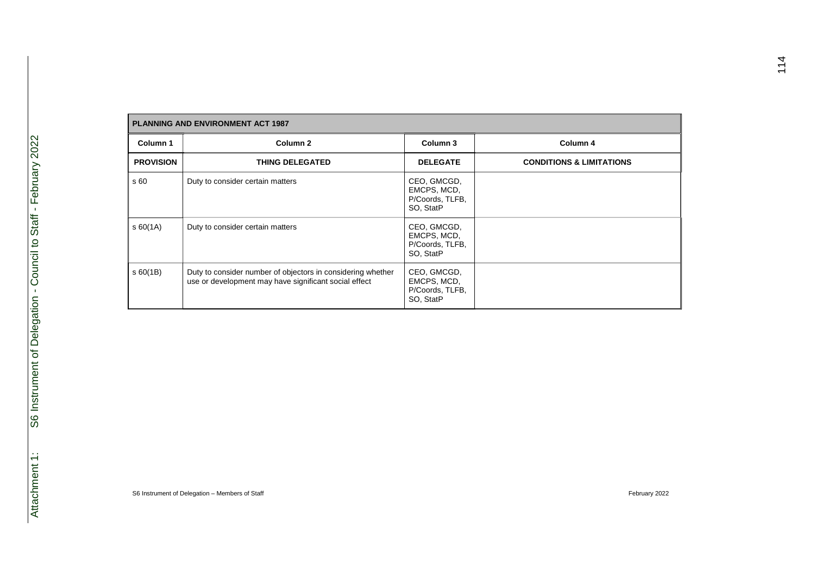| <b>PLANNING AND ENVIRONMENT ACT 1987</b> |                                                                                                                      |                                                            |                                     |  |
|------------------------------------------|----------------------------------------------------------------------------------------------------------------------|------------------------------------------------------------|-------------------------------------|--|
| Column 1                                 | Column <sub>2</sub>                                                                                                  | Column 3                                                   | Column 4                            |  |
| <b>PROVISION</b>                         | <b>THING DELEGATED</b>                                                                                               | <b>DELEGATE</b>                                            | <b>CONDITIONS &amp; LIMITATIONS</b> |  |
| s 60                                     | Duty to consider certain matters                                                                                     | CEO, GMCGD,<br>EMCPS, MCD,<br>P/Coords, TLFB,<br>SO, StatP |                                     |  |
| \$60(1A)                                 | Duty to consider certain matters                                                                                     | CEO, GMCGD,<br>EMCPS, MCD,<br>P/Coords, TLFB,<br>SO, StatP |                                     |  |
| \$60(1B)                                 | Duty to consider number of objectors in considering whether<br>use or development may have significant social effect | CEO, GMCGD,<br>EMCPS, MCD,<br>P/Coords, TLFB,<br>SO, StatP |                                     |  |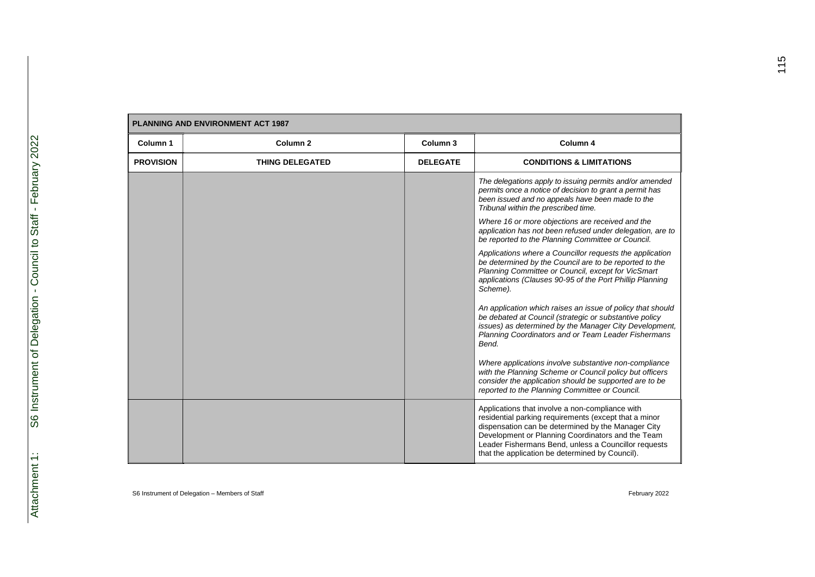| <b>PLANNING AND ENVIRONMENT ACT 1987</b> |                        |                 |                                                                                                                                                                                                                                                                                                                                |
|------------------------------------------|------------------------|-----------------|--------------------------------------------------------------------------------------------------------------------------------------------------------------------------------------------------------------------------------------------------------------------------------------------------------------------------------|
| Column 1                                 | Column <sub>2</sub>    | Column 3        | Column 4                                                                                                                                                                                                                                                                                                                       |
| <b>PROVISION</b>                         | <b>THING DELEGATED</b> | <b>DELEGATE</b> | <b>CONDITIONS &amp; LIMITATIONS</b>                                                                                                                                                                                                                                                                                            |
|                                          |                        |                 | The delegations apply to issuing permits and/or amended<br>permits once a notice of decision to grant a permit has<br>been issued and no appeals have been made to the<br>Tribunal within the prescribed time.                                                                                                                 |
|                                          |                        |                 | Where 16 or more objections are received and the<br>application has not been refused under delegation, are to<br>be reported to the Planning Committee or Council.                                                                                                                                                             |
|                                          |                        |                 | Applications where a Councillor requests the application<br>be determined by the Council are to be reported to the<br>Planning Committee or Council, except for VicSmart<br>applications (Clauses 90-95 of the Port Phillip Planning<br>Scheme).                                                                               |
|                                          |                        |                 | An application which raises an issue of policy that should<br>be debated at Council (strategic or substantive policy<br>issues) as determined by the Manager City Development,<br>Planning Coordinators and or Team Leader Fishermans<br>Bend.                                                                                 |
|                                          |                        |                 | Where applications involve substantive non-compliance<br>with the Planning Scheme or Council policy but officers<br>consider the application should be supported are to be<br>reported to the Planning Committee or Council.                                                                                                   |
|                                          |                        |                 | Applications that involve a non-compliance with<br>residential parking requirements (except that a minor<br>dispensation can be determined by the Manager City<br>Development or Planning Coordinators and the Team<br>Leader Fishermans Bend, unless a Councillor requests<br>that the application be determined by Council). |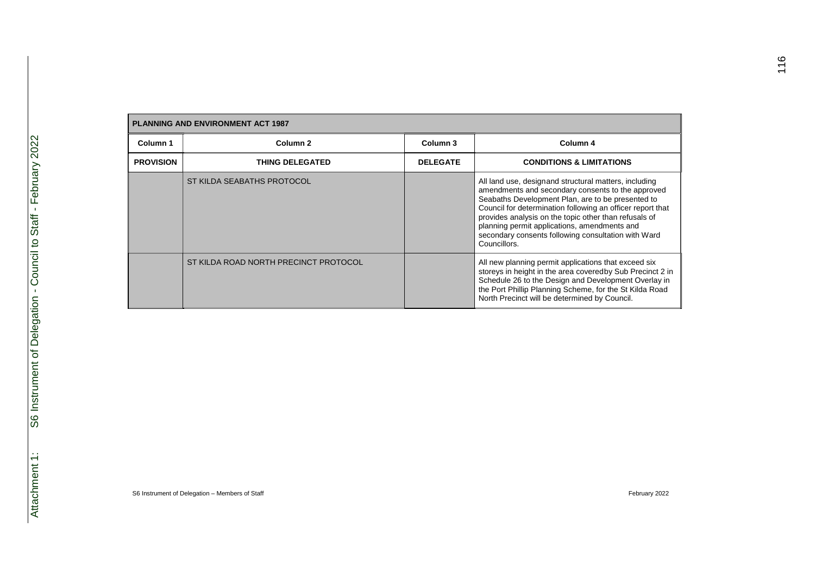| <b>PLANNING AND ENVIRONMENT ACT 1987</b> |                                       |                 |                                                                                                                                                                                                                                                                                                                                                                                                               |  |
|------------------------------------------|---------------------------------------|-----------------|---------------------------------------------------------------------------------------------------------------------------------------------------------------------------------------------------------------------------------------------------------------------------------------------------------------------------------------------------------------------------------------------------------------|--|
| Column 1                                 | Column <sub>2</sub>                   | Column 3        | Column 4                                                                                                                                                                                                                                                                                                                                                                                                      |  |
| <b>PROVISION</b>                         | <b>THING DELEGATED</b>                | <b>DELEGATE</b> | <b>CONDITIONS &amp; LIMITATIONS</b>                                                                                                                                                                                                                                                                                                                                                                           |  |
|                                          | ST KILDA SEABATHS PROTOCOL            |                 | All land use, designand structural matters, including<br>amendments and secondary consents to the approved<br>Seabaths Development Plan, are to be presented to<br>Council for determination following an officer report that<br>provides analysis on the topic other than refusals of<br>planning permit applications, amendments and<br>secondary consents following consultation with Ward<br>Councillors. |  |
|                                          | ST KILDA ROAD NORTH PRECINCT PROTOCOL |                 | All new planning permit applications that exceed six<br>storeys in height in the area coveredby Sub Precinct 2 in<br>Schedule 26 to the Design and Development Overlay in<br>the Port Phillip Planning Scheme, for the St Kilda Road<br>North Precinct will be determined by Council.                                                                                                                         |  |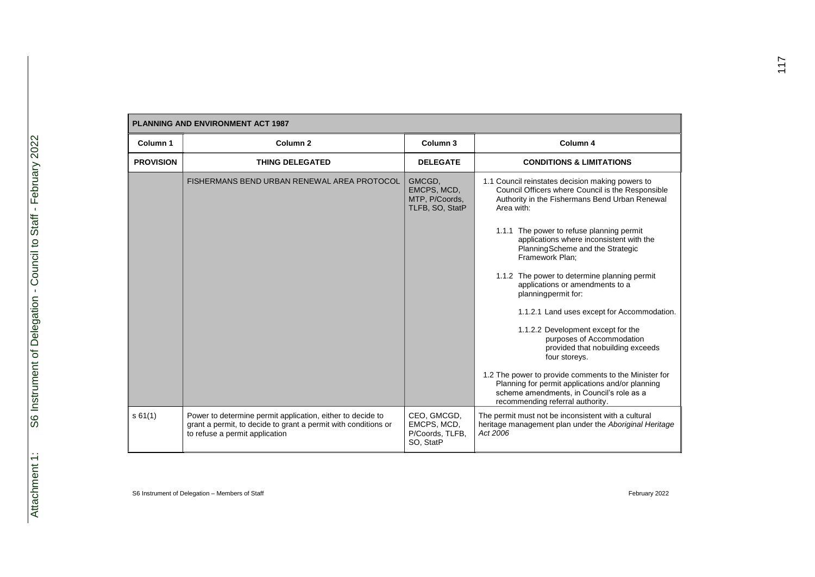| <b>PLANNING AND ENVIRONMENT ACT 1987</b> |                                                                                                                                                                |                                                            |                                                                                                                                                                                                                                                                                                                                                                                                                                                                                                                                                                                                         |  |
|------------------------------------------|----------------------------------------------------------------------------------------------------------------------------------------------------------------|------------------------------------------------------------|---------------------------------------------------------------------------------------------------------------------------------------------------------------------------------------------------------------------------------------------------------------------------------------------------------------------------------------------------------------------------------------------------------------------------------------------------------------------------------------------------------------------------------------------------------------------------------------------------------|--|
| Column 1                                 | Column <sub>2</sub>                                                                                                                                            | Column 3                                                   | Column 4                                                                                                                                                                                                                                                                                                                                                                                                                                                                                                                                                                                                |  |
| <b>PROVISION</b>                         | <b>THING DELEGATED</b>                                                                                                                                         | <b>DELEGATE</b>                                            | <b>CONDITIONS &amp; LIMITATIONS</b>                                                                                                                                                                                                                                                                                                                                                                                                                                                                                                                                                                     |  |
|                                          | FISHERMANS BEND URBAN RENEWAL AREA PROTOCOL                                                                                                                    | GMCGD,<br>EMCPS, MCD,<br>MTP, P/Coords,<br>TLFB, SO, StatP | 1.1 Council reinstates decision making powers to<br>Council Officers where Council is the Responsible<br>Authority in the Fishermans Bend Urban Renewal<br>Area with:<br>1.1.1 The power to refuse planning permit<br>applications where inconsistent with the<br>Planning Scheme and the Strategic<br>Framework Plan;<br>1.1.2 The power to determine planning permit<br>applications or amendments to a<br>planningpermit for:<br>1.1.2.1 Land uses except for Accommodation.<br>1.1.2.2 Development except for the<br>purposes of Accommodation<br>provided that nobuilding exceeds<br>four storeys. |  |
|                                          |                                                                                                                                                                |                                                            | 1.2 The power to provide comments to the Minister for<br>Planning for permit applications and/or planning<br>scheme amendments, in Council's role as a<br>recommending referral authority.                                                                                                                                                                                                                                                                                                                                                                                                              |  |
| s61(1)                                   | Power to determine permit application, either to decide to<br>grant a permit, to decide to grant a permit with conditions or<br>to refuse a permit application | CEO, GMCGD,<br>EMCPS, MCD,<br>P/Coords, TLFB,<br>SO, StatP | The permit must not be inconsistent with a cultural<br>heritage management plan under the Aboriginal Heritage<br>Act 2006                                                                                                                                                                                                                                                                                                                                                                                                                                                                               |  |

Г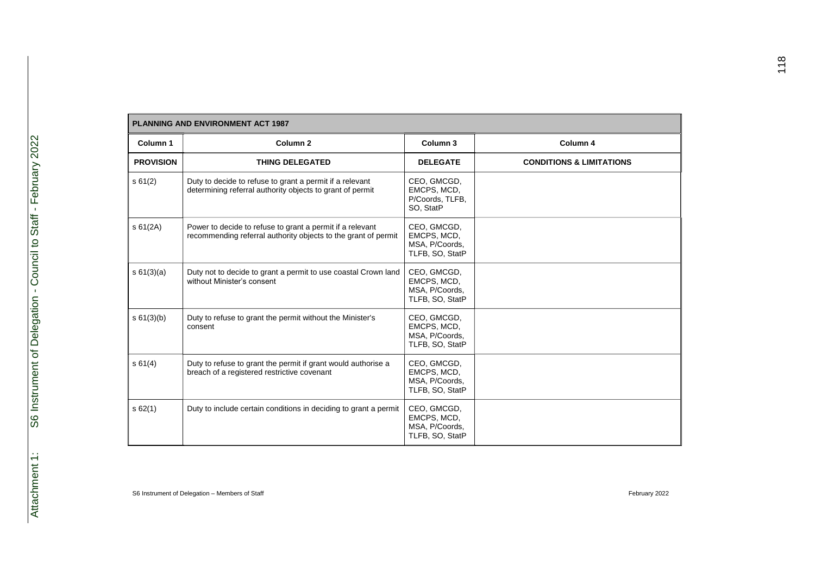| <b>PLANNING AND ENVIRONMENT ACT 1987</b> |                                                                                                                             |                                                                 |                                     |
|------------------------------------------|-----------------------------------------------------------------------------------------------------------------------------|-----------------------------------------------------------------|-------------------------------------|
| Column 1                                 | Column <sub>2</sub>                                                                                                         | Column 3                                                        | Column 4                            |
| <b>PROVISION</b>                         | <b>THING DELEGATED</b>                                                                                                      | <b>DELEGATE</b>                                                 | <b>CONDITIONS &amp; LIMITATIONS</b> |
| s61(2)                                   | Duty to decide to refuse to grant a permit if a relevant<br>determining referral authority objects to grant of permit       | CEO, GMCGD,<br>EMCPS, MCD,<br>P/Coords, TLFB,<br>SO, StatP      |                                     |
| \$61(2A)                                 | Power to decide to refuse to grant a permit if a relevant<br>recommending referral authority objects to the grant of permit | CEO, GMCGD,<br>EMCPS, MCD,<br>MSA, P/Coords,<br>TLFB, SO, StatP |                                     |
| s 61(3)(a)                               | Duty not to decide to grant a permit to use coastal Crown land<br>without Minister's consent                                | CEO, GMCGD,<br>EMCPS, MCD,<br>MSA, P/Coords,<br>TLFB, SO, StatP |                                     |
| s 61(3)(b)                               | Duty to refuse to grant the permit without the Minister's<br>consent                                                        | CEO, GMCGD,<br>EMCPS, MCD,<br>MSA, P/Coords,<br>TLFB, SO, StatP |                                     |
| s 61(4)                                  | Duty to refuse to grant the permit if grant would authorise a<br>breach of a registered restrictive covenant                | CEO, GMCGD,<br>EMCPS, MCD,<br>MSA, P/Coords,<br>TLFB, SO, StatP |                                     |
| s 62(1)                                  | Duty to include certain conditions in deciding to grant a permit                                                            | CEO, GMCGD,<br>EMCPS, MCD,<br>MSA, P/Coords,<br>TLFB, SO, StatP |                                     |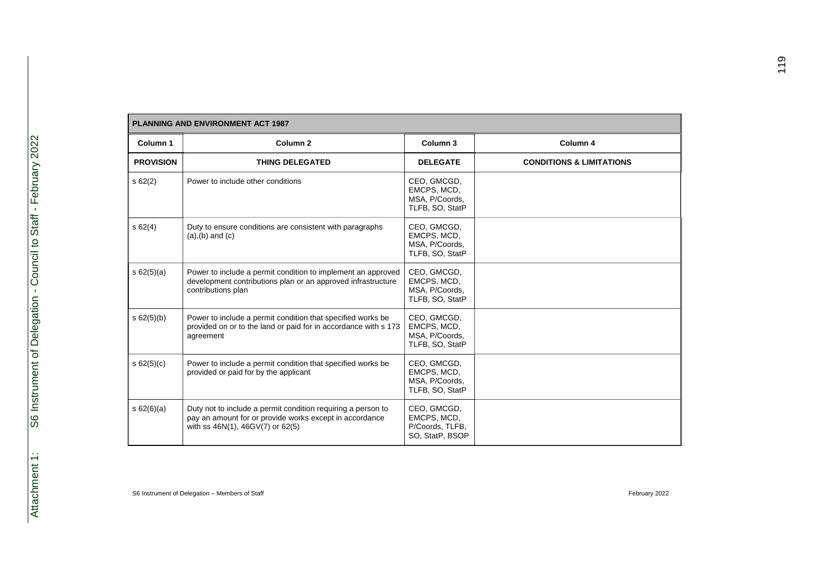| <b>PLANNING AND ENVIRONMENT ACT 1987</b> |                                                                                                                                                             |                                                                  |                                     |
|------------------------------------------|-------------------------------------------------------------------------------------------------------------------------------------------------------------|------------------------------------------------------------------|-------------------------------------|
| Column 1                                 | Column <sub>2</sub>                                                                                                                                         | Column 3                                                         | Column 4                            |
| <b>PROVISION</b>                         | <b>THING DELEGATED</b>                                                                                                                                      | <b>DELEGATE</b>                                                  | <b>CONDITIONS &amp; LIMITATIONS</b> |
| \$62(2)                                  | Power to include other conditions                                                                                                                           | CEO, GMCGD,<br>EMCPS, MCD,<br>MSA, P/Coords,<br>TLFB, SO, StatP  |                                     |
| s62(4)                                   | Duty to ensure conditions are consistent with paragraphs<br>$(a), (b)$ and $(c)$                                                                            | CEO, GMCGD,<br>EMCPS, MCD,<br>MSA, P/Coords,<br>TLFB, SO, StatP  |                                     |
| s 62(5)(a)                               | Power to include a permit condition to implement an approved<br>development contributions plan or an approved infrastructure<br>contributions plan          | CEO, GMCGD,<br>EMCPS, MCD,<br>MSA, P/Coords,<br>TLFB, SO, StatP  |                                     |
| s 62(5)(b)                               | Power to include a permit condition that specified works be<br>provided on or to the land or paid for in accordance with s 173<br>agreement                 | CEO, GMCGD,<br>EMCPS, MCD,<br>MSA, P/Coords,<br>TLFB, SO, StatP  |                                     |
| s 62(5)(c)                               | Power to include a permit condition that specified works be<br>provided or paid for by the applicant                                                        | CEO, GMCGD,<br>EMCPS, MCD,<br>MSA, P/Coords,<br>TLFB, SO, StatP  |                                     |
| s 62(6)(a)                               | Duty not to include a permit condition requiring a person to<br>pay an amount for or provide works except in accordance<br>with ss 46N(1), 46GV(7) or 62(5) | CEO, GMCGD,<br>EMCPS, MCD,<br>P/Coords, TLFB,<br>SO, StatP, BSOP |                                     |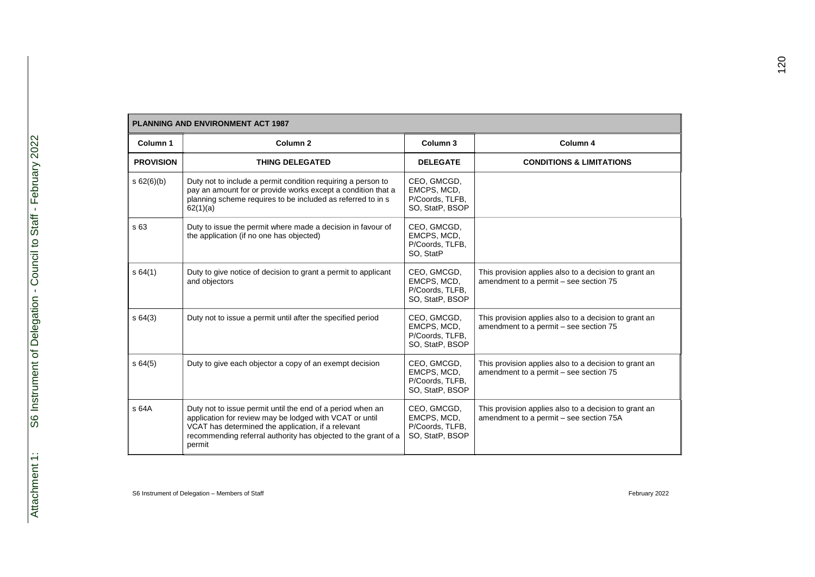|                  | <b>PLANNING AND ENVIRONMENT ACT 1987</b>                                                                                                                                                                                                                |                                                                  |                                                                                                  |  |  |
|------------------|---------------------------------------------------------------------------------------------------------------------------------------------------------------------------------------------------------------------------------------------------------|------------------------------------------------------------------|--------------------------------------------------------------------------------------------------|--|--|
| Column 1         | Column <sub>2</sub>                                                                                                                                                                                                                                     | Column 3                                                         | Column 4                                                                                         |  |  |
| <b>PROVISION</b> | <b>THING DELEGATED</b>                                                                                                                                                                                                                                  | <b>DELEGATE</b>                                                  | <b>CONDITIONS &amp; LIMITATIONS</b>                                                              |  |  |
| s 62(6)(b)       | Duty not to include a permit condition requiring a person to<br>pay an amount for or provide works except a condition that a<br>planning scheme requires to be included as referred to in s<br>62(1)(a)                                                 | CEO, GMCGD,<br>EMCPS, MCD,<br>P/Coords, TLFB,<br>SO, StatP, BSOP |                                                                                                  |  |  |
| s 63             | Duty to issue the permit where made a decision in favour of<br>the application (if no one has objected)                                                                                                                                                 | CEO, GMCGD,<br>EMCPS, MCD,<br>P/Coords, TLFB,<br>SO, StatP       |                                                                                                  |  |  |
| s64(1)           | Duty to give notice of decision to grant a permit to applicant<br>and objectors                                                                                                                                                                         | CEO, GMCGD,<br>EMCPS, MCD,<br>P/Coords, TLFB,<br>SO, StatP, BSOP | This provision applies also to a decision to grant an<br>amendment to a permit - see section 75  |  |  |
| s64(3)           | Duty not to issue a permit until after the specified period                                                                                                                                                                                             | CEO, GMCGD,<br>EMCPS, MCD,<br>P/Coords, TLFB,<br>SO, StatP, BSOP | This provision applies also to a decision to grant an<br>amendment to a permit - see section 75  |  |  |
| s64(5)           | Duty to give each objector a copy of an exempt decision                                                                                                                                                                                                 | CEO, GMCGD,<br>EMCPS, MCD,<br>P/Coords, TLFB,<br>SO, StatP, BSOP | This provision applies also to a decision to grant an<br>amendment to a permit - see section 75  |  |  |
| s 64A            | Duty not to issue permit until the end of a period when an<br>application for review may be lodged with VCAT or until<br>VCAT has determined the application, if a relevant<br>recommending referral authority has objected to the grant of a<br>permit | CEO, GMCGD,<br>EMCPS, MCD,<br>P/Coords, TLFB,<br>SO, StatP, BSOP | This provision applies also to a decision to grant an<br>amendment to a permit - see section 75A |  |  |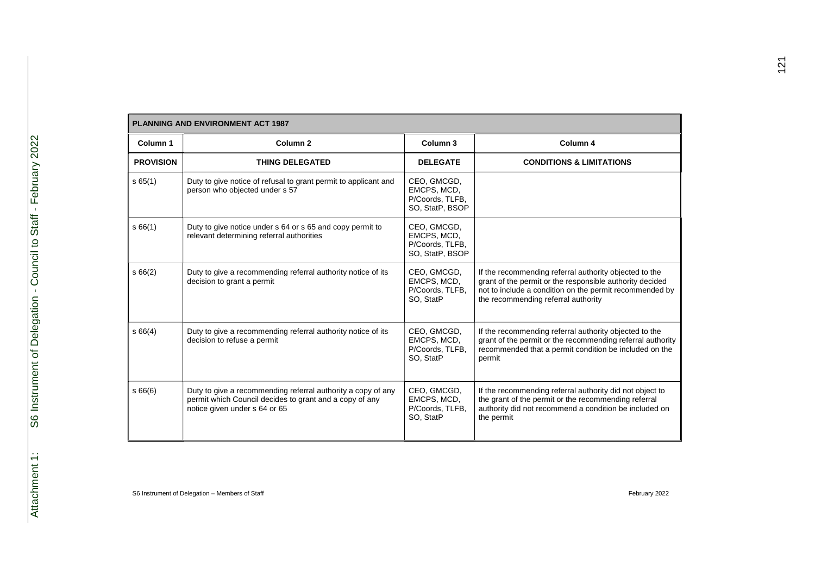| <b>PLANNING AND ENVIRONMENT ACT 1987</b> |                                                                                                                                                          |                                                                  |                                                                                                                                                                                                                      |  |
|------------------------------------------|----------------------------------------------------------------------------------------------------------------------------------------------------------|------------------------------------------------------------------|----------------------------------------------------------------------------------------------------------------------------------------------------------------------------------------------------------------------|--|
| Column 1                                 | Column <sub>2</sub>                                                                                                                                      | Column 3                                                         | Column 4                                                                                                                                                                                                             |  |
| <b>PROVISION</b>                         | <b>THING DELEGATED</b>                                                                                                                                   | <b>DELEGATE</b>                                                  | <b>CONDITIONS &amp; LIMITATIONS</b>                                                                                                                                                                                  |  |
| s65(1)                                   | Duty to give notice of refusal to grant permit to applicant and<br>person who objected under s 57                                                        | CEO, GMCGD,<br>EMCPS, MCD,<br>P/Coords, TLFB,<br>SO, StatP, BSOP |                                                                                                                                                                                                                      |  |
| s66(1)                                   | Duty to give notice under s 64 or s 65 and copy permit to<br>relevant determining referral authorities                                                   | CEO, GMCGD,<br>EMCPS, MCD,<br>P/Coords, TLFB,<br>SO, StatP, BSOP |                                                                                                                                                                                                                      |  |
| \$66(2)                                  | Duty to give a recommending referral authority notice of its<br>decision to grant a permit                                                               | CEO, GMCGD,<br>EMCPS, MCD,<br>P/Coords, TLFB,<br>SO, StatP       | If the recommending referral authority objected to the<br>grant of the permit or the responsible authority decided<br>not to include a condition on the permit recommended by<br>the recommending referral authority |  |
| s66(4)                                   | Duty to give a recommending referral authority notice of its<br>decision to refuse a permit                                                              | CEO, GMCGD,<br>EMCPS, MCD,<br>P/Coords, TLFB,<br>SO, StatP       | If the recommending referral authority objected to the<br>grant of the permit or the recommending referral authority<br>recommended that a permit condition be included on the<br>permit                             |  |
| \$66(6)                                  | Duty to give a recommending referral authority a copy of any<br>permit which Council decides to grant and a copy of any<br>notice given under s 64 or 65 | CEO, GMCGD,<br>EMCPS, MCD,<br>P/Coords, TLFB,<br>SO, StatP       | If the recommending referral authority did not object to<br>the grant of the permit or the recommending referral<br>authority did not recommend a condition be included on<br>the permit                             |  |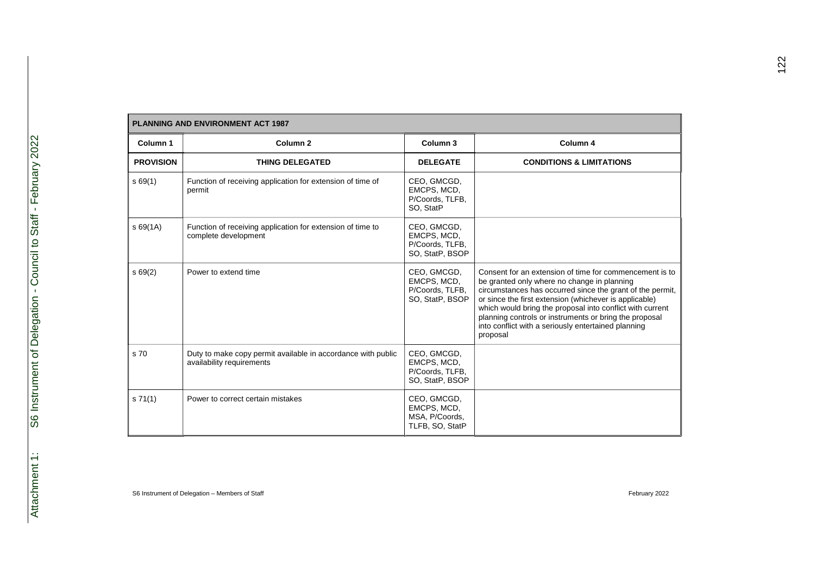| <b>PLANNING AND ENVIRONMENT ACT 1987</b> |                                                                                           |                                                                  |                                                                                                                                                                                                                                                                                                                                                                                                                         |  |
|------------------------------------------|-------------------------------------------------------------------------------------------|------------------------------------------------------------------|-------------------------------------------------------------------------------------------------------------------------------------------------------------------------------------------------------------------------------------------------------------------------------------------------------------------------------------------------------------------------------------------------------------------------|--|
| Column 1                                 | Column <sub>2</sub>                                                                       | Column <sub>3</sub>                                              | Column 4                                                                                                                                                                                                                                                                                                                                                                                                                |  |
| <b>PROVISION</b>                         | <b>THING DELEGATED</b>                                                                    | <b>DELEGATE</b>                                                  | <b>CONDITIONS &amp; LIMITATIONS</b>                                                                                                                                                                                                                                                                                                                                                                                     |  |
| s69(1)                                   | Function of receiving application for extension of time of<br>permit                      | CEO, GMCGD,<br>EMCPS, MCD,<br>P/Coords, TLFB,<br>SO, StatP       |                                                                                                                                                                                                                                                                                                                                                                                                                         |  |
| \$69(1A)                                 | Function of receiving application for extension of time to<br>complete development        | CEO, GMCGD,<br>EMCPS, MCD,<br>P/Coords, TLFB,<br>SO, StatP, BSOP |                                                                                                                                                                                                                                                                                                                                                                                                                         |  |
| s69(2)                                   | Power to extend time                                                                      | CEO, GMCGD,<br>EMCPS, MCD,<br>P/Coords, TLFB,<br>SO, StatP, BSOP | Consent for an extension of time for commencement is to<br>be granted only where no change in planning<br>circumstances has occurred since the grant of the permit,<br>or since the first extension (whichever is applicable)<br>which would bring the proposal into conflict with current<br>planning controls or instruments or bring the proposal<br>into conflict with a seriously entertained planning<br>proposal |  |
| s 70                                     | Duty to make copy permit available in accordance with public<br>availability requirements | CEO, GMCGD,<br>EMCPS, MCD,<br>P/Coords, TLFB,<br>SO, StatP, BSOP |                                                                                                                                                                                                                                                                                                                                                                                                                         |  |
| s 71(1)                                  | Power to correct certain mistakes                                                         | CEO, GMCGD,<br>EMCPS, MCD,<br>MSA, P/Coords,<br>TLFB, SO, StatP  |                                                                                                                                                                                                                                                                                                                                                                                                                         |  |

Г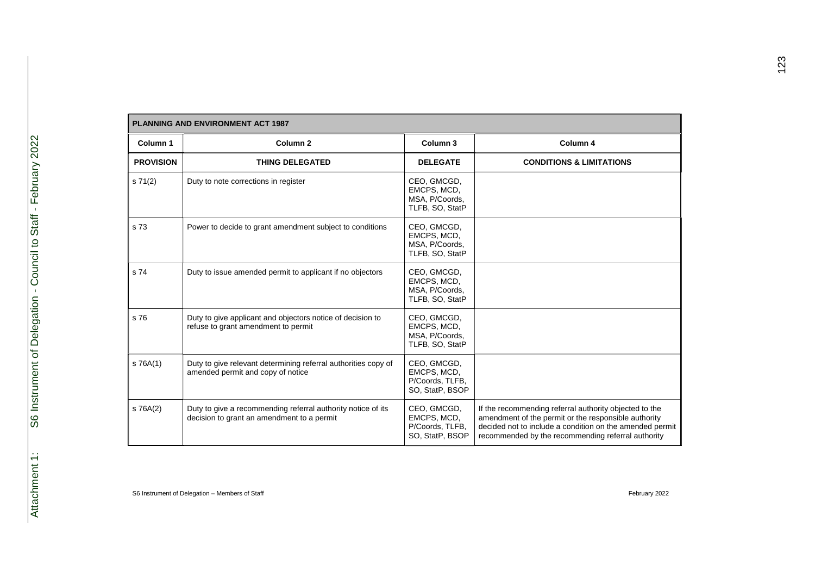| <b>PLANNING AND ENVIRONMENT ACT 1987</b> |                                                                                                            |                                                                  |                                                                                                                                                                                                                                  |  |
|------------------------------------------|------------------------------------------------------------------------------------------------------------|------------------------------------------------------------------|----------------------------------------------------------------------------------------------------------------------------------------------------------------------------------------------------------------------------------|--|
| Column 1                                 | Column <sub>2</sub>                                                                                        | Column <sub>3</sub>                                              | Column 4                                                                                                                                                                                                                         |  |
| <b>PROVISION</b>                         | <b>THING DELEGATED</b>                                                                                     | <b>DELEGATE</b>                                                  | <b>CONDITIONS &amp; LIMITATIONS</b>                                                                                                                                                                                              |  |
| s 71(2)                                  | Duty to note corrections in register                                                                       | CEO, GMCGD,<br>EMCPS, MCD,<br>MSA, P/Coords,<br>TLFB, SO, StatP  |                                                                                                                                                                                                                                  |  |
| s 73                                     | Power to decide to grant amendment subject to conditions                                                   | CEO, GMCGD,<br>EMCPS, MCD,<br>MSA, P/Coords,<br>TLFB, SO, StatP  |                                                                                                                                                                                                                                  |  |
| s 74                                     | Duty to issue amended permit to applicant if no objectors                                                  | CEO, GMCGD,<br>EMCPS, MCD,<br>MSA, P/Coords,<br>TLFB, SO, StatP  |                                                                                                                                                                                                                                  |  |
| s 76                                     | Duty to give applicant and objectors notice of decision to<br>refuse to grant amendment to permit          | CEO, GMCGD,<br>EMCPS, MCD,<br>MSA, P/Coords,<br>TLFB, SO, StatP  |                                                                                                                                                                                                                                  |  |
| s 76A(1)                                 | Duty to give relevant determining referral authorities copy of<br>amended permit and copy of notice        | CEO, GMCGD,<br>EMCPS, MCD,<br>P/Coords, TLFB,<br>SO, StatP, BSOP |                                                                                                                                                                                                                                  |  |
| s 76A(2)                                 | Duty to give a recommending referral authority notice of its<br>decision to grant an amendment to a permit | CEO, GMCGD,<br>EMCPS, MCD,<br>P/Coords, TLFB,<br>SO, StatP, BSOP | If the recommending referral authority objected to the<br>amendment of the permit or the responsible authority<br>decided not to include a condition on the amended permit<br>recommended by the recommending referral authority |  |

Г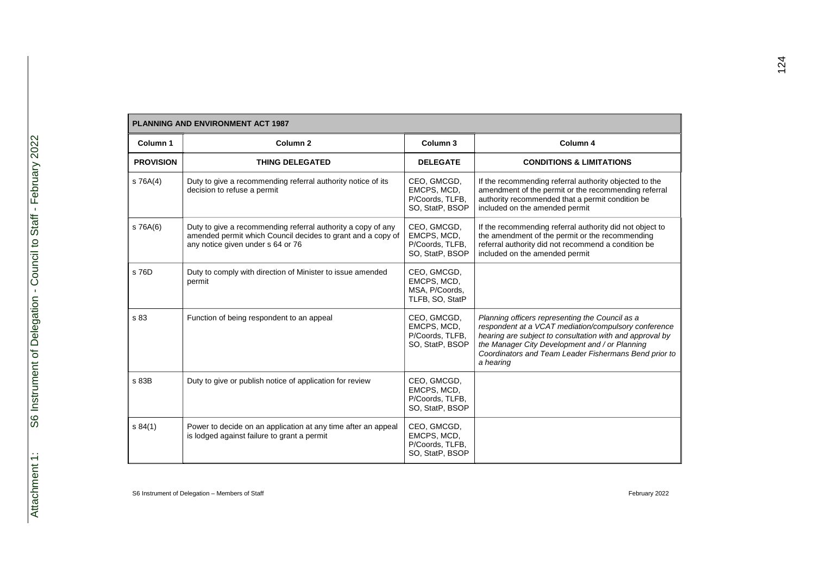| <b>PLANNING AND ENVIRONMENT ACT 1987</b> |                                                                                                                                                                  |                                                                  |                                                                                                                                                                                                                                                                                             |  |
|------------------------------------------|------------------------------------------------------------------------------------------------------------------------------------------------------------------|------------------------------------------------------------------|---------------------------------------------------------------------------------------------------------------------------------------------------------------------------------------------------------------------------------------------------------------------------------------------|--|
| Column 1                                 | Column <sub>2</sub>                                                                                                                                              | Column <sub>3</sub>                                              | Column 4                                                                                                                                                                                                                                                                                    |  |
| <b>PROVISION</b>                         | <b>THING DELEGATED</b>                                                                                                                                           | <b>DELEGATE</b>                                                  | <b>CONDITIONS &amp; LIMITATIONS</b>                                                                                                                                                                                                                                                         |  |
| $S$ 76A $(4)$                            | Duty to give a recommending referral authority notice of its<br>decision to refuse a permit                                                                      | CEO, GMCGD,<br>EMCPS, MCD,<br>P/Coords, TLFB,<br>SO, StatP, BSOP | If the recommending referral authority objected to the<br>amendment of the permit or the recommending referral<br>authority recommended that a permit condition be<br>included on the amended permit                                                                                        |  |
| s 76A(6)                                 | Duty to give a recommending referral authority a copy of any<br>amended permit which Council decides to grant and a copy of<br>any notice given under s 64 or 76 | CEO, GMCGD,<br>EMCPS, MCD,<br>P/Coords, TLFB,<br>SO, StatP, BSOP | If the recommending referral authority did not object to<br>the amendment of the permit or the recommending<br>referral authority did not recommend a condition be<br>included on the amended permit                                                                                        |  |
| s 76D                                    | Duty to comply with direction of Minister to issue amended<br>permit                                                                                             | CEO, GMCGD,<br>EMCPS, MCD,<br>MSA, P/Coords,<br>TLFB, SO, StatP  |                                                                                                                                                                                                                                                                                             |  |
| s 83                                     | Function of being respondent to an appeal                                                                                                                        | CEO, GMCGD,<br>EMCPS, MCD,<br>P/Coords, TLFB,<br>SO, StatP, BSOP | Planning officers representing the Council as a<br>respondent at a VCAT mediation/compulsory conference<br>hearing are subject to consultation with and approval by<br>the Manager City Development and / or Planning<br>Coordinators and Team Leader Fishermans Bend prior to<br>a hearing |  |
| s 83B                                    | Duty to give or publish notice of application for review                                                                                                         | CEO, GMCGD,<br>EMCPS, MCD,<br>P/Coords, TLFB,<br>SO, StatP, BSOP |                                                                                                                                                                                                                                                                                             |  |
| s 84(1)                                  | Power to decide on an application at any time after an appeal<br>is lodged against failure to grant a permit                                                     | CEO, GMCGD,<br>EMCPS, MCD,<br>P/Coords, TLFB,<br>SO, StatP, BSOP |                                                                                                                                                                                                                                                                                             |  |

S6 Instrument of Delegation – Members of Staff February 2022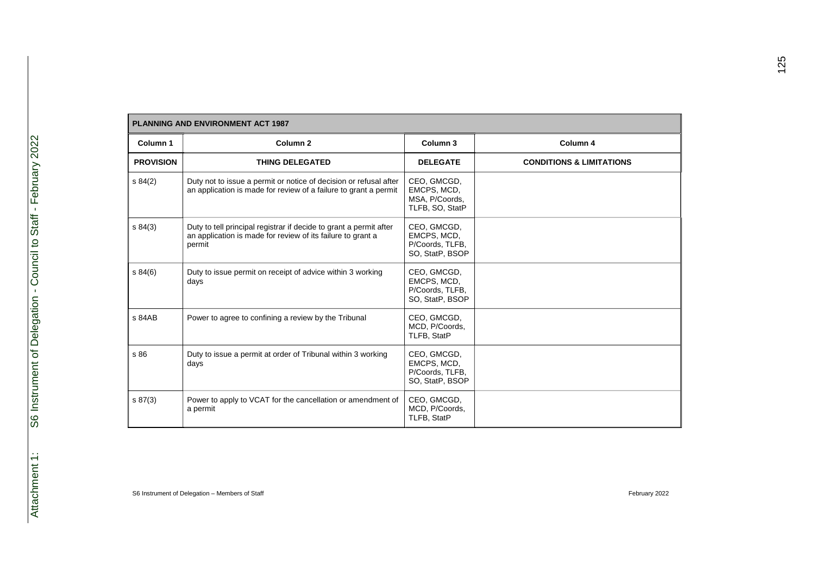| <b>PLANNING AND ENVIRONMENT ACT 1987</b> |                                                                                                                                             |                                                                  |                                     |  |
|------------------------------------------|---------------------------------------------------------------------------------------------------------------------------------------------|------------------------------------------------------------------|-------------------------------------|--|
| Column 1                                 | Column <sub>2</sub>                                                                                                                         | Column 3                                                         | Column 4                            |  |
| <b>PROVISION</b>                         | <b>THING DELEGATED</b>                                                                                                                      | <b>DELEGATE</b>                                                  | <b>CONDITIONS &amp; LIMITATIONS</b> |  |
| \$84(2)                                  | Duty not to issue a permit or notice of decision or refusal after<br>an application is made for review of a failure to grant a permit       | CEO, GMCGD,<br>EMCPS, MCD,<br>MSA, P/Coords,<br>TLFB, SO, StatP  |                                     |  |
| s 84(3)                                  | Duty to tell principal registrar if decide to grant a permit after<br>an application is made for review of its failure to grant a<br>permit | CEO, GMCGD,<br>EMCPS, MCD,<br>P/Coords, TLFB,<br>SO, StatP, BSOP |                                     |  |
| \$84(6)                                  | Duty to issue permit on receipt of advice within 3 working<br>days                                                                          | CEO, GMCGD,<br>EMCPS, MCD,<br>P/Coords, TLFB,<br>SO, StatP, BSOP |                                     |  |
| s 84AB                                   | Power to agree to confining a review by the Tribunal                                                                                        | CEO, GMCGD,<br>MCD, P/Coords,<br>TLFB, StatP                     |                                     |  |
| s 86                                     | Duty to issue a permit at order of Tribunal within 3 working<br>days                                                                        | CEO, GMCGD,<br>EMCPS, MCD,<br>P/Coords, TLFB,<br>SO, StatP, BSOP |                                     |  |
| \$87(3)                                  | Power to apply to VCAT for the cancellation or amendment of<br>a permit                                                                     | CEO, GMCGD,<br>MCD, P/Coords,<br>TLFB, StatP                     |                                     |  |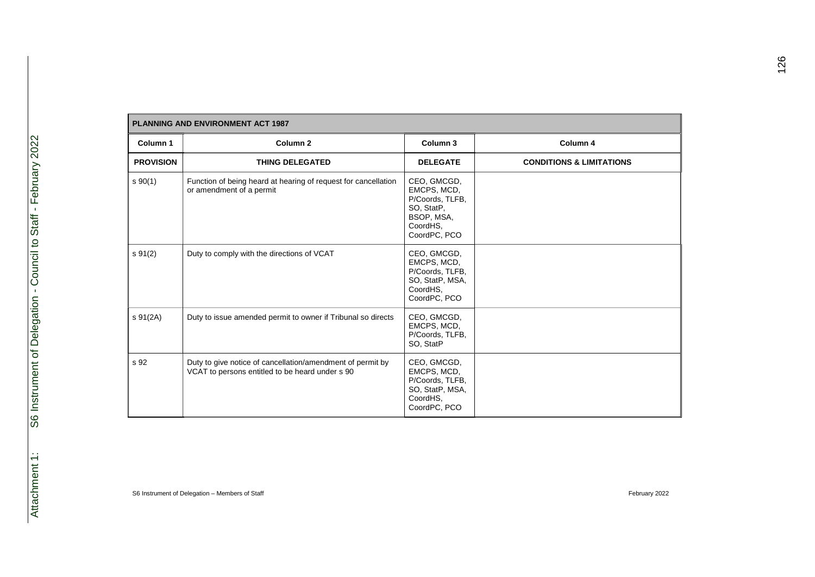| <b>PLANNING AND ENVIRONMENT ACT 1987</b> |                                                                                                               |                                                                                                       |                                     |  |
|------------------------------------------|---------------------------------------------------------------------------------------------------------------|-------------------------------------------------------------------------------------------------------|-------------------------------------|--|
| Column 1                                 | Column <sub>2</sub>                                                                                           | Column 3                                                                                              | Column 4                            |  |
| <b>PROVISION</b>                         | <b>THING DELEGATED</b>                                                                                        | <b>DELEGATE</b>                                                                                       | <b>CONDITIONS &amp; LIMITATIONS</b> |  |
| $s \ 90(1)$                              | Function of being heard at hearing of request for cancellation<br>or amendment of a permit                    | CEO, GMCGD,<br>EMCPS, MCD,<br>P/Coords, TLFB,<br>SO, StatP,<br>BSOP, MSA,<br>CoordHS.<br>CoordPC, PCO |                                     |  |
| $s \, 91(2)$                             | Duty to comply with the directions of VCAT                                                                    | CEO, GMCGD,<br>EMCPS, MCD,<br>P/Coords, TLFB,<br>SO, StatP, MSA,<br>CoordHS,<br>CoordPC, PCO          |                                     |  |
| s 91(2A)                                 | Duty to issue amended permit to owner if Tribunal so directs                                                  | CEO, GMCGD,<br>EMCPS, MCD,<br>P/Coords, TLFB,<br>SO, StatP                                            |                                     |  |
| s 92                                     | Duty to give notice of cancellation/amendment of permit by<br>VCAT to persons entitled to be heard under s 90 | CEO, GMCGD,<br>EMCPS, MCD,<br>P/Coords, TLFB,<br>SO, StatP, MSA,<br>CoordHS.<br>CoordPC, PCO          |                                     |  |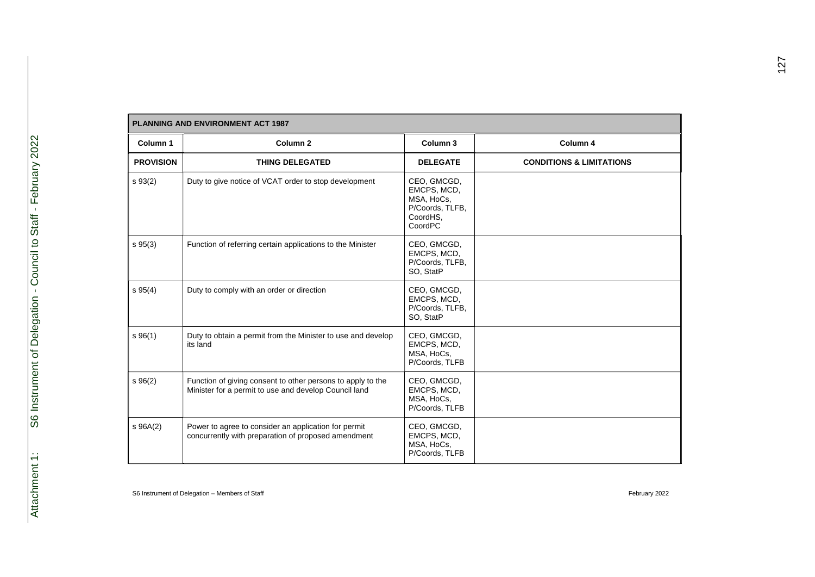| Column 1         | Column <sub>2</sub>                                                                                                  | Column 3                                                                           | Column 4                            |
|------------------|----------------------------------------------------------------------------------------------------------------------|------------------------------------------------------------------------------------|-------------------------------------|
| <b>PROVISION</b> | <b>THING DELEGATED</b>                                                                                               | <b>DELEGATE</b>                                                                    | <b>CONDITIONS &amp; LIMITATIONS</b> |
| $s \, 93(2)$     | Duty to give notice of VCAT order to stop development                                                                | CEO, GMCGD,<br>EMCPS, MCD,<br>MSA, HoCs,<br>P/Coords, TLFB,<br>CoordHS,<br>CoordPC |                                     |
| $s \; 95(3)$     | Function of referring certain applications to the Minister                                                           | CEO, GMCGD,<br>EMCPS, MCD,<br>P/Coords, TLFB,<br>SO, StatP                         |                                     |
| $s \, 95(4)$     | Duty to comply with an order or direction                                                                            | CEO, GMCGD,<br>EMCPS, MCD,<br>P/Coords, TLFB,<br>SO, StatP                         |                                     |
| $s \, 96(1)$     | Duty to obtain a permit from the Minister to use and develop<br>its land                                             | CEO, GMCGD,<br>EMCPS, MCD,<br>MSA, HoCs,<br>P/Coords, TLFB                         |                                     |
| $s \, 96(2)$     | Function of giving consent to other persons to apply to the<br>Minister for a permit to use and develop Council land | CEO, GMCGD,<br>EMCPS, MCD,<br>MSA, HoCs,<br>P/Coords, TLFB                         |                                     |
| $S\ 96A(2)$      | Power to agree to consider an application for permit<br>concurrently with preparation of proposed amendment          | CEO, GMCGD,<br>EMCPS, MCD,<br>MSA, HoCs,<br>P/Coords, TLFB                         |                                     |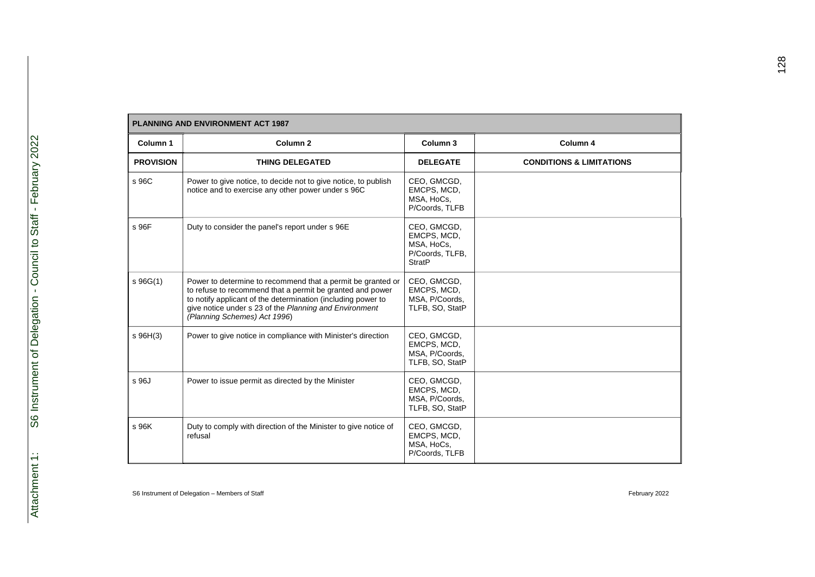| Column 1         | Column <sub>2</sub>                                                                                                                                                                                                                                                                | Column <sub>3</sub>                                                          | Column 4                            |
|------------------|------------------------------------------------------------------------------------------------------------------------------------------------------------------------------------------------------------------------------------------------------------------------------------|------------------------------------------------------------------------------|-------------------------------------|
| <b>PROVISION</b> | <b>THING DELEGATED</b>                                                                                                                                                                                                                                                             | <b>DELEGATE</b>                                                              | <b>CONDITIONS &amp; LIMITATIONS</b> |
| s 96C            | Power to give notice, to decide not to give notice, to publish<br>notice and to exercise any other power under s 96C                                                                                                                                                               | CEO, GMCGD,<br>EMCPS, MCD,<br>MSA, HoCs,<br>P/Coords, TLFB                   |                                     |
| s 96F            | Duty to consider the panel's report under s 96E                                                                                                                                                                                                                                    | CEO, GMCGD,<br>EMCPS, MCD,<br>MSA, HoCs,<br>P/Coords, TLFB,<br><b>StratP</b> |                                     |
| $S\ 96G(1)$      | Power to determine to recommend that a permit be granted or<br>to refuse to recommend that a permit be granted and power<br>to notify applicant of the determination (including power to<br>give notice under s 23 of the Planning and Environment<br>(Planning Schemes) Act 1996) | CEO, GMCGD,<br>EMCPS, MCD,<br>MSA, P/Coords,<br>TLFB, SO, StatP              |                                     |
| $s$ 96H(3)       | Power to give notice in compliance with Minister's direction                                                                                                                                                                                                                       | CEO, GMCGD,<br>EMCPS, MCD,<br>MSA, P/Coords,<br>TLFB, SO, StatP              |                                     |
| s 96J            | Power to issue permit as directed by the Minister                                                                                                                                                                                                                                  | CEO, GMCGD,<br>EMCPS, MCD,<br>MSA, P/Coords,<br>TLFB, SO, StatP              |                                     |
| s 96K            | Duty to comply with direction of the Minister to give notice of<br>refusal                                                                                                                                                                                                         | CEO, GMCGD,<br>EMCPS, MCD,<br>MSA, HoCs,<br>P/Coords, TLFB                   |                                     |

Г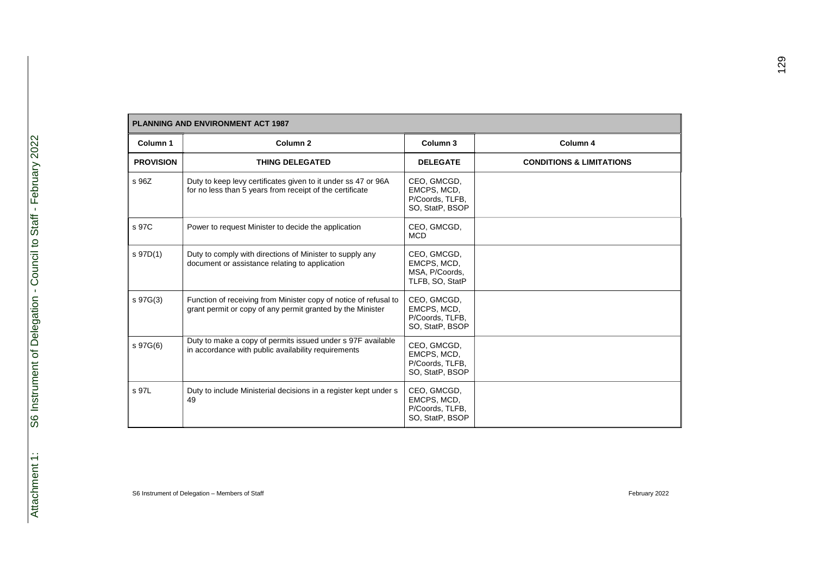| <b>PLANNING AND ENVIRONMENT ACT 1987</b> |                                                                                                                                |                                                                  |                                     |  |
|------------------------------------------|--------------------------------------------------------------------------------------------------------------------------------|------------------------------------------------------------------|-------------------------------------|--|
| Column 1                                 | Column <sub>2</sub>                                                                                                            | Column 3                                                         | Column 4                            |  |
| <b>PROVISION</b>                         | <b>THING DELEGATED</b>                                                                                                         | <b>DELEGATE</b>                                                  | <b>CONDITIONS &amp; LIMITATIONS</b> |  |
| s 96Z                                    | Duty to keep levy certificates given to it under ss 47 or 96A<br>for no less than 5 years from receipt of the certificate      | CEO, GMCGD,<br>EMCPS, MCD,<br>P/Coords, TLFB,<br>SO, StatP, BSOP |                                     |  |
| s 97C                                    | Power to request Minister to decide the application                                                                            | CEO, GMCGD,<br><b>MCD</b>                                        |                                     |  |
| s 97D(1)                                 | Duty to comply with directions of Minister to supply any<br>document or assistance relating to application                     | CEO, GMCGD,<br>EMCPS, MCD,<br>MSA, P/Coords,<br>TLFB, SO, StatP  |                                     |  |
| s 97G(3)                                 | Function of receiving from Minister copy of notice of refusal to<br>grant permit or copy of any permit granted by the Minister | CEO, GMCGD,<br>EMCPS, MCD,<br>P/Coords, TLFB,<br>SO, StatP, BSOP |                                     |  |
| s 97G(6)                                 | Duty to make a copy of permits issued under s 97F available<br>in accordance with public availability requirements             | CEO, GMCGD,<br>EMCPS, MCD,<br>P/Coords, TLFB,<br>SO, StatP, BSOP |                                     |  |
| s 97L                                    | Duty to include Ministerial decisions in a register kept under s<br>49                                                         | CEO, GMCGD,<br>EMCPS, MCD,<br>P/Coords, TLFB,<br>SO, StatP, BSOP |                                     |  |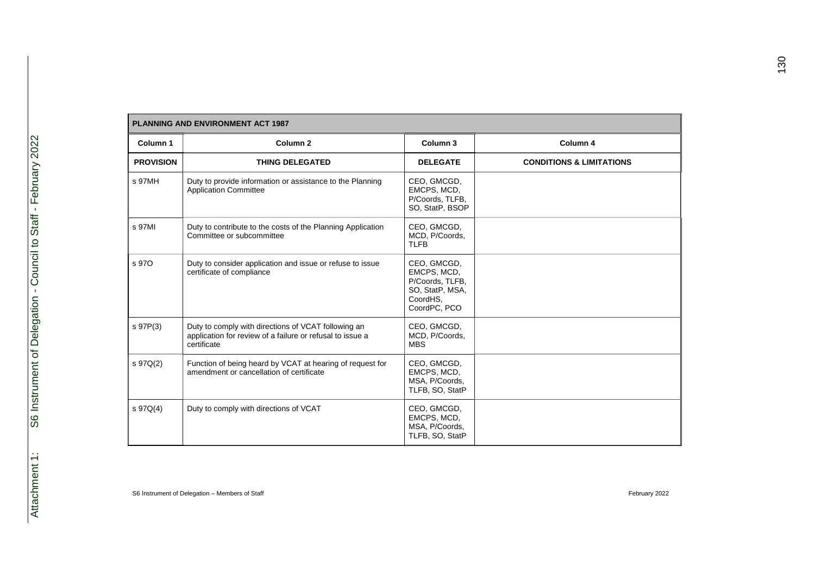| <b>PLANNING AND ENVIRONMENT ACT 1987</b> |                                                                                                                                 |                                                                                              |                                     |  |
|------------------------------------------|---------------------------------------------------------------------------------------------------------------------------------|----------------------------------------------------------------------------------------------|-------------------------------------|--|
| Column 1                                 | Column <sub>2</sub>                                                                                                             | Column 3                                                                                     | Column 4                            |  |
| <b>PROVISION</b>                         | <b>THING DELEGATED</b>                                                                                                          | <b>DELEGATE</b>                                                                              | <b>CONDITIONS &amp; LIMITATIONS</b> |  |
| s 97MH                                   | Duty to provide information or assistance to the Planning<br><b>Application Committee</b>                                       | CEO, GMCGD,<br>EMCPS, MCD,<br>P/Coords, TLFB,<br>SO, StatP, BSOP                             |                                     |  |
| s 97MI                                   | Duty to contribute to the costs of the Planning Application<br>Committee or subcommittee                                        | CEO, GMCGD,<br>MCD, P/Coords,<br><b>TLFB</b>                                                 |                                     |  |
| s 970                                    | Duty to consider application and issue or refuse to issue<br>certificate of compliance                                          | CEO, GMCGD,<br>EMCPS, MCD,<br>P/Coords, TLFB,<br>SO, StatP, MSA,<br>CoordHS.<br>CoordPC, PCO |                                     |  |
| s 97P(3)                                 | Duty to comply with directions of VCAT following an<br>application for review of a failure or refusal to issue a<br>certificate | CEO, GMCGD,<br>MCD, P/Coords,<br><b>MBS</b>                                                  |                                     |  |
| s 97Q(2)                                 | Function of being heard by VCAT at hearing of request for<br>amendment or cancellation of certificate                           | CEO, GMCGD,<br>EMCPS, MCD,<br>MSA, P/Coords,<br>TLFB, SO, StatP                              |                                     |  |
| $S\ 97Q(4)$                              | Duty to comply with directions of VCAT                                                                                          | CEO, GMCGD,<br>EMCPS, MCD,<br>MSA, P/Coords,<br>TLFB, SO, StatP                              |                                     |  |

Г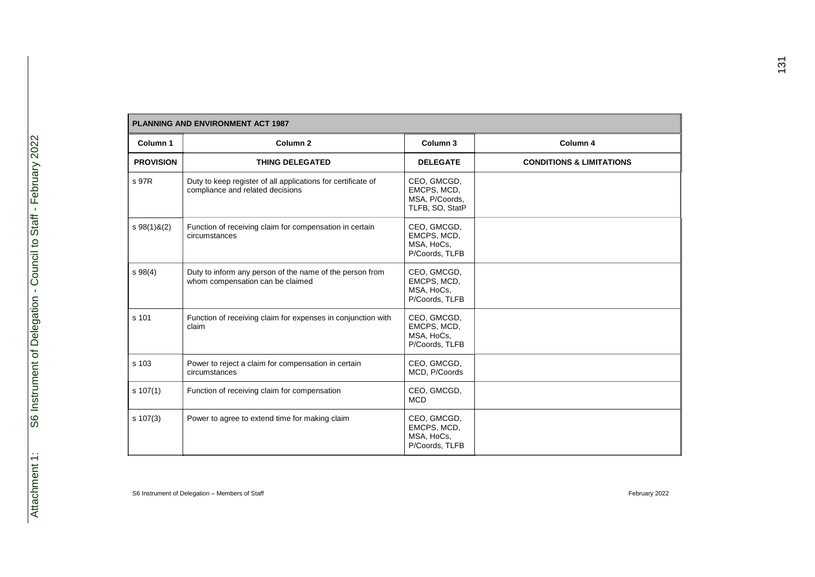| <b>PLANNING AND ENVIRONMENT ACT 1987</b> |                                                                                                  |                                                                 |                                     |  |
|------------------------------------------|--------------------------------------------------------------------------------------------------|-----------------------------------------------------------------|-------------------------------------|--|
| Column 1                                 | Column <sub>2</sub>                                                                              | Column 3                                                        | Column 4                            |  |
| <b>PROVISION</b>                         | <b>THING DELEGATED</b>                                                                           | <b>DELEGATE</b>                                                 | <b>CONDITIONS &amp; LIMITATIONS</b> |  |
| s 97R                                    | Duty to keep register of all applications for certificate of<br>compliance and related decisions | CEO, GMCGD,<br>EMCPS, MCD,<br>MSA, P/Coords,<br>TLFB, SO, StatP |                                     |  |
| $$98(1)$ &(2)                            | Function of receiving claim for compensation in certain<br>circumstances                         | CEO, GMCGD,<br>EMCPS, MCD,<br>MSA, HoCs,<br>P/Coords, TLFB      |                                     |  |
| $s \, 98(4)$                             | Duty to inform any person of the name of the person from<br>whom compensation can be claimed     | CEO, GMCGD,<br>EMCPS, MCD,<br>MSA, HoCs,<br>P/Coords, TLFB      |                                     |  |
| s 101                                    | Function of receiving claim for expenses in conjunction with<br>claim                            | CEO, GMCGD,<br>EMCPS, MCD,<br>MSA, HoCs,<br>P/Coords, TLFB      |                                     |  |
| s 103                                    | Power to reject a claim for compensation in certain<br>circumstances                             | CEO, GMCGD,<br>MCD, P/Coords                                    |                                     |  |
| $s \ 107(1)$                             | Function of receiving claim for compensation                                                     | CEO, GMCGD,<br><b>MCD</b>                                       |                                     |  |
| $s \ 107(3)$                             | Power to agree to extend time for making claim                                                   | CEO, GMCGD,<br>EMCPS, MCD,<br>MSA, HoCs,<br>P/Coords, TLFB      |                                     |  |

Г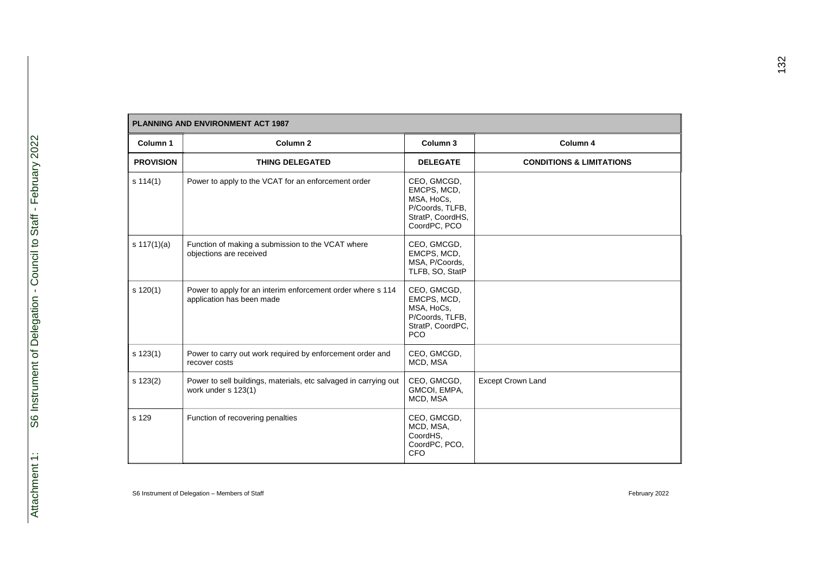| Column 1         | Column <sub>2</sub>                                                                      | Column 3                                                                                        | Column 4                            |
|------------------|------------------------------------------------------------------------------------------|-------------------------------------------------------------------------------------------------|-------------------------------------|
| <b>PROVISION</b> | <b>THING DELEGATED</b>                                                                   | <b>DELEGATE</b>                                                                                 | <b>CONDITIONS &amp; LIMITATIONS</b> |
| s 114(1)         | Power to apply to the VCAT for an enforcement order                                      | CEO, GMCGD,<br>EMCPS, MCD,<br>MSA, HoCs,<br>P/Coords, TLFB,<br>StratP, CoordHS,<br>CoordPC, PCO |                                     |
| s $117(1)(a)$    | Function of making a submission to the VCAT where<br>objections are received             | CEO, GMCGD,<br>EMCPS, MCD,<br>MSA, P/Coords,<br>TLFB, SO, StatP                                 |                                     |
| $s$ 120(1)       | Power to apply for an interim enforcement order where s 114<br>application has been made | CEO, GMCGD,<br>EMCPS, MCD,<br>MSA, HoCs,<br>P/Coords, TLFB,<br>StratP, CoordPC,<br><b>PCO</b>   |                                     |
| $s$ 123(1)       | Power to carry out work required by enforcement order and<br>recover costs               | CEO, GMCGD,<br>MCD, MSA                                                                         |                                     |
| $s$ 123(2)       | Power to sell buildings, materials, etc salvaged in carrying out<br>work under s 123(1)  | CEO, GMCGD,<br>GMCOI, EMPA,<br>MCD, MSA                                                         | <b>Except Crown Land</b>            |
| s 129            | Function of recovering penalties                                                         | CEO, GMCGD,<br>MCD, MSA,<br>CoordHS,<br>CoordPC, PCO,<br><b>CFO</b>                             |                                     |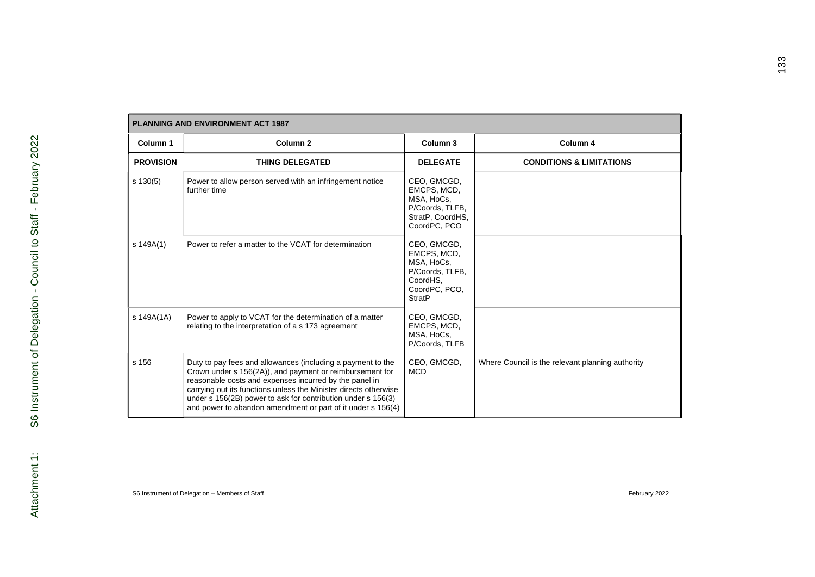| <b>PLANNING AND ENVIRONMENT ACT 1987</b> |                                                                                                                                                                                                                                                                                                                                                                                      |                                                                                                           |                                                  |  |  |
|------------------------------------------|--------------------------------------------------------------------------------------------------------------------------------------------------------------------------------------------------------------------------------------------------------------------------------------------------------------------------------------------------------------------------------------|-----------------------------------------------------------------------------------------------------------|--------------------------------------------------|--|--|
| Column 1                                 | Column <sub>2</sub>                                                                                                                                                                                                                                                                                                                                                                  | Column <sub>3</sub>                                                                                       | Column 4                                         |  |  |
| <b>PROVISION</b>                         | <b>THING DELEGATED</b>                                                                                                                                                                                                                                                                                                                                                               | <b>DELEGATE</b>                                                                                           | <b>CONDITIONS &amp; LIMITATIONS</b>              |  |  |
| $s \ 130(5)$                             | Power to allow person served with an infringement notice<br>further time                                                                                                                                                                                                                                                                                                             | CEO, GMCGD,<br>EMCPS, MCD,<br>MSA, HoCs,<br>P/Coords, TLFB,<br>StratP, CoordHS,<br>CoordPC, PCO           |                                                  |  |  |
| s 149A(1)                                | Power to refer a matter to the VCAT for determination                                                                                                                                                                                                                                                                                                                                | CEO, GMCGD,<br>EMCPS, MCD,<br>MSA, HoCs,<br>P/Coords, TLFB,<br>CoordHS.<br>CoordPC, PCO,<br><b>StratP</b> |                                                  |  |  |
| s 149A(1A)                               | Power to apply to VCAT for the determination of a matter<br>relating to the interpretation of a s 173 agreement                                                                                                                                                                                                                                                                      | CEO, GMCGD,<br>EMCPS, MCD,<br>MSA, HoCs,<br>P/Coords, TLFB                                                |                                                  |  |  |
| s 156                                    | Duty to pay fees and allowances (including a payment to the<br>Crown under s 156(2A)), and payment or reimbursement for<br>reasonable costs and expenses incurred by the panel in<br>carrying out its functions unless the Minister directs otherwise<br>under s 156(2B) power to ask for contribution under s 156(3)<br>and power to abandon amendment or part of it under s 156(4) | CEO, GMCGD,<br><b>MCD</b>                                                                                 | Where Council is the relevant planning authority |  |  |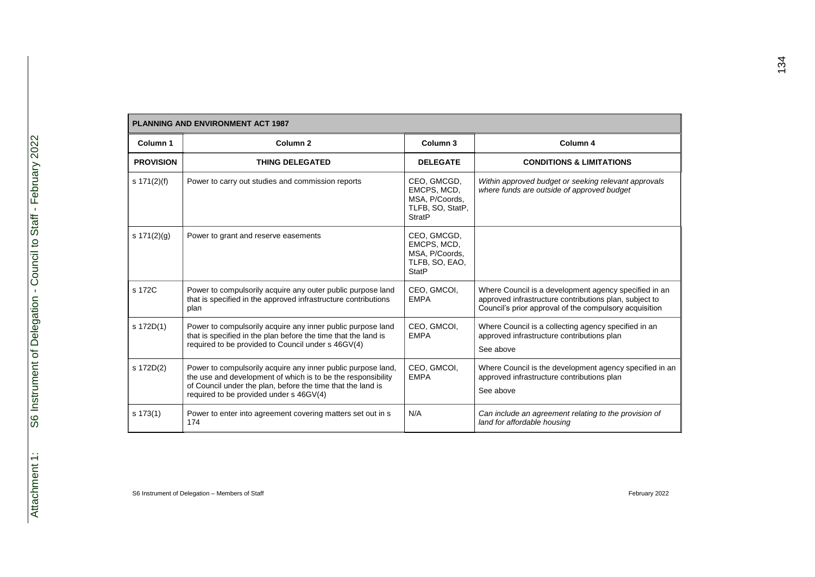| Column <sub>1</sub> | Column <sub>2</sub>                                                                                                                                                                                                                    | Column 3                                                                          | Column 4                                                                                                                                                                  |
|---------------------|----------------------------------------------------------------------------------------------------------------------------------------------------------------------------------------------------------------------------------------|-----------------------------------------------------------------------------------|---------------------------------------------------------------------------------------------------------------------------------------------------------------------------|
| <b>PROVISION</b>    | <b>THING DELEGATED</b>                                                                                                                                                                                                                 | <b>DELEGATE</b>                                                                   | <b>CONDITIONS &amp; LIMITATIONS</b>                                                                                                                                       |
| s 171(2)(f)         | Power to carry out studies and commission reports                                                                                                                                                                                      | CEO, GMCGD,<br>EMCPS, MCD,<br>MSA, P/Coords,<br>TLFB, SO, StatP,<br><b>StratP</b> | Within approved budget or seeking relevant approvals<br>where funds are outside of approved budget                                                                        |
| s $171(2)(g)$       | Power to grant and reserve easements                                                                                                                                                                                                   | CEO, GMCGD,<br>EMCPS, MCD,<br>MSA, P/Coords,<br>TLFB, SO, EAO,<br><b>StatP</b>    |                                                                                                                                                                           |
| s 172C              | Power to compulsorily acquire any outer public purpose land<br>that is specified in the approved infrastructure contributions<br>plan                                                                                                  | CEO, GMCOI,<br><b>EMPA</b>                                                        | Where Council is a development agency specified in an<br>approved infrastructure contributions plan, subject to<br>Council's prior approval of the compulsory acquisition |
| s 172D(1)           | Power to compulsorily acquire any inner public purpose land<br>that is specified in the plan before the time that the land is<br>required to be provided to Council under s 46GV(4)                                                    | CEO, GMCOI,<br><b>EMPA</b>                                                        | Where Council is a collecting agency specified in an<br>approved infrastructure contributions plan<br>See above                                                           |
| s 172D(2)           | Power to compulsorily acquire any inner public purpose land,<br>the use and development of which is to be the responsibility<br>of Council under the plan, before the time that the land is<br>required to be provided under s 46GV(4) | CEO, GMCOI,<br><b>EMPA</b>                                                        | Where Council is the development agency specified in an<br>approved infrastructure contributions plan<br>See above                                                        |
| s 173(1)            | Power to enter into agreement covering matters set out in s<br>174                                                                                                                                                                     | N/A                                                                               | Can include an agreement relating to the provision of<br>land for affordable housing                                                                                      |

# **PLANNING AND ENVIRONMENT ACT 1987**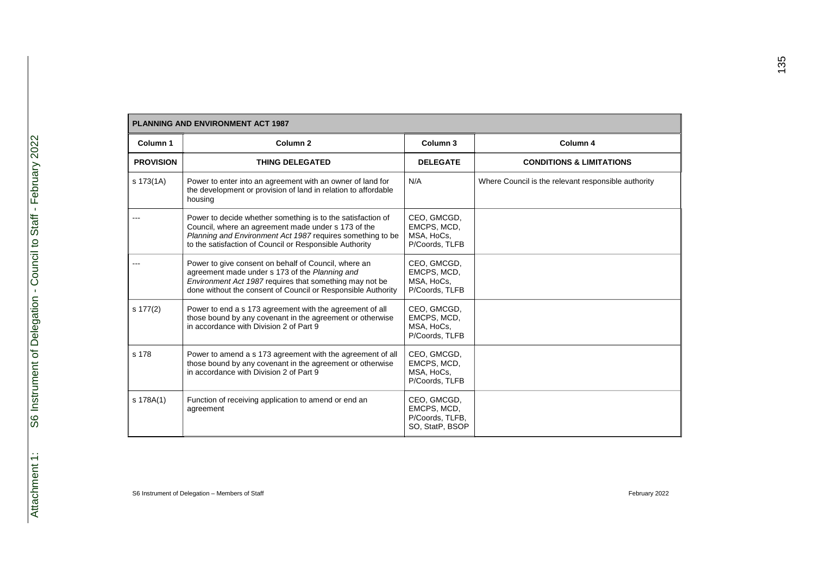| <b>PLANNING AND ENVIRONMENT ACT 1987</b> |                                                                                                                                                                                                                                             |                                                                  |                                                     |  |
|------------------------------------------|---------------------------------------------------------------------------------------------------------------------------------------------------------------------------------------------------------------------------------------------|------------------------------------------------------------------|-----------------------------------------------------|--|
| Column 1                                 | Column <sub>2</sub>                                                                                                                                                                                                                         | Column <sub>3</sub>                                              | Column 4                                            |  |
| <b>PROVISION</b>                         | <b>THING DELEGATED</b>                                                                                                                                                                                                                      | <b>DELEGATE</b>                                                  | <b>CONDITIONS &amp; LIMITATIONS</b>                 |  |
| s 173(1A)                                | Power to enter into an agreement with an owner of land for<br>the development or provision of land in relation to affordable<br>housing                                                                                                     | N/A                                                              | Where Council is the relevant responsible authority |  |
|                                          | Power to decide whether something is to the satisfaction of<br>Council, where an agreement made under s 173 of the<br>Planning and Environment Act 1987 requires something to be<br>to the satisfaction of Council or Responsible Authority | CEO, GMCGD,<br>EMCPS, MCD,<br>MSA, HoCs,<br>P/Coords, TLFB       |                                                     |  |
|                                          | Power to give consent on behalf of Council, where an<br>agreement made under s 173 of the Planning and<br>Environment Act 1987 requires that something may not be<br>done without the consent of Council or Responsible Authority           | CEO, GMCGD,<br>EMCPS, MCD,<br>MSA, HoCs,<br>P/Coords, TLFB       |                                                     |  |
| s 177(2)                                 | Power to end a s 173 agreement with the agreement of all<br>those bound by any covenant in the agreement or otherwise<br>in accordance with Division 2 of Part 9                                                                            | CEO, GMCGD,<br>EMCPS, MCD,<br>MSA, HoCs,<br>P/Coords, TLFB       |                                                     |  |
| s 178                                    | Power to amend a s 173 agreement with the agreement of all<br>those bound by any covenant in the agreement or otherwise<br>in accordance with Division 2 of Part 9                                                                          | CEO, GMCGD,<br>EMCPS, MCD,<br>MSA, HoCs,<br>P/Coords, TLFB       |                                                     |  |
| s 178A(1)                                | Function of receiving application to amend or end an<br>agreement                                                                                                                                                                           | CEO, GMCGD,<br>EMCPS, MCD,<br>P/Coords, TLFB,<br>SO, StatP, BSOP |                                                     |  |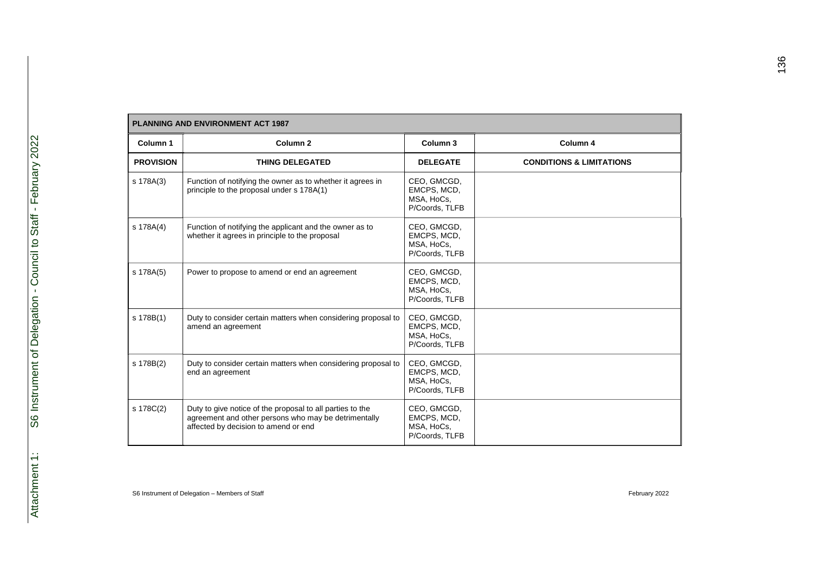| <b>PLANNING AND ENVIRONMENT ACT 1987</b> |                                                                                                                                                           |                                                            |                                     |  |
|------------------------------------------|-----------------------------------------------------------------------------------------------------------------------------------------------------------|------------------------------------------------------------|-------------------------------------|--|
| Column 1                                 | Column <sub>2</sub>                                                                                                                                       | Column 3                                                   | Column 4                            |  |
| <b>PROVISION</b>                         | <b>THING DELEGATED</b>                                                                                                                                    | <b>DELEGATE</b>                                            | <b>CONDITIONS &amp; LIMITATIONS</b> |  |
| s 178A(3)                                | Function of notifying the owner as to whether it agrees in<br>principle to the proposal under s 178A(1)                                                   | CEO, GMCGD,<br>EMCPS, MCD,<br>MSA, HoCs,<br>P/Coords, TLFB |                                     |  |
| s 178A(4)                                | Function of notifying the applicant and the owner as to<br>whether it agrees in principle to the proposal                                                 | CEO, GMCGD,<br>EMCPS, MCD,<br>MSA, HoCs,<br>P/Coords, TLFB |                                     |  |
| s 178A(5)                                | Power to propose to amend or end an agreement                                                                                                             | CEO, GMCGD,<br>EMCPS, MCD,<br>MSA, HoCs,<br>P/Coords, TLFB |                                     |  |
| s 178B(1)                                | Duty to consider certain matters when considering proposal to<br>amend an agreement                                                                       | CEO, GMCGD,<br>EMCPS, MCD,<br>MSA, HoCs,<br>P/Coords, TLFB |                                     |  |
| s 178B(2)                                | Duty to consider certain matters when considering proposal to<br>end an agreement                                                                         | CEO, GMCGD,<br>EMCPS, MCD,<br>MSA, HoCs,<br>P/Coords, TLFB |                                     |  |
| s 178C(2)                                | Duty to give notice of the proposal to all parties to the<br>agreement and other persons who may be detrimentally<br>affected by decision to amend or end | CEO, GMCGD,<br>EMCPS, MCD,<br>MSA, HoCs,<br>P/Coords, TLFB |                                     |  |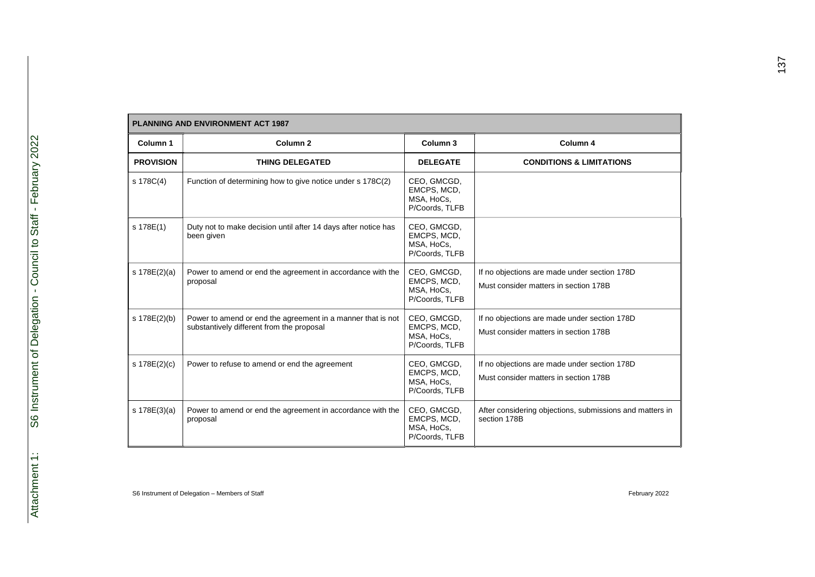|                  | <b>PLANNING AND ENVIRONMENT ACT 1987</b>                                                                 |                                                            |                                                                                       |  |  |
|------------------|----------------------------------------------------------------------------------------------------------|------------------------------------------------------------|---------------------------------------------------------------------------------------|--|--|
| Column 1         | Column <sub>2</sub>                                                                                      | Column 3                                                   | Column 4                                                                              |  |  |
| <b>PROVISION</b> | <b>THING DELEGATED</b>                                                                                   | <b>DELEGATE</b>                                            | <b>CONDITIONS &amp; LIMITATIONS</b>                                                   |  |  |
| s 178C(4)        | Function of determining how to give notice under s 178C(2)                                               | CEO, GMCGD,<br>EMCPS, MCD,<br>MSA, HoCs,<br>P/Coords, TLFB |                                                                                       |  |  |
| s 178E(1)        | Duty not to make decision until after 14 days after notice has<br>been given                             | CEO, GMCGD,<br>EMCPS, MCD,<br>MSA, HoCs,<br>P/Coords, TLFB |                                                                                       |  |  |
| s 178E(2)(a)     | Power to amend or end the agreement in accordance with the<br>proposal                                   | CEO, GMCGD,<br>EMCPS, MCD,<br>MSA, HoCs,<br>P/Coords, TLFB | If no objections are made under section 178D<br>Must consider matters in section 178B |  |  |
| s 178E(2)(b)     | Power to amend or end the agreement in a manner that is not<br>substantively different from the proposal | CEO, GMCGD,<br>EMCPS, MCD,<br>MSA, HoCs,<br>P/Coords, TLFB | If no objections are made under section 178D<br>Must consider matters in section 178B |  |  |
| s 178E(2)(c)     | Power to refuse to amend or end the agreement                                                            | CEO, GMCGD,<br>EMCPS, MCD,<br>MSA, HoCs,<br>P/Coords, TLFB | If no objections are made under section 178D<br>Must consider matters in section 178B |  |  |
| s 178E(3)(a)     | Power to amend or end the agreement in accordance with the<br>proposal                                   | CEO, GMCGD,<br>EMCPS, MCD,<br>MSA, HoCs,<br>P/Coords, TLFB | After considering objections, submissions and matters in<br>section 178B              |  |  |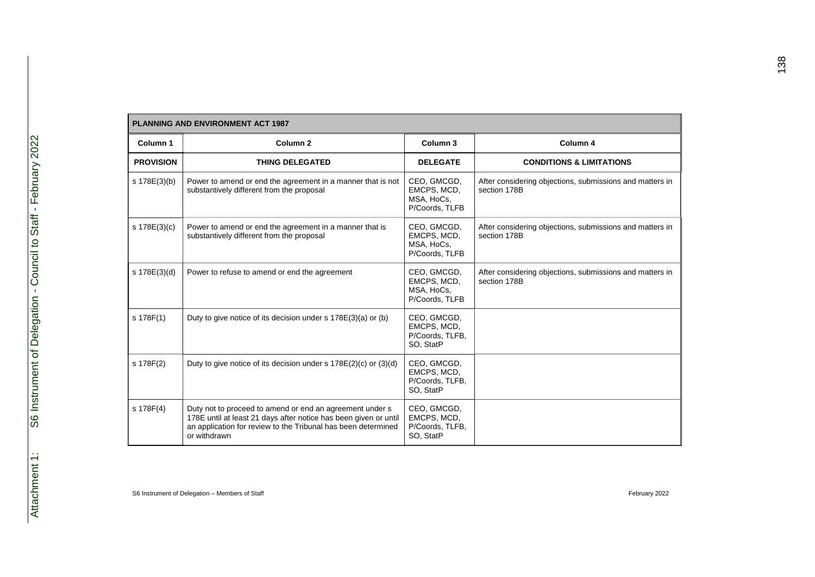|                  | <b>PLANNING AND ENVIRONMENT ACT 1987</b>                                                                                                                                                                      |                                                            |                                                                          |  |  |
|------------------|---------------------------------------------------------------------------------------------------------------------------------------------------------------------------------------------------------------|------------------------------------------------------------|--------------------------------------------------------------------------|--|--|
| Column 1         | Column <sub>2</sub>                                                                                                                                                                                           | Column 3                                                   | Column 4                                                                 |  |  |
| <b>PROVISION</b> | <b>THING DELEGATED</b>                                                                                                                                                                                        | <b>DELEGATE</b>                                            | <b>CONDITIONS &amp; LIMITATIONS</b>                                      |  |  |
| s 178E(3)(b)     | Power to amend or end the agreement in a manner that is not<br>substantively different from the proposal                                                                                                      | CEO, GMCGD,<br>EMCPS, MCD,<br>MSA, HoCs,<br>P/Coords, TLFB | After considering objections, submissions and matters in<br>section 178B |  |  |
| s 178E(3)(c)     | Power to amend or end the agreement in a manner that is<br>substantively different from the proposal                                                                                                          | CEO, GMCGD,<br>EMCPS, MCD,<br>MSA, HoCs,<br>P/Coords, TLFB | After considering objections, submissions and matters in<br>section 178B |  |  |
| s 178E(3)(d)     | Power to refuse to amend or end the agreement                                                                                                                                                                 | CEO, GMCGD,<br>EMCPS, MCD,<br>MSA, HoCs,<br>P/Coords, TLFB | After considering objections, submissions and matters in<br>section 178B |  |  |
| s 178F(1)        | Duty to give notice of its decision under s 178E(3)(a) or (b)                                                                                                                                                 | CEO, GMCGD,<br>EMCPS, MCD,<br>P/Coords, TLFB,<br>SO, StatP |                                                                          |  |  |
| s 178F(2)        | Duty to give notice of its decision under s $178E(2)(c)$ or $(3)(d)$                                                                                                                                          | CEO, GMCGD,<br>EMCPS, MCD,<br>P/Coords, TLFB,<br>SO, StatP |                                                                          |  |  |
| s 178F(4)        | Duty not to proceed to amend or end an agreement under s<br>178E until at least 21 days after notice has been given or until<br>an application for review to the Tribunal has been determined<br>or withdrawn | CEO, GMCGD,<br>EMCPS, MCD,<br>P/Coords, TLFB,<br>SO, StatP |                                                                          |  |  |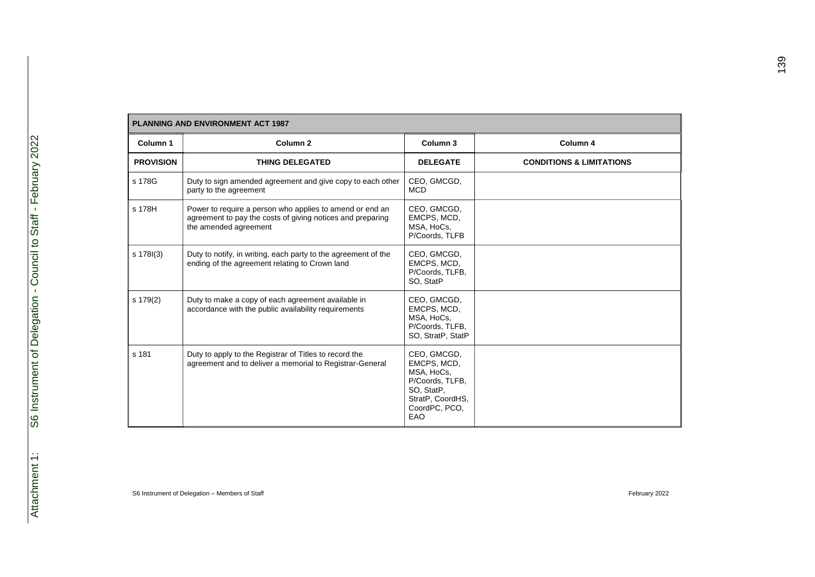| <b>PLANNING AND ENVIRONMENT ACT 1987</b> |                                                                                                                                                 |                                                                                                                       |                                     |  |
|------------------------------------------|-------------------------------------------------------------------------------------------------------------------------------------------------|-----------------------------------------------------------------------------------------------------------------------|-------------------------------------|--|
| Column 1                                 | Column <sub>2</sub>                                                                                                                             | Column 3                                                                                                              | Column 4                            |  |
| <b>PROVISION</b>                         | <b>THING DELEGATED</b>                                                                                                                          | <b>DELEGATE</b>                                                                                                       | <b>CONDITIONS &amp; LIMITATIONS</b> |  |
| s 178G                                   | Duty to sign amended agreement and give copy to each other<br>party to the agreement                                                            | CEO, GMCGD,<br><b>MCD</b>                                                                                             |                                     |  |
| s 178H                                   | Power to require a person who applies to amend or end an<br>agreement to pay the costs of giving notices and preparing<br>the amended agreement | CEO, GMCGD,<br>EMCPS, MCD,<br>MSA, HoCs,<br>P/Coords, TLFB                                                            |                                     |  |
| s 178l(3)                                | Duty to notify, in writing, each party to the agreement of the<br>ending of the agreement relating to Crown land                                | CEO, GMCGD,<br>EMCPS, MCD,<br>P/Coords, TLFB,<br>SO, StatP                                                            |                                     |  |
| s 179(2)                                 | Duty to make a copy of each agreement available in<br>accordance with the public availability requirements                                      | CEO, GMCGD,<br>EMCPS, MCD,<br>MSA, HoCs,<br>P/Coords, TLFB,<br>SO, StratP, StatP                                      |                                     |  |
| s 181                                    | Duty to apply to the Registrar of Titles to record the<br>agreement and to deliver a memorial to Registrar-General                              | CEO, GMCGD,<br>EMCPS, MCD,<br>MSA, HoCs,<br>P/Coords, TLFB,<br>SO, StatP,<br>StratP, CoordHS,<br>CoordPC, PCO,<br>EAO |                                     |  |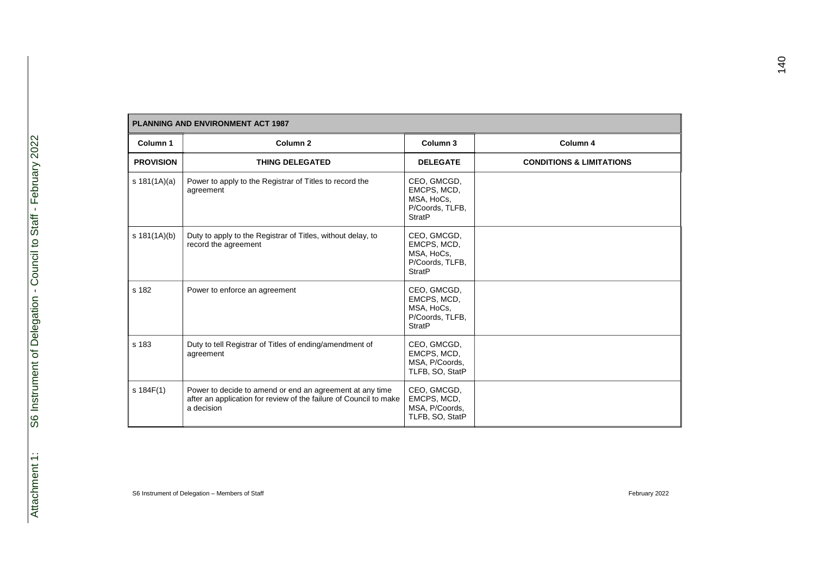| <b>PLANNING AND ENVIRONMENT ACT 1987</b> |                                                                                                                                             |                                                                              |                                     |  |
|------------------------------------------|---------------------------------------------------------------------------------------------------------------------------------------------|------------------------------------------------------------------------------|-------------------------------------|--|
| Column 1                                 | Column <sub>2</sub>                                                                                                                         | Column 3                                                                     | Column 4                            |  |
| <b>PROVISION</b>                         | <b>THING DELEGATED</b>                                                                                                                      | <b>DELEGATE</b>                                                              | <b>CONDITIONS &amp; LIMITATIONS</b> |  |
| s $181(1A)(a)$                           | Power to apply to the Registrar of Titles to record the<br>agreement                                                                        | CEO, GMCGD,<br>EMCPS, MCD,<br>MSA, HoCs,<br>P/Coords, TLFB,<br><b>StratP</b> |                                     |  |
| s $181(1A)(b)$                           | Duty to apply to the Registrar of Titles, without delay, to<br>record the agreement                                                         | CEO, GMCGD,<br>EMCPS, MCD,<br>MSA, HoCs,<br>P/Coords, TLFB,<br><b>StratP</b> |                                     |  |
| s 182                                    | Power to enforce an agreement                                                                                                               | CEO, GMCGD,<br>EMCPS, MCD,<br>MSA, HoCs,<br>P/Coords, TLFB,<br><b>StratP</b> |                                     |  |
| s 183                                    | Duty to tell Registrar of Titles of ending/amendment of<br>agreement                                                                        | CEO, GMCGD,<br>EMCPS, MCD,<br>MSA, P/Coords,<br>TLFB, SO, StatP              |                                     |  |
| s 184F(1)                                | Power to decide to amend or end an agreement at any time<br>after an application for review of the failure of Council to make<br>a decision | CEO, GMCGD,<br>EMCPS, MCD,<br>MSA, P/Coords,<br>TLFB, SO, StatP              |                                     |  |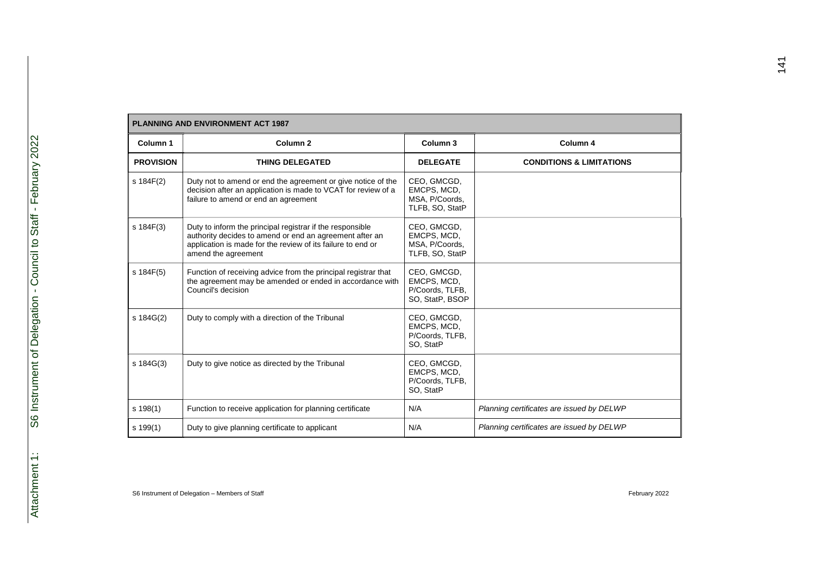| <b>PLANNING AND ENVIRONMENT ACT 1987</b> |                                                                                                                                                                                                            |                                                                  |                                           |  |
|------------------------------------------|------------------------------------------------------------------------------------------------------------------------------------------------------------------------------------------------------------|------------------------------------------------------------------|-------------------------------------------|--|
| Column 1                                 | Column <sub>2</sub>                                                                                                                                                                                        | Column <sub>3</sub>                                              | Column 4                                  |  |
| <b>PROVISION</b>                         | <b>THING DELEGATED</b>                                                                                                                                                                                     | <b>DELEGATE</b>                                                  | <b>CONDITIONS &amp; LIMITATIONS</b>       |  |
| s 184F(2)                                | Duty not to amend or end the agreement or give notice of the<br>decision after an application is made to VCAT for review of a<br>failure to amend or end an agreement                                      | CEO, GMCGD,<br>EMCPS, MCD,<br>MSA, P/Coords,<br>TLFB, SO, StatP  |                                           |  |
| s 184F(3)                                | Duty to inform the principal registrar if the responsible<br>authority decides to amend or end an agreement after an<br>application is made for the review of its failure to end or<br>amend the agreement | CEO, GMCGD,<br>EMCPS, MCD,<br>MSA, P/Coords,<br>TLFB, SO, StatP  |                                           |  |
| s 184F(5)                                | Function of receiving advice from the principal registrar that<br>the agreement may be amended or ended in accordance with<br>Council's decision                                                           | CEO, GMCGD,<br>EMCPS, MCD,<br>P/Coords, TLFB,<br>SO, StatP, BSOP |                                           |  |
| s 184G(2)                                | Duty to comply with a direction of the Tribunal                                                                                                                                                            | CEO, GMCGD,<br>EMCPS, MCD,<br>P/Coords. TLFB.<br>SO, StatP       |                                           |  |
| s 184G(3)                                | Duty to give notice as directed by the Tribunal                                                                                                                                                            | CEO, GMCGD,<br>EMCPS, MCD,<br>P/Coords, TLFB,<br>SO, StatP       |                                           |  |
| $s$ 198(1)                               | Function to receive application for planning certificate                                                                                                                                                   | N/A                                                              | Planning certificates are issued by DELWP |  |
| s 199(1)                                 | Duty to give planning certificate to applicant                                                                                                                                                             | N/A                                                              | Planning certificates are issued by DELWP |  |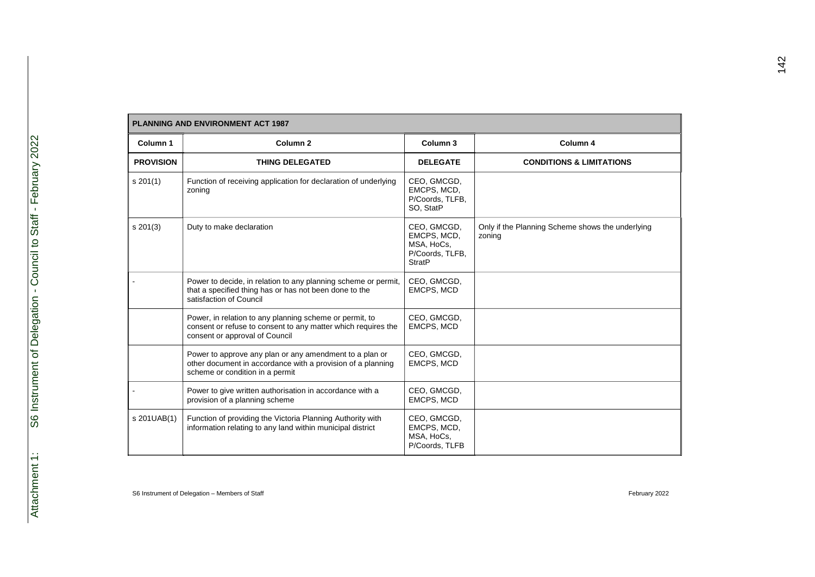| <b>PLANNING AND ENVIRONMENT ACT 1987</b> |                                                                                                                                                            |                                                                              |                                                            |  |
|------------------------------------------|------------------------------------------------------------------------------------------------------------------------------------------------------------|------------------------------------------------------------------------------|------------------------------------------------------------|--|
| Column 1                                 | Column <sub>2</sub>                                                                                                                                        | Column <sub>3</sub>                                                          | Column 4                                                   |  |
| <b>PROVISION</b>                         | <b>THING DELEGATED</b>                                                                                                                                     | <b>DELEGATE</b>                                                              | <b>CONDITIONS &amp; LIMITATIONS</b>                        |  |
| $s \, 201(1)$                            | Function of receiving application for declaration of underlying<br>zoning                                                                                  | CEO, GMCGD,<br>EMCPS, MCD,<br>P/Coords, TLFB,<br>SO, StatP                   |                                                            |  |
| $s \ 201(3)$                             | Duty to make declaration                                                                                                                                   | CEO, GMCGD,<br>EMCPS, MCD,<br>MSA, HoCs,<br>P/Coords, TLFB,<br><b>StratP</b> | Only if the Planning Scheme shows the underlying<br>zoning |  |
|                                          | Power to decide, in relation to any planning scheme or permit,<br>that a specified thing has or has not been done to the<br>satisfaction of Council        | CEO, GMCGD,<br>EMCPS, MCD                                                    |                                                            |  |
|                                          | Power, in relation to any planning scheme or permit, to<br>consent or refuse to consent to any matter which requires the<br>consent or approval of Council | CEO, GMCGD,<br>EMCPS, MCD                                                    |                                                            |  |
|                                          | Power to approve any plan or any amendment to a plan or<br>other document in accordance with a provision of a planning<br>scheme or condition in a permit  | CEO, GMCGD,<br>EMCPS, MCD                                                    |                                                            |  |
|                                          | Power to give written authorisation in accordance with a<br>provision of a planning scheme                                                                 | CEO, GMCGD,<br>EMCPS, MCD                                                    |                                                            |  |
| s 201UAB(1)                              | Function of providing the Victoria Planning Authority with<br>information relating to any land within municipal district                                   | CEO, GMCGD,<br>EMCPS, MCD,<br>MSA, HoCs,<br>P/Coords, TLFB                   |                                                            |  |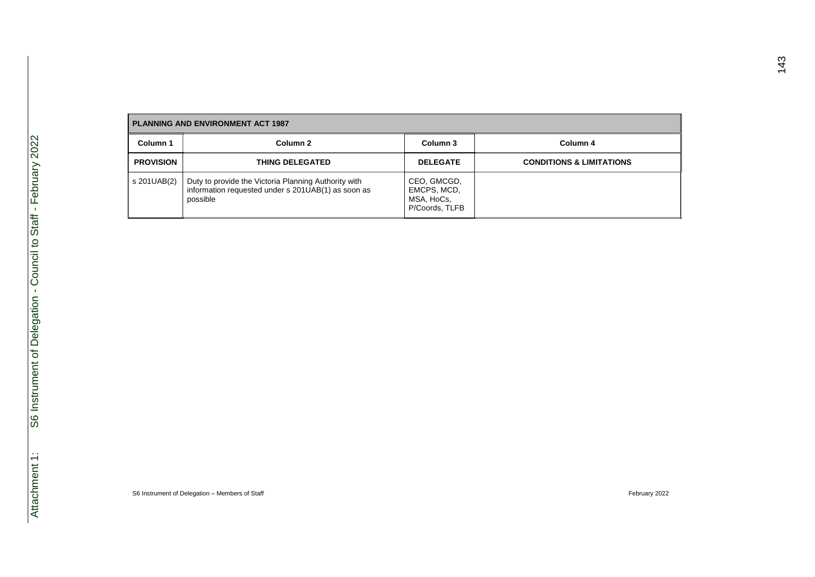| <b>PLANNING AND ENVIRONMENT ACT 1987</b> |                                                                                                                        |                                                            |                                     |  |
|------------------------------------------|------------------------------------------------------------------------------------------------------------------------|------------------------------------------------------------|-------------------------------------|--|
| Column 1                                 | Column 2                                                                                                               | Column 3                                                   | Column 4                            |  |
| <b>PROVISION</b>                         | <b>THING DELEGATED</b>                                                                                                 | <b>DELEGATE</b>                                            | <b>CONDITIONS &amp; LIMITATIONS</b> |  |
| s 201UAB(2)                              | Duty to provide the Victoria Planning Authority with<br>information requested under s 201UAB(1) as soon as<br>possible | CEO, GMCGD,<br>EMCPS, MCD,<br>MSA, HoCs,<br>P/Coords, TLFB |                                     |  |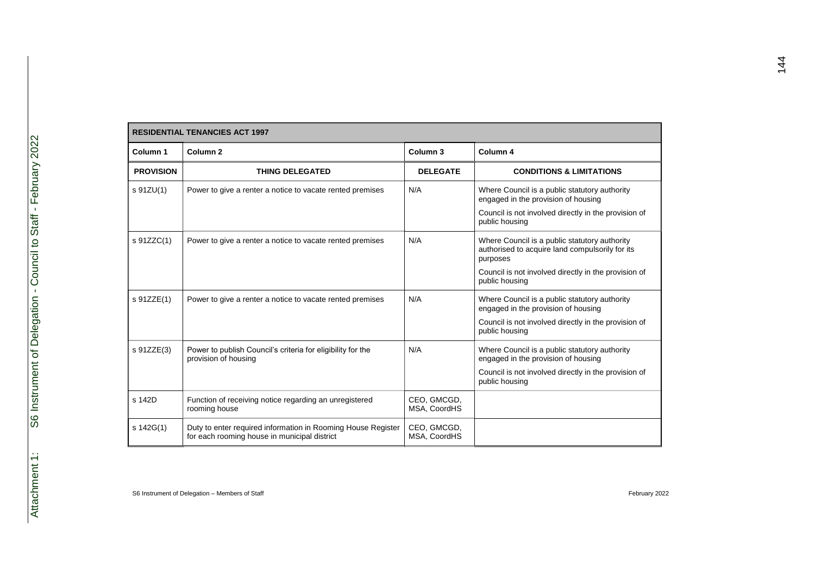| <b>RESIDENTIAL TENANCIES ACT 1997</b> |                                                                                                              |                             |                                                                                                                                                                                        |
|---------------------------------------|--------------------------------------------------------------------------------------------------------------|-----------------------------|----------------------------------------------------------------------------------------------------------------------------------------------------------------------------------------|
| Column 1                              | Column <sub>2</sub>                                                                                          | Column 3                    | Column <sub>4</sub>                                                                                                                                                                    |
| <b>PROVISION</b>                      | <b>THING DELEGATED</b>                                                                                       | <b>DELEGATE</b>             | <b>CONDITIONS &amp; LIMITATIONS</b>                                                                                                                                                    |
| s 91ZU(1)                             | Power to give a renter a notice to vacate rented premises                                                    | N/A                         | Where Council is a public statutory authority<br>engaged in the provision of housing<br>Council is not involved directly in the provision of<br>public housing                         |
| s 91ZZC(1)                            | Power to give a renter a notice to vacate rented premises                                                    | N/A                         | Where Council is a public statutory authority<br>authorised to acquire land compulsorily for its<br>purposes<br>Council is not involved directly in the provision of<br>public housing |
| s 91ZZE(1)                            | Power to give a renter a notice to vacate rented premises                                                    | N/A                         | Where Council is a public statutory authority<br>engaged in the provision of housing<br>Council is not involved directly in the provision of<br>public housing                         |
| s 91ZZE(3)                            | Power to publish Council's criteria for eligibility for the<br>provision of housing                          | N/A                         | Where Council is a public statutory authority<br>engaged in the provision of housing<br>Council is not involved directly in the provision of<br>public housing                         |
| s 142D                                | Function of receiving notice regarding an unregistered<br>rooming house                                      | CEO, GMCGD,<br>MSA, CoordHS |                                                                                                                                                                                        |
| s 142G(1)                             | Duty to enter required information in Rooming House Register<br>for each rooming house in municipal district | CEO, GMCGD,<br>MSA, CoordHS |                                                                                                                                                                                        |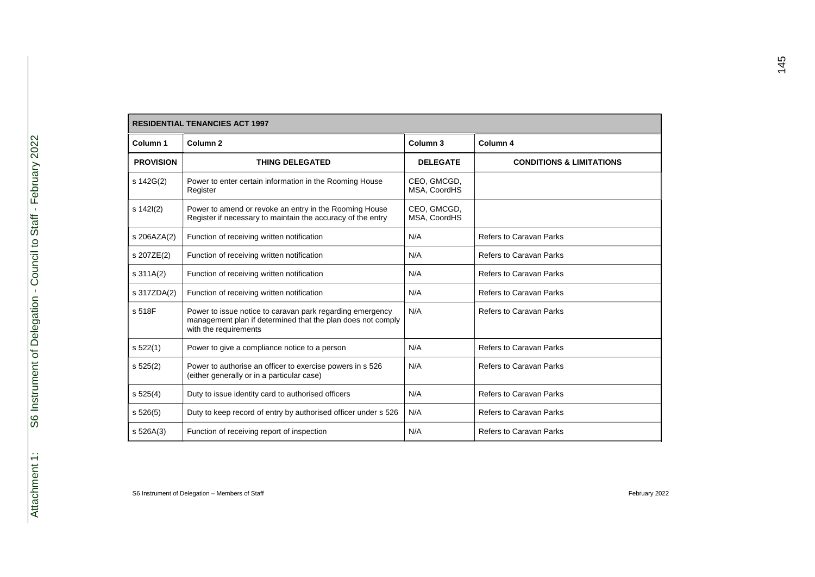| <b>RESIDENTIAL TENANCIES ACT 1997</b> |                                                                                                                                                   |                             |                                     |
|---------------------------------------|---------------------------------------------------------------------------------------------------------------------------------------------------|-----------------------------|-------------------------------------|
| Column 1                              | Column <sub>2</sub>                                                                                                                               | Column <sub>3</sub>         | Column 4                            |
| <b>PROVISION</b>                      | <b>THING DELEGATED</b>                                                                                                                            | <b>DELEGATE</b>             | <b>CONDITIONS &amp; LIMITATIONS</b> |
| s 142G(2)                             | Power to enter certain information in the Rooming House<br>Register                                                                               | CEO, GMCGD,<br>MSA, CoordHS |                                     |
| $s$ 142 $(2)$                         | Power to amend or revoke an entry in the Rooming House<br>Register if necessary to maintain the accuracy of the entry                             | CEO, GMCGD,<br>MSA, CoordHS |                                     |
| s 206AZA(2)                           | Function of receiving written notification                                                                                                        | N/A                         | Refers to Caravan Parks             |
| s 207ZE(2)                            | Function of receiving written notification                                                                                                        | N/A                         | Refers to Caravan Parks             |
| $s \frac{311A(2)}{2}$                 | Function of receiving written notification                                                                                                        | N/A                         | Refers to Caravan Parks             |
| s 317ZDA(2)                           | Function of receiving written notification                                                                                                        | N/A                         | Refers to Caravan Parks             |
| s 518F                                | Power to issue notice to caravan park regarding emergency<br>management plan if determined that the plan does not comply<br>with the requirements | N/A                         | Refers to Caravan Parks             |
| s 522(1)                              | Power to give a compliance notice to a person                                                                                                     | N/A                         | Refers to Caravan Parks             |
| s 525(2)                              | Power to authorise an officer to exercise powers in s 526<br>(either generally or in a particular case)                                           | N/A                         | Refers to Caravan Parks             |
| s 525(4)                              | Duty to issue identity card to authorised officers                                                                                                | N/A                         | Refers to Caravan Parks             |
| s 526(5)                              | Duty to keep record of entry by authorised officer under s 526                                                                                    | N/A                         | Refers to Caravan Parks             |
| s 526A(3)                             | Function of receiving report of inspection                                                                                                        | N/A                         | <b>Refers to Caravan Parks</b>      |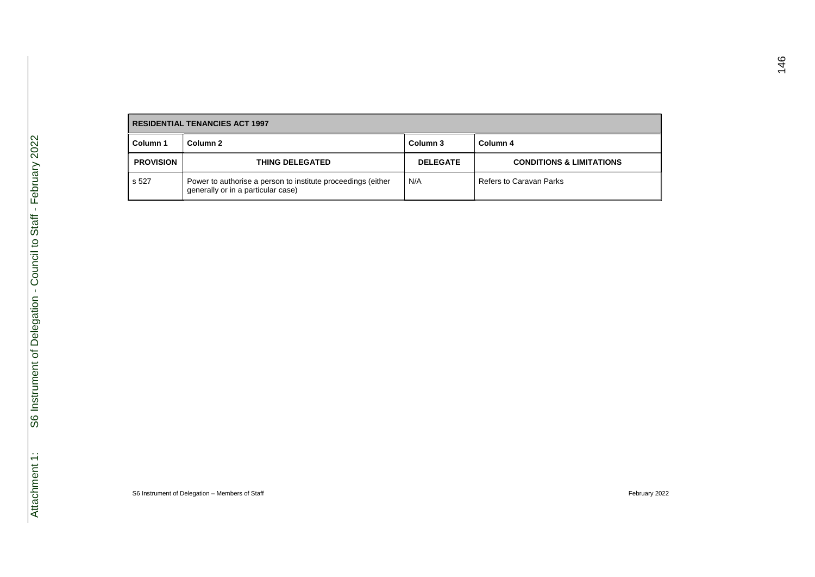|                  | <b>RESIDENTIAL TENANCIES ACT 1997</b>                                                              |                 |                                     |
|------------------|----------------------------------------------------------------------------------------------------|-----------------|-------------------------------------|
| Column 1         | Column 2                                                                                           | Column 3        | Column 4                            |
| <b>PROVISION</b> | <b>THING DELEGATED</b>                                                                             | <b>DELEGATE</b> | <b>CONDITIONS &amp; LIMITATIONS</b> |
| s 527            | Power to authorise a person to institute proceedings (either<br>generally or in a particular case) | N/A             | Refers to Caravan Parks             |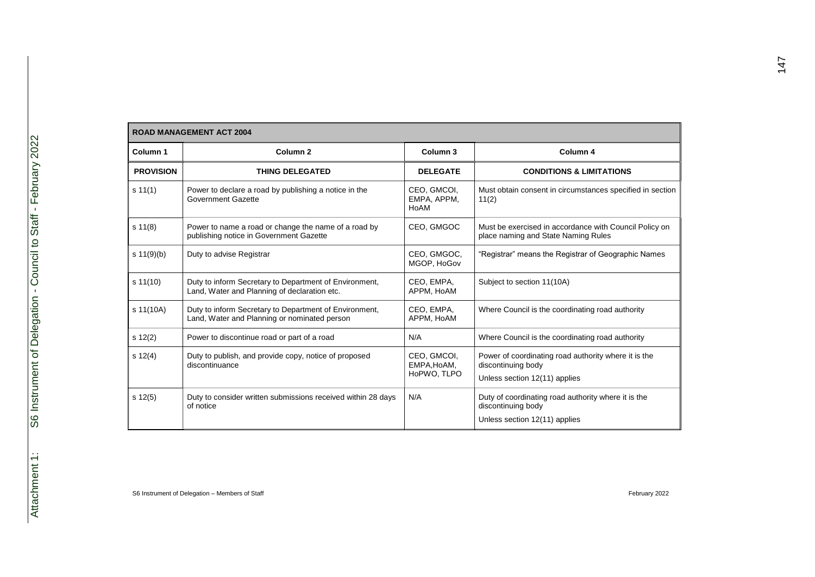|                  | <b>ROAD MANAGEMENT ACT 2004</b>                                                                        |                                           |                                                                                                             |
|------------------|--------------------------------------------------------------------------------------------------------|-------------------------------------------|-------------------------------------------------------------------------------------------------------------|
| Column 1         | Column <sub>2</sub>                                                                                    | Column 3                                  | Column <sub>4</sub>                                                                                         |
| <b>PROVISION</b> | <b>THING DELEGATED</b>                                                                                 | <b>DELEGATE</b>                           | <b>CONDITIONS &amp; LIMITATIONS</b>                                                                         |
| s 11(1)          | Power to declare a road by publishing a notice in the<br><b>Government Gazette</b>                     | CEO, GMCOI,<br>EMPA, APPM,<br>HoAM        | Must obtain consent in circumstances specified in section<br>11(2)                                          |
| $s \ 11(8)$      | Power to name a road or change the name of a road by<br>publishing notice in Government Gazette        | CEO, GMGOC                                | Must be exercised in accordance with Council Policy on<br>place naming and State Naming Rules               |
| s $11(9)(b)$     | Duty to advise Registrar                                                                               | CEO, GMGOC,<br>MGOP, HoGov                | "Registrar" means the Registrar of Geographic Names                                                         |
| s 11(10)         | Duty to inform Secretary to Department of Environment,<br>Land, Water and Planning of declaration etc. | CEO, EMPA,<br>APPM, HoAM                  | Subject to section 11(10A)                                                                                  |
| s 11(10A)        | Duty to inform Secretary to Department of Environment,<br>Land, Water and Planning or nominated person | CEO, EMPA,<br>APPM, HoAM                  | Where Council is the coordinating road authority                                                            |
| s 12(2)          | Power to discontinue road or part of a road                                                            | N/A                                       | Where Council is the coordinating road authority                                                            |
| $s \ 12(4)$      | Duty to publish, and provide copy, notice of proposed<br>discontinuance                                | CEO, GMCOI,<br>EMPA, HoAM,<br>HoPWO. TLPO | Power of coordinating road authority where it is the<br>discontinuing body<br>Unless section 12(11) applies |
| $s \ 12(5)$      | Duty to consider written submissions received within 28 days<br>of notice                              | N/A                                       | Duty of coordinating road authority where it is the<br>discontinuing body<br>Unless section 12(11) applies  |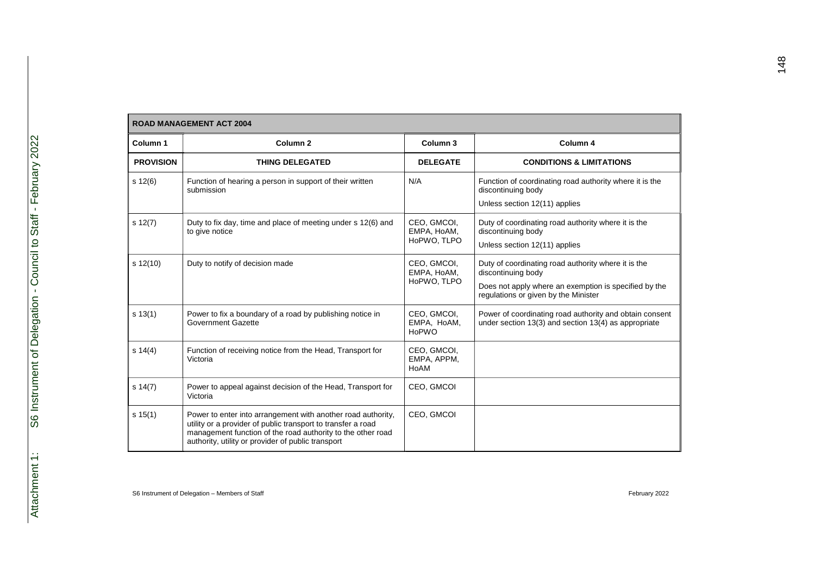| Column 1         | Column <sub>2</sub>                                                                                                                                                                                                                               | Column <sub>3</sub>                       | Column 4                                                                                                                                                                   |
|------------------|---------------------------------------------------------------------------------------------------------------------------------------------------------------------------------------------------------------------------------------------------|-------------------------------------------|----------------------------------------------------------------------------------------------------------------------------------------------------------------------------|
| <b>PROVISION</b> | <b>THING DELEGATED</b>                                                                                                                                                                                                                            | <b>DELEGATE</b>                           | <b>CONDITIONS &amp; LIMITATIONS</b>                                                                                                                                        |
| s 12(6)          | Function of hearing a person in support of their written<br>submission                                                                                                                                                                            | N/A                                       | Function of coordinating road authority where it is the<br>discontinuing body<br>Unless section 12(11) applies                                                             |
| $s \ 12(7)$      | Duty to fix day, time and place of meeting under s 12(6) and<br>to give notice                                                                                                                                                                    | CEO, GMCOI,<br>EMPA, HoAM,<br>HoPWO, TLPO | Duty of coordinating road authority where it is the<br>discontinuing body<br>Unless section 12(11) applies                                                                 |
| $s$ 12(10)       | Duty to notify of decision made                                                                                                                                                                                                                   | CEO, GMCOI,<br>EMPA, HoAM,<br>HoPWO. TLPO | Duty of coordinating road authority where it is the<br>discontinuing body<br>Does not apply where an exemption is specified by the<br>regulations or given by the Minister |
| s 13(1)          | Power to fix a boundary of a road by publishing notice in<br>Government Gazette                                                                                                                                                                   | CEO, GMCOI,<br>EMPA, HoAM,<br>HoPWO       | Power of coordinating road authority and obtain consent<br>under section 13(3) and section 13(4) as appropriate                                                            |
| s 14(4)          | Function of receiving notice from the Head, Transport for<br>Victoria                                                                                                                                                                             | CEO, GMCOI,<br>EMPA, APPM,<br>HoAM        |                                                                                                                                                                            |
| $s \, 14(7)$     | Power to appeal against decision of the Head, Transport for<br>Victoria                                                                                                                                                                           | CEO, GMCOI                                |                                                                                                                                                                            |
| s 15(1)          | Power to enter into arrangement with another road authority,<br>utility or a provider of public transport to transfer a road<br>management function of the road authority to the other road<br>authority, utility or provider of public transport | CEO, GMCOI                                |                                                                                                                                                                            |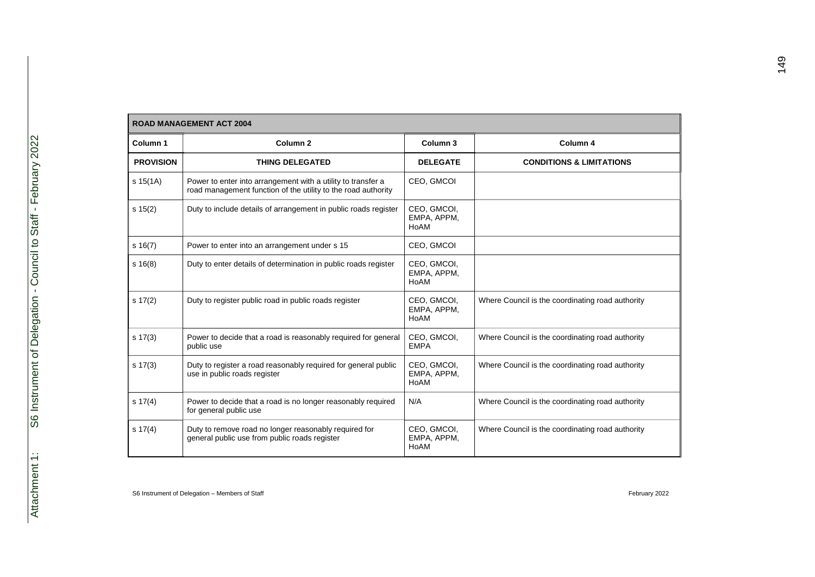|                  | <b>ROAD MANAGEMENT ACT 2004</b>                                                                                               |                                    |                                                  |
|------------------|-------------------------------------------------------------------------------------------------------------------------------|------------------------------------|--------------------------------------------------|
| Column 1         | Column <sub>2</sub>                                                                                                           | Column 3                           | Column 4                                         |
| <b>PROVISION</b> | <b>THING DELEGATED</b>                                                                                                        | <b>DELEGATE</b>                    | <b>CONDITIONS &amp; LIMITATIONS</b>              |
| s 15(1A)         | Power to enter into arrangement with a utility to transfer a<br>road management function of the utility to the road authority | CEO, GMCOI                         |                                                  |
| $s \ 15(2)$      | Duty to include details of arrangement in public roads register                                                               | CEO, GMCOI,<br>EMPA, APPM,<br>HoAM |                                                  |
| $s \ 16(7)$      | Power to enter into an arrangement under s 15                                                                                 | CEO, GMCOI                         |                                                  |
| $s \ 16(8)$      | Duty to enter details of determination in public roads register                                                               | CEO, GMCOI,<br>EMPA, APPM,<br>HoAM |                                                  |
| $s \ 17(2)$      | Duty to register public road in public roads register                                                                         | CEO, GMCOI,<br>EMPA, APPM,<br>HoAM | Where Council is the coordinating road authority |
| $s \ 17(3)$      | Power to decide that a road is reasonably required for general<br>public use                                                  | CEO, GMCOI,<br><b>EMPA</b>         | Where Council is the coordinating road authority |
| $s \ 17(3)$      | Duty to register a road reasonably required for general public<br>use in public roads register                                | CEO, GMCOI,<br>EMPA, APPM,<br>HoAM | Where Council is the coordinating road authority |
| $s \ 17(4)$      | Power to decide that a road is no longer reasonably required<br>for general public use                                        | N/A                                | Where Council is the coordinating road authority |
| $s \ 17(4)$      | Duty to remove road no longer reasonably required for<br>general public use from public roads register                        | CEO. GMCOI.<br>EMPA, APPM,<br>HoAM | Where Council is the coordinating road authority |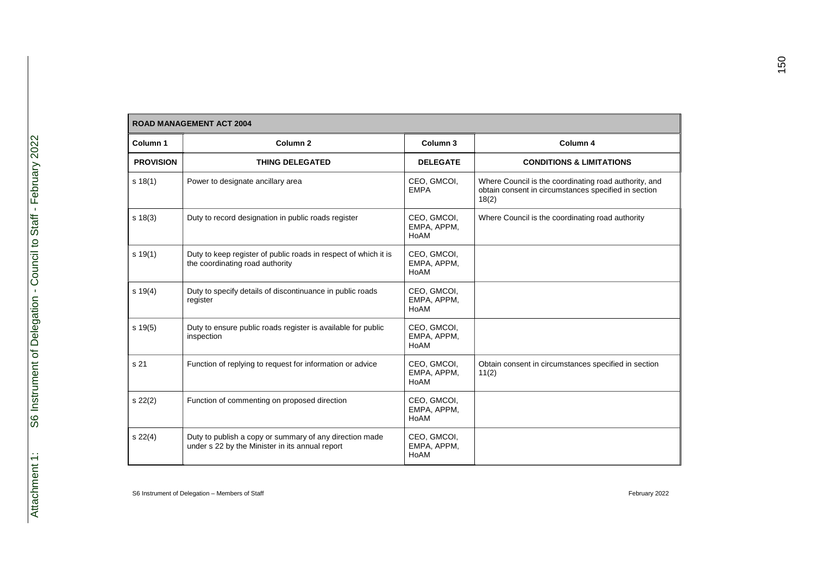| Column 1         | Column <sub>2</sub>                                                                                        | Column 3                           | Column 4                                                                                                               |
|------------------|------------------------------------------------------------------------------------------------------------|------------------------------------|------------------------------------------------------------------------------------------------------------------------|
| <b>PROVISION</b> | <b>THING DELEGATED</b>                                                                                     | <b>DELEGATE</b>                    | <b>CONDITIONS &amp; LIMITATIONS</b>                                                                                    |
| s 18(1)          | Power to designate ancillary area                                                                          | CEO, GMCOI,<br><b>EMPA</b>         | Where Council is the coordinating road authority, and<br>obtain consent in circumstances specified in section<br>18(2) |
| $s \ 18(3)$      | Duty to record designation in public roads register                                                        | CEO, GMCOI,<br>EMPA, APPM,<br>HoAM | Where Council is the coordinating road authority                                                                       |
| s 19(1)          | Duty to keep register of public roads in respect of which it is<br>the coordinating road authority         | CEO, GMCOI,<br>EMPA, APPM,<br>HoAM |                                                                                                                        |
| $s \ 19(4)$      | Duty to specify details of discontinuance in public roads<br>register                                      | CEO, GMCOI,<br>EMPA, APPM,<br>HoAM |                                                                                                                        |
| $s \ 19(5)$      | Duty to ensure public roads register is available for public<br>inspection                                 | CEO, GMCOI,<br>EMPA, APPM,<br>HoAM |                                                                                                                        |
| s 21             | Function of replying to request for information or advice                                                  | CEO, GMCOI,<br>EMPA, APPM,<br>HoAM | Obtain consent in circumstances specified in section<br>11(2)                                                          |
| s 22(2)          | Function of commenting on proposed direction                                                               | CEO, GMCOI,<br>EMPA, APPM,<br>HoAM |                                                                                                                        |
| s 22(4)          | Duty to publish a copy or summary of any direction made<br>under s 22 by the Minister in its annual report | CEO, GMCOI,<br>EMPA, APPM,<br>HoAM |                                                                                                                        |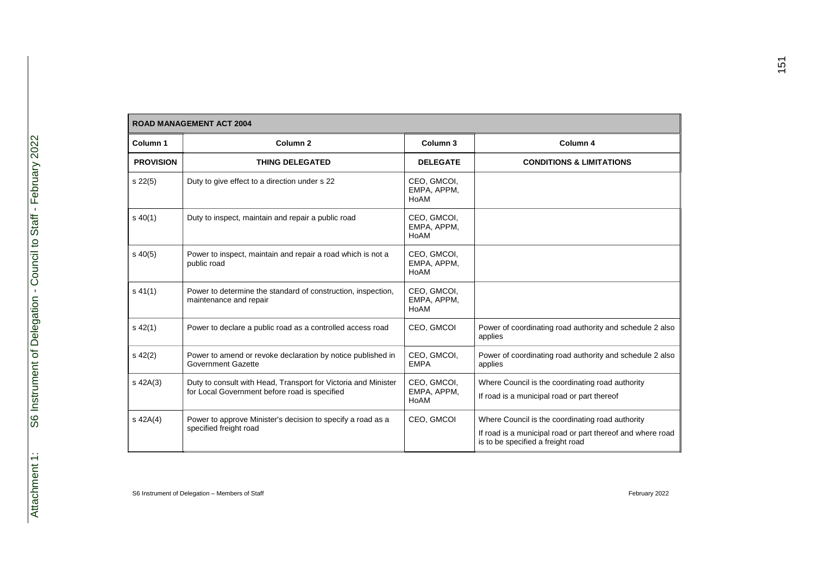|                  | <b>ROAD MANAGEMENT ACT 2004</b>                                                                                 |                                    |                                                                                                                                                     |
|------------------|-----------------------------------------------------------------------------------------------------------------|------------------------------------|-----------------------------------------------------------------------------------------------------------------------------------------------------|
| Column 1         | Column <sub>2</sub>                                                                                             | Column 3                           | Column 4                                                                                                                                            |
| <b>PROVISION</b> | <b>THING DELEGATED</b>                                                                                          | <b>DELEGATE</b>                    | <b>CONDITIONS &amp; LIMITATIONS</b>                                                                                                                 |
| $s\,22(5)$       | Duty to give effect to a direction under s 22                                                                   | CEO, GMCOI,<br>EMPA, APPM,<br>HoAM |                                                                                                                                                     |
| $s\ 40(1)$       | Duty to inspect, maintain and repair a public road                                                              | CEO, GMCOI,<br>EMPA, APPM,<br>HoAM |                                                                                                                                                     |
| $s\,40(5)$       | Power to inspect, maintain and repair a road which is not a<br>public road                                      | CEO, GMCOI,<br>EMPA, APPM,<br>HoAM |                                                                                                                                                     |
| $s\,41(1)$       | Power to determine the standard of construction, inspection,<br>maintenance and repair                          | CEO, GMCOI,<br>EMPA, APPM,<br>HoAM |                                                                                                                                                     |
| $s\,42(1)$       | Power to declare a public road as a controlled access road                                                      | CEO, GMCOI                         | Power of coordinating road authority and schedule 2 also<br>applies                                                                                 |
| $s\,42(2)$       | Power to amend or revoke declaration by notice published in<br><b>Government Gazette</b>                        | CEO, GMCOI,<br><b>EMPA</b>         | Power of coordinating road authority and schedule 2 also<br>applies                                                                                 |
| $s$ 42A $(3)$    | Duty to consult with Head, Transport for Victoria and Minister<br>for Local Government before road is specified | CEO, GMCOI,<br>EMPA, APPM,<br>HoAM | Where Council is the coordinating road authority<br>If road is a municipal road or part thereof                                                     |
| $s$ 42A $(4)$    | Power to approve Minister's decision to specify a road as a<br>specified freight road                           | CEO, GMCOI                         | Where Council is the coordinating road authority<br>If road is a municipal road or part thereof and where road<br>is to be specified a freight road |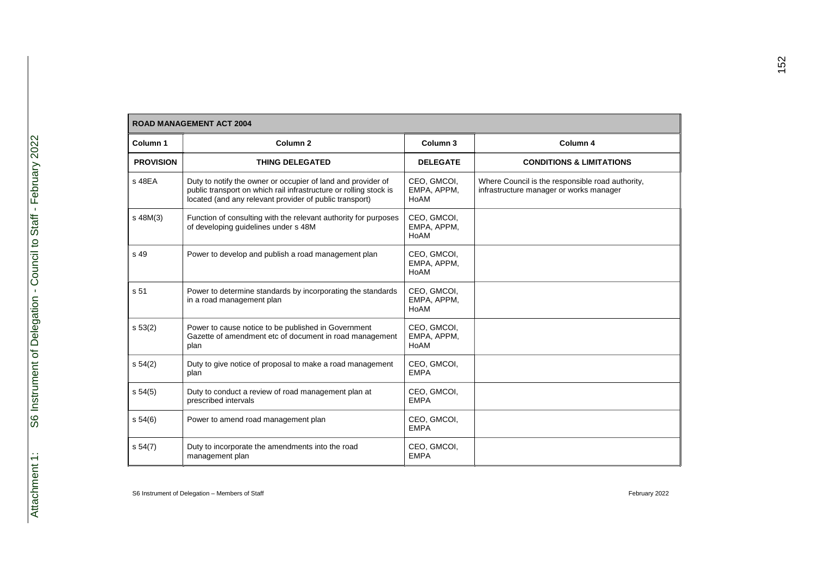|                  | <b>ROAD MANAGEMENT ACT 2004</b>                                                                                                                                                              |                                    |                                                                                             |
|------------------|----------------------------------------------------------------------------------------------------------------------------------------------------------------------------------------------|------------------------------------|---------------------------------------------------------------------------------------------|
| Column 1         | Column <sub>2</sub>                                                                                                                                                                          | Column 3                           | Column 4                                                                                    |
| <b>PROVISION</b> | <b>THING DELEGATED</b>                                                                                                                                                                       | <b>DELEGATE</b>                    | <b>CONDITIONS &amp; LIMITATIONS</b>                                                         |
| s 48EA           | Duty to notify the owner or occupier of land and provider of<br>public transport on which rail infrastructure or rolling stock is<br>located (and any relevant provider of public transport) | CEO, GMCOI,<br>EMPA, APPM,<br>HoAM | Where Council is the responsible road authority,<br>infrastructure manager or works manager |
| s 48M(3)         | Function of consulting with the relevant authority for purposes<br>of developing quidelines under s 48M                                                                                      | CEO, GMCOI,<br>EMPA, APPM,<br>HoAM |                                                                                             |
| s 49             | Power to develop and publish a road management plan                                                                                                                                          | CEO, GMCOI,<br>EMPA, APPM,<br>HoAM |                                                                                             |
| s 51             | Power to determine standards by incorporating the standards<br>in a road management plan                                                                                                     | CEO, GMCOI,<br>EMPA, APPM,<br>HoAM |                                                                                             |
| s 53(2)          | Power to cause notice to be published in Government<br>Gazette of amendment etc of document in road management<br>plan                                                                       | CEO, GMCOI,<br>EMPA, APPM,<br>HoAM |                                                                                             |
| s 54(2)          | Duty to give notice of proposal to make a road management<br>plan                                                                                                                            | CEO, GMCOI,<br><b>EMPA</b>         |                                                                                             |
| s 54(5)          | Duty to conduct a review of road management plan at<br>prescribed intervals                                                                                                                  | CEO, GMCOI,<br><b>EMPA</b>         |                                                                                             |
| s 54(6)          | Power to amend road management plan                                                                                                                                                          | CEO, GMCOI,<br><b>EMPA</b>         |                                                                                             |
| s 54(7)          | Duty to incorporate the amendments into the road<br>management plan                                                                                                                          | CEO, GMCOI,<br><b>EMPA</b>         |                                                                                             |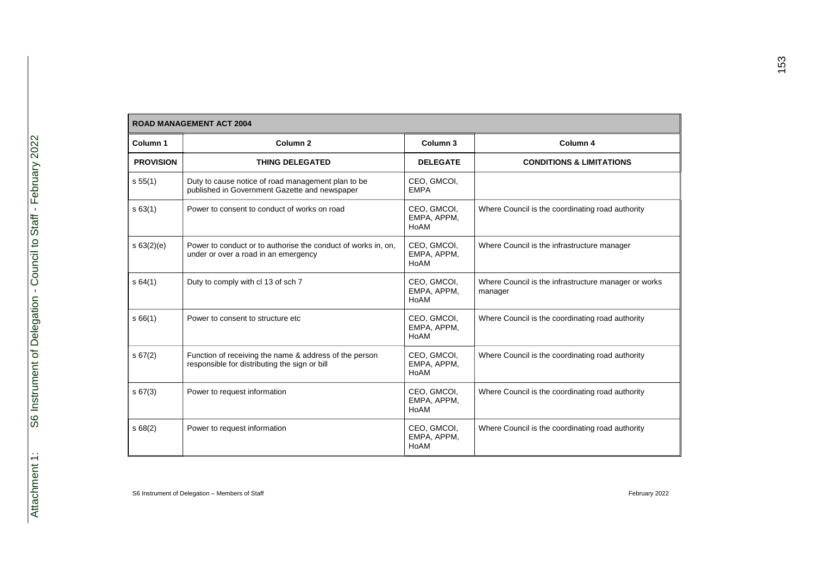|                  | <b>ROAD MANAGEMENT ACT 2004</b>                                                                         |                                    |                                                                 |
|------------------|---------------------------------------------------------------------------------------------------------|------------------------------------|-----------------------------------------------------------------|
| Column 1         | Column <sub>2</sub>                                                                                     | Column <sub>3</sub>                | Column 4                                                        |
| <b>PROVISION</b> | <b>THING DELEGATED</b>                                                                                  | <b>DELEGATE</b>                    | <b>CONDITIONS &amp; LIMITATIONS</b>                             |
| s 55(1)          | Duty to cause notice of road management plan to be<br>published in Government Gazette and newspaper     | CEO, GMCOI,<br><b>EMPA</b>         |                                                                 |
| s63(1)           | Power to consent to conduct of works on road                                                            | CEO, GMCOI,<br>EMPA, APPM,<br>HoAM | Where Council is the coordinating road authority                |
| s 63(2)(e)       | Power to conduct or to authorise the conduct of works in, on,<br>under or over a road in an emergency   | CEO, GMCOI,<br>EMPA, APPM,<br>HoAM | Where Council is the infrastructure manager                     |
| s64(1)           | Duty to comply with cl 13 of sch 7                                                                      | CEO, GMCOI,<br>EMPA, APPM,<br>HoAM | Where Council is the infrastructure manager or works<br>manager |
| s66(1)           | Power to consent to structure etc.                                                                      | CEO, GMCOI,<br>EMPA, APPM,<br>HoAM | Where Council is the coordinating road authority                |
| s 67(2)          | Function of receiving the name & address of the person<br>responsible for distributing the sign or bill | CEO, GMCOI,<br>EMPA, APPM,<br>HoAM | Where Council is the coordinating road authority                |
| s 67(3)          | Power to request information                                                                            | CEO, GMCOI,<br>EMPA, APPM,<br>HoAM | Where Council is the coordinating road authority                |
| s68(2)           | Power to request information                                                                            | CEO, GMCOI,<br>EMPA, APPM,<br>HoAM | Where Council is the coordinating road authority                |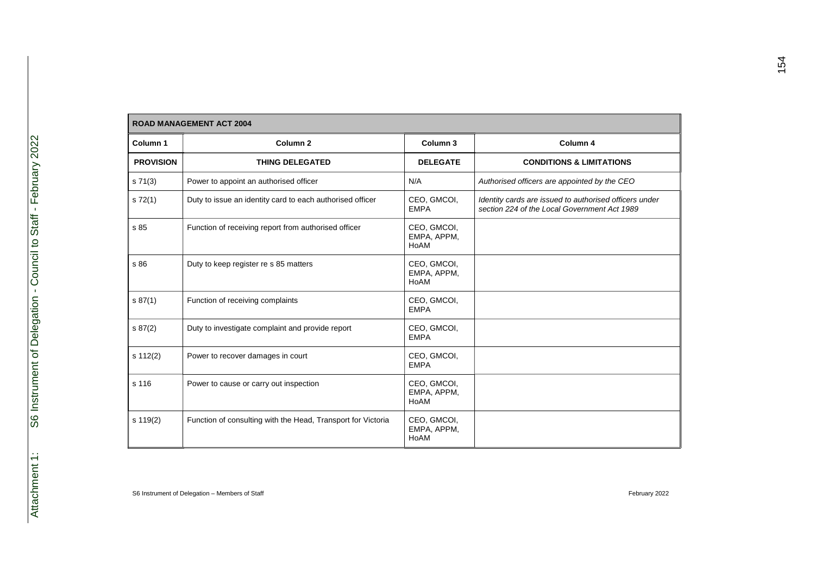|                  | <b>ROAD MANAGEMENT ACT 2004</b>                              |                                    |                                                                                                        |
|------------------|--------------------------------------------------------------|------------------------------------|--------------------------------------------------------------------------------------------------------|
| Column 1         | Column <sub>2</sub>                                          | Column 3                           | Column 4                                                                                               |
| <b>PROVISION</b> | <b>THING DELEGATED</b>                                       | <b>DELEGATE</b>                    | <b>CONDITIONS &amp; LIMITATIONS</b>                                                                    |
| s 71(3)          | Power to appoint an authorised officer                       | N/A                                | Authorised officers are appointed by the CEO                                                           |
| s 72(1)          | Duty to issue an identity card to each authorised officer    | CEO, GMCOI,<br><b>EMPA</b>         | Identity cards are issued to authorised officers under<br>section 224 of the Local Government Act 1989 |
| s 85             | Function of receiving report from authorised officer         | CEO, GMCOI,<br>EMPA, APPM,<br>HoAM |                                                                                                        |
| s 86             | Duty to keep register re s 85 matters                        | CEO, GMCOI,<br>EMPA, APPM,<br>HoAM |                                                                                                        |
| s 87(1)          | Function of receiving complaints                             | CEO, GMCOI,<br><b>EMPA</b>         |                                                                                                        |
| \$87(2)          | Duty to investigate complaint and provide report             | CEO, GMCOI,<br><b>EMPA</b>         |                                                                                                        |
| s 112(2)         | Power to recover damages in court                            | CEO, GMCOI,<br><b>EMPA</b>         |                                                                                                        |
| s 116            | Power to cause or carry out inspection                       | CEO, GMCOI,<br>EMPA, APPM,<br>HoAM |                                                                                                        |
| s 119(2)         | Function of consulting with the Head, Transport for Victoria | CEO, GMCOI,<br>EMPA, APPM,<br>HoAM |                                                                                                        |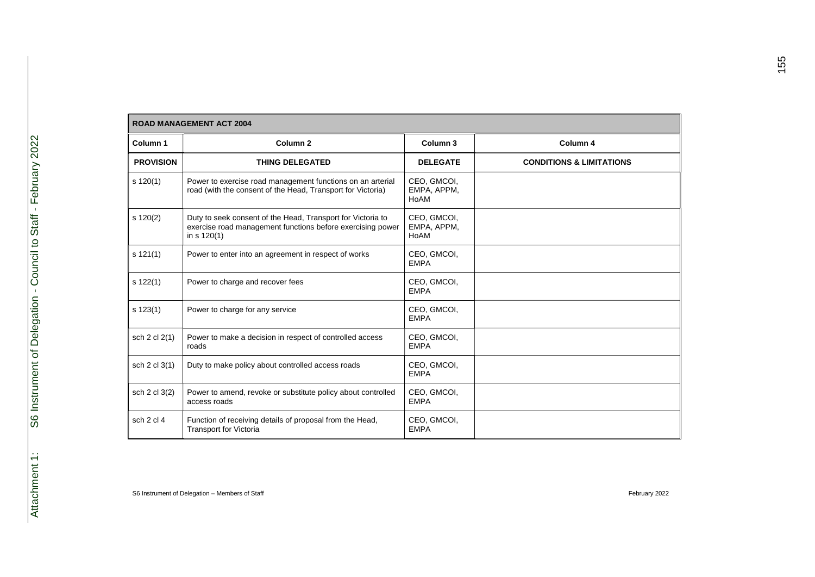|                  | <b>ROAD MANAGEMENT ACT 2004</b>                                                                                                              |                                    |                                     |
|------------------|----------------------------------------------------------------------------------------------------------------------------------------------|------------------------------------|-------------------------------------|
| Column 1         | Column <sub>2</sub>                                                                                                                          | Column 3                           | Column 4                            |
| <b>PROVISION</b> | <b>THING DELEGATED</b>                                                                                                                       | <b>DELEGATE</b>                    | <b>CONDITIONS &amp; LIMITATIONS</b> |
| $s$ 120(1)       | Power to exercise road management functions on an arterial<br>road (with the consent of the Head, Transport for Victoria)                    | CEO, GMCOI,<br>EMPA, APPM,<br>HoAM |                                     |
| $s$ 120(2)       | Duty to seek consent of the Head, Transport for Victoria to<br>exercise road management functions before exercising power<br>in $s \ 120(1)$ | CEO, GMCOI,<br>EMPA, APPM,<br>HoAM |                                     |
| s 121(1)         | Power to enter into an agreement in respect of works                                                                                         | CEO, GMCOI,<br><b>EMPA</b>         |                                     |
| $s$ 122(1)       | Power to charge and recover fees                                                                                                             | CEO, GMCOI,<br><b>EMPA</b>         |                                     |
| $s$ 123(1)       | Power to charge for any service                                                                                                              | CEO, GMCOI,<br><b>EMPA</b>         |                                     |
| sch 2 cl 2(1)    | Power to make a decision in respect of controlled access<br>roads                                                                            | CEO, GMCOI,<br><b>EMPA</b>         |                                     |
| sch 2 cl 3(1)    | Duty to make policy about controlled access roads                                                                                            | CEO, GMCOI,<br><b>EMPA</b>         |                                     |
| sch 2 cl 3(2)    | Power to amend, revoke or substitute policy about controlled<br>access roads                                                                 | CEO, GMCOI,<br><b>EMPA</b>         |                                     |
| sch 2 cl 4       | Function of receiving details of proposal from the Head,<br><b>Transport for Victoria</b>                                                    | CEO, GMCOI,<br><b>EMPA</b>         |                                     |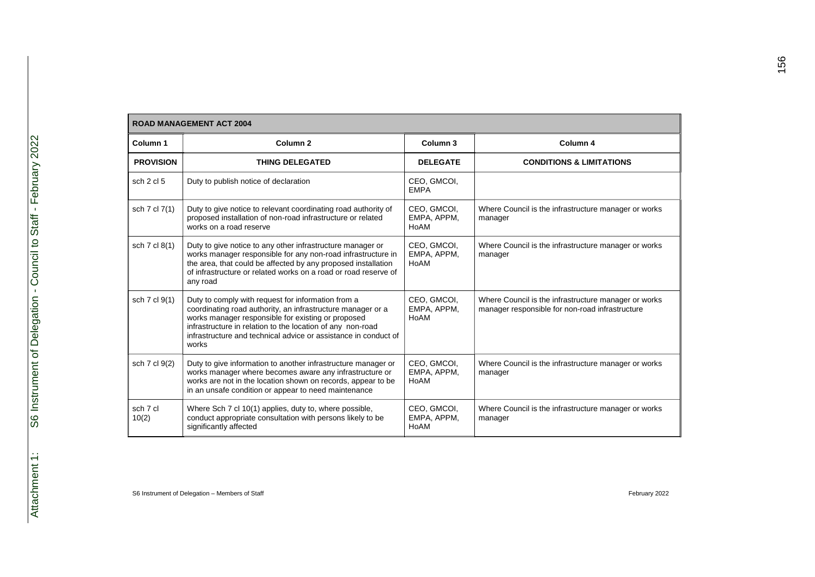## **ROAD MANAGEMENT ACT 2004**

| Column <sub>1</sub> | Column <sub>2</sub>                                                                                                                                                                                                                                                                                               | Column <sub>3</sub>                | Column 4                                                                                                |
|---------------------|-------------------------------------------------------------------------------------------------------------------------------------------------------------------------------------------------------------------------------------------------------------------------------------------------------------------|------------------------------------|---------------------------------------------------------------------------------------------------------|
| <b>PROVISION</b>    | <b>THING DELEGATED</b>                                                                                                                                                                                                                                                                                            | <b>DELEGATE</b>                    | <b>CONDITIONS &amp; LIMITATIONS</b>                                                                     |
| sch 2 cl 5          | Duty to publish notice of declaration                                                                                                                                                                                                                                                                             | CEO, GMCOI,<br><b>EMPA</b>         |                                                                                                         |
| sch 7 cl 7(1)       | Duty to give notice to relevant coordinating road authority of<br>proposed installation of non-road infrastructure or related<br>works on a road reserve                                                                                                                                                          | CEO, GMCOI,<br>EMPA, APPM,<br>HoAM | Where Council is the infrastructure manager or works<br>manager                                         |
| sch 7 cl 8(1)       | Duty to give notice to any other infrastructure manager or<br>works manager responsible for any non-road infrastructure in<br>the area, that could be affected by any proposed installation<br>of infrastructure or related works on a road or road reserve of<br>any road                                        | CEO, GMCOI,<br>EMPA, APPM,<br>HoAM | Where Council is the infrastructure manager or works<br>manager                                         |
| sch 7 cl 9(1)       | Duty to comply with request for information from a<br>coordinating road authority, an infrastructure manager or a<br>works manager responsible for existing or proposed<br>infrastructure in relation to the location of any non-road<br>infrastructure and technical advice or assistance in conduct of<br>works | CEO, GMCOI,<br>EMPA, APPM,<br>HoAM | Where Council is the infrastructure manager or works<br>manager responsible for non-road infrastructure |
| sch 7 cl 9(2)       | Duty to give information to another infrastructure manager or<br>works manager where becomes aware any infrastructure or<br>works are not in the location shown on records, appear to be<br>in an unsafe condition or appear to need maintenance                                                                  | CEO, GMCOI,<br>EMPA, APPM,<br>HoAM | Where Council is the infrastructure manager or works<br>manager                                         |
| sch 7 cl<br>10(2)   | Where Sch 7 cl 10(1) applies, duty to, where possible,<br>conduct appropriate consultation with persons likely to be<br>significantly affected                                                                                                                                                                    | CEO, GMCOI,<br>EMPA, APPM,<br>HoAM | Where Council is the infrastructure manager or works<br>manager                                         |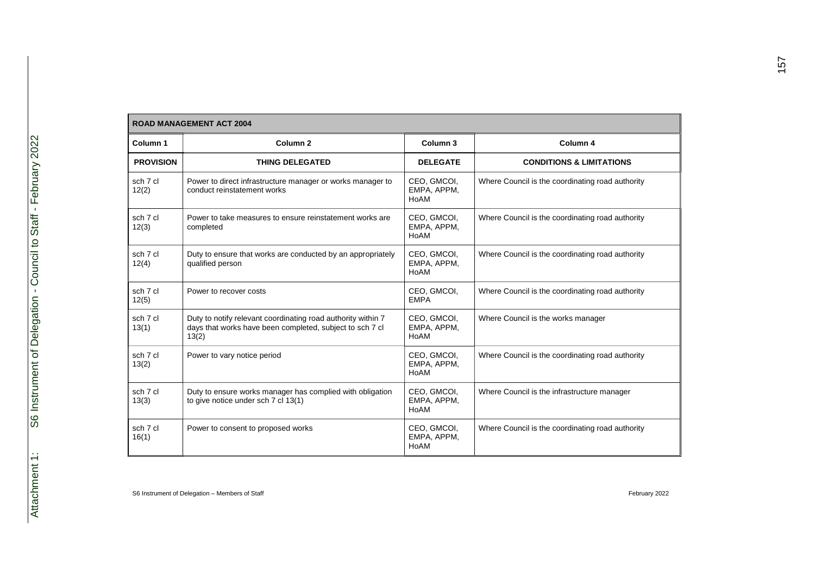|--|

| RUAD MANAGEMENT ACT 2004 |                                                                                                                                   |                                    |                                                  |  |
|--------------------------|-----------------------------------------------------------------------------------------------------------------------------------|------------------------------------|--------------------------------------------------|--|
| Column 1                 | Column <sub>2</sub>                                                                                                               | Column <sub>3</sub>                | Column 4                                         |  |
| <b>PROVISION</b>         | <b>THING DELEGATED</b>                                                                                                            | <b>DELEGATE</b>                    | <b>CONDITIONS &amp; LIMITATIONS</b>              |  |
| sch 7 cl<br>12(2)        | Power to direct infrastructure manager or works manager to<br>conduct reinstatement works                                         | CEO, GMCOI,<br>EMPA, APPM,<br>HoAM | Where Council is the coordinating road authority |  |
| sch 7 cl<br>12(3)        | Power to take measures to ensure reinstatement works are<br>completed                                                             | CEO, GMCOI,<br>EMPA, APPM,<br>HoAM | Where Council is the coordinating road authority |  |
| sch 7 cl<br>12(4)        | Duty to ensure that works are conducted by an appropriately<br>qualified person                                                   | CEO, GMCOI,<br>EMPA, APPM,<br>HoAM | Where Council is the coordinating road authority |  |
| sch 7 cl<br>12(5)        | Power to recover costs                                                                                                            | CEO, GMCOI,<br><b>EMPA</b>         | Where Council is the coordinating road authority |  |
| sch 7 cl<br>13(1)        | Duty to notify relevant coordinating road authority within 7<br>days that works have been completed, subject to sch 7 cl<br>13(2) | CEO, GMCOI,<br>EMPA, APPM,<br>HoAM | Where Council is the works manager               |  |
| sch 7 cl<br>13(2)        | Power to vary notice period                                                                                                       | CEO, GMCOI,<br>EMPA, APPM,<br>HoAM | Where Council is the coordinating road authority |  |
| sch 7 cl<br>13(3)        | Duty to ensure works manager has complied with obligation<br>to give notice under sch 7 cl 13(1)                                  | CEO, GMCOI,<br>EMPA, APPM,<br>HoAM | Where Council is the infrastructure manager      |  |
| sch 7 cl<br>16(1)        | Power to consent to proposed works                                                                                                | CEO, GMCOI,<br>EMPA, APPM,<br>HoAM | Where Council is the coordinating road authority |  |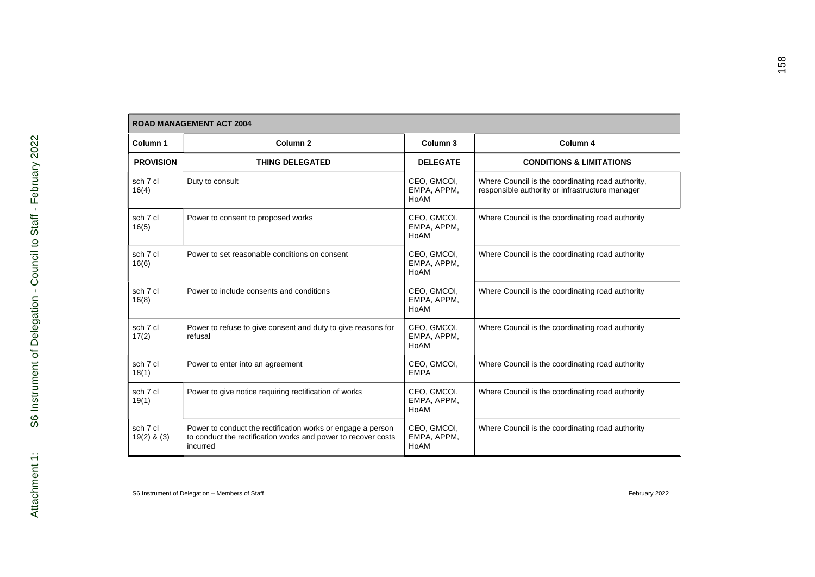| Column 1                    | Column <sub>2</sub>                                                                                                                      | Column <sub>3</sub>                | Column 4                                                                                             |
|-----------------------------|------------------------------------------------------------------------------------------------------------------------------------------|------------------------------------|------------------------------------------------------------------------------------------------------|
| <b>PROVISION</b>            | <b>THING DELEGATED</b>                                                                                                                   | <b>DELEGATE</b>                    | <b>CONDITIONS &amp; LIMITATIONS</b>                                                                  |
| sch 7 cl<br>16(4)           | Duty to consult                                                                                                                          | CEO, GMCOI,<br>EMPA, APPM,<br>HoAM | Where Council is the coordinating road authority,<br>responsible authority or infrastructure manager |
| sch 7 cl<br>16(5)           | Power to consent to proposed works                                                                                                       | CEO, GMCOI,<br>EMPA, APPM,<br>HoAM | Where Council is the coordinating road authority                                                     |
| sch 7 cl<br>16(6)           | Power to set reasonable conditions on consent                                                                                            | CEO, GMCOI,<br>EMPA, APPM,<br>HoAM | Where Council is the coordinating road authority                                                     |
| sch 7 cl<br>16(8)           | Power to include consents and conditions                                                                                                 | CEO, GMCOI,<br>EMPA, APPM,<br>HoAM | Where Council is the coordinating road authority                                                     |
| sch 7 cl<br>17(2)           | Power to refuse to give consent and duty to give reasons for<br>refusal                                                                  | CEO, GMCOI,<br>EMPA, APPM,<br>HoAM | Where Council is the coordinating road authority                                                     |
| sch 7 cl<br>18(1)           | Power to enter into an agreement                                                                                                         | CEO, GMCOI,<br><b>EMPA</b>         | Where Council is the coordinating road authority                                                     |
| sch 7 cl<br>19(1)           | Power to give notice requiring rectification of works                                                                                    | CEO, GMCOI,<br>EMPA, APPM,<br>HoAM | Where Council is the coordinating road authority                                                     |
| sch 7 cl<br>$19(2)$ & $(3)$ | Power to conduct the rectification works or engage a person<br>to conduct the rectification works and power to recover costs<br>incurred | CEO, GMCOI,<br>EMPA, APPM,<br>HoAM | Where Council is the coordinating road authority                                                     |

г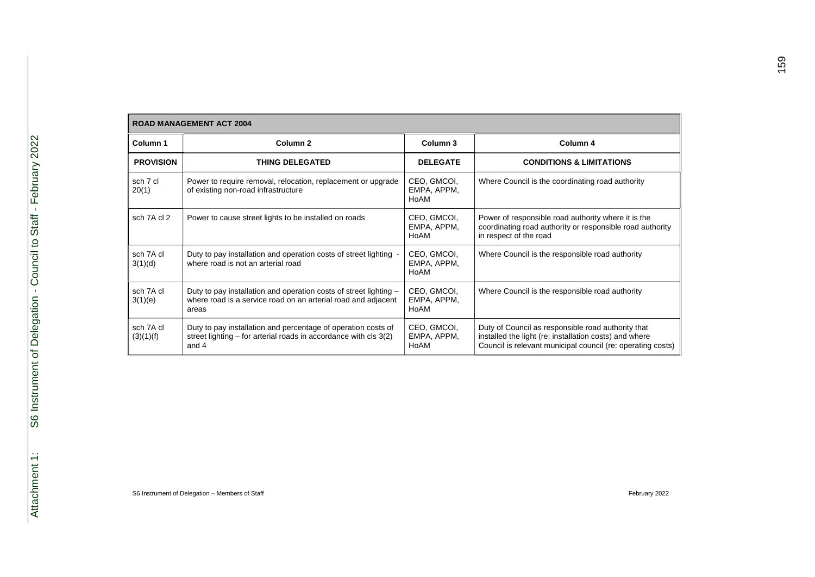|                        | <b>ROAD MANAGEMENT ACT 2004</b>                                                                                                             |                                    |                                                                                                                                                                             |  |  |
|------------------------|---------------------------------------------------------------------------------------------------------------------------------------------|------------------------------------|-----------------------------------------------------------------------------------------------------------------------------------------------------------------------------|--|--|
| Column 1               | Column <sub>2</sub>                                                                                                                         | Column 3                           | Column 4                                                                                                                                                                    |  |  |
| <b>PROVISION</b>       | <b>THING DELEGATED</b>                                                                                                                      | <b>DELEGATE</b>                    | <b>CONDITIONS &amp; LIMITATIONS</b>                                                                                                                                         |  |  |
| sch 7 cl<br>20(1)      | Power to require removal, relocation, replacement or upgrade<br>of existing non-road infrastructure                                         | CEO, GMCOI,<br>EMPA, APPM,<br>HoAM | Where Council is the coordinating road authority                                                                                                                            |  |  |
| sch 7A cl 2            | Power to cause street lights to be installed on roads                                                                                       | CEO, GMCOI,<br>EMPA, APPM,<br>HoAM | Power of responsible road authority where it is the<br>coordinating road authority or responsible road authority<br>in respect of the road                                  |  |  |
| sch 7A cl<br>3(1)(d)   | Duty to pay installation and operation costs of street lighting -<br>where road is not an arterial road                                     | CEO, GMCOI,<br>EMPA, APPM,<br>HoAM | Where Council is the responsible road authority                                                                                                                             |  |  |
| sch 7A cl<br>3(1)(e)   | Duty to pay installation and operation costs of street lighting -<br>where road is a service road on an arterial road and adjacent<br>areas | CEO, GMCOI,<br>EMPA, APPM,<br>HoAM | Where Council is the responsible road authority                                                                                                                             |  |  |
| sch 7A cl<br>(3)(1)(f) | Duty to pay installation and percentage of operation costs of<br>street lighting – for arterial roads in accordance with cls 3(2)<br>and 4  | CEO, GMCOI,<br>EMPA, APPM,<br>HoAM | Duty of Council as responsible road authority that<br>installed the light (re: installation costs) and where<br>Council is relevant municipal council (re: operating costs) |  |  |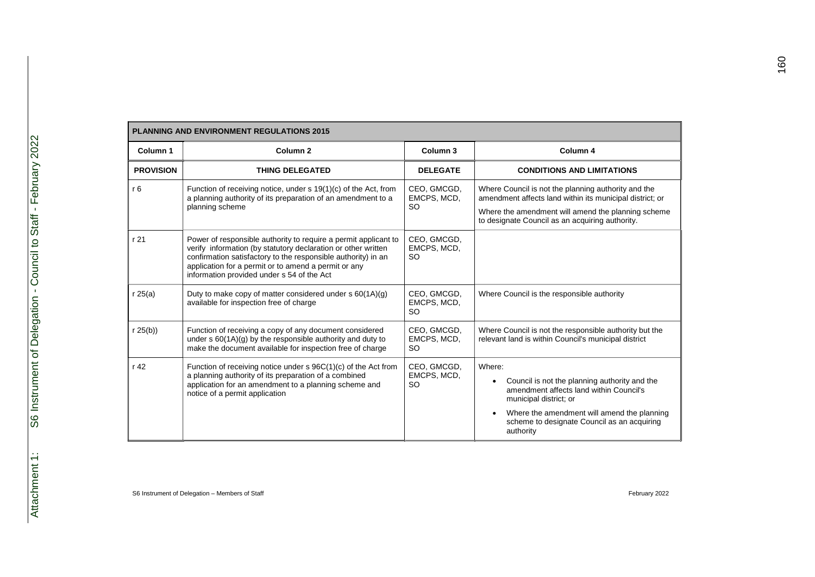| <b>PLANNING AND ENVIRONMENT REGULATIONS 2015</b> |                                                                                                                                                                                                                                                                                                         |                                         |                                                                                                                                                                                                                                              |  |
|--------------------------------------------------|---------------------------------------------------------------------------------------------------------------------------------------------------------------------------------------------------------------------------------------------------------------------------------------------------------|-----------------------------------------|----------------------------------------------------------------------------------------------------------------------------------------------------------------------------------------------------------------------------------------------|--|
| Column 1                                         | Column <sub>2</sub>                                                                                                                                                                                                                                                                                     | Column 3                                | Column 4                                                                                                                                                                                                                                     |  |
| <b>PROVISION</b>                                 | <b>THING DELEGATED</b>                                                                                                                                                                                                                                                                                  | <b>DELEGATE</b>                         | <b>CONDITIONS AND LIMITATIONS</b>                                                                                                                                                                                                            |  |
| r6                                               | Function of receiving notice, under s 19(1)(c) of the Act, from<br>a planning authority of its preparation of an amendment to a<br>planning scheme                                                                                                                                                      | CEO, GMCGD,<br>EMCPS, MCD,<br><b>SO</b> | Where Council is not the planning authority and the<br>amendment affects land within its municipal district; or<br>Where the amendment will amend the planning scheme<br>to designate Council as an acquiring authority.                     |  |
| r 21                                             | Power of responsible authority to require a permit applicant to<br>verify information (by statutory declaration or other written<br>confirmation satisfactory to the responsible authority) in an<br>application for a permit or to amend a permit or any<br>information provided under s 54 of the Act | CEO, GMCGD,<br>EMCPS, MCD,<br><b>SO</b> |                                                                                                                                                                                                                                              |  |
| r25(a)                                           | Duty to make copy of matter considered under $s 60(1A)(g)$<br>available for inspection free of charge                                                                                                                                                                                                   | CEO, GMCGD,<br>EMCPS, MCD,<br><b>SO</b> | Where Council is the responsible authority                                                                                                                                                                                                   |  |
| r 25(b)                                          | Function of receiving a copy of any document considered<br>under $s 60(1A)(g)$ by the responsible authority and duty to<br>make the document available for inspection free of charge                                                                                                                    | CEO, GMCGD,<br>EMCPS, MCD,<br><b>SO</b> | Where Council is not the responsible authority but the<br>relevant land is within Council's municipal district                                                                                                                               |  |
| r 42                                             | Function of receiving notice under s 96C(1)(c) of the Act from<br>a planning authority of its preparation of a combined<br>application for an amendment to a planning scheme and<br>notice of a permit application                                                                                      | CEO, GMCGD,<br>EMCPS, MCD,<br><b>SO</b> | Where:<br>Council is not the planning authority and the<br>٠<br>amendment affects land within Council's<br>municipal district; or<br>Where the amendment will amend the planning<br>scheme to designate Council as an acquiring<br>authority |  |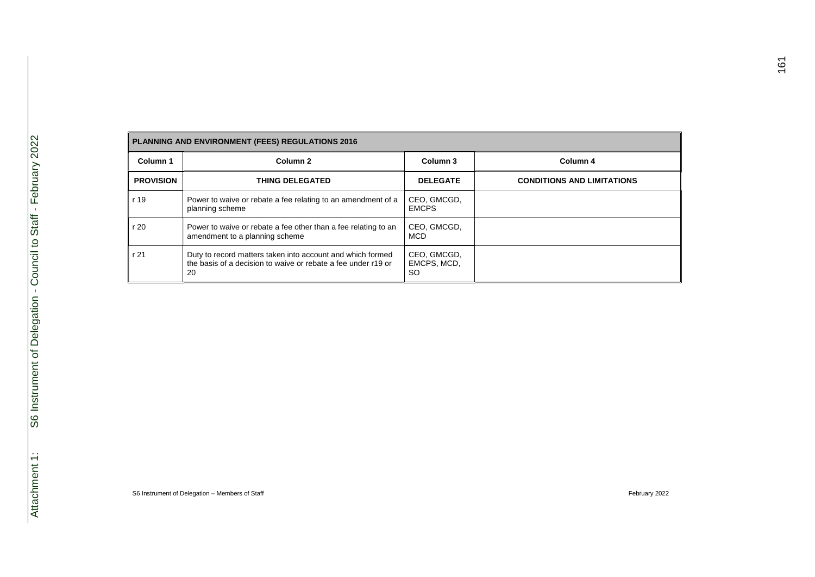|                  | PLANNING AND ENVIRONMENT (FEES) REGULATIONS 2016                                                                                  |                                         |                                   |  |  |
|------------------|-----------------------------------------------------------------------------------------------------------------------------------|-----------------------------------------|-----------------------------------|--|--|
| Column 1         | Column <sub>2</sub>                                                                                                               | Column 3                                | Column 4                          |  |  |
| <b>PROVISION</b> | <b>THING DELEGATED</b>                                                                                                            | <b>DELEGATE</b>                         | <b>CONDITIONS AND LIMITATIONS</b> |  |  |
| r 19             | Power to waive or rebate a fee relating to an amendment of a<br>planning scheme                                                   | CEO, GMCGD,<br><b>EMCPS</b>             |                                   |  |  |
| r 20             | Power to waive or rebate a fee other than a fee relating to an<br>amendment to a planning scheme                                  | CEO, GMCGD,<br><b>MCD</b>               |                                   |  |  |
| r 21             | Duty to record matters taken into account and which formed<br>the basis of a decision to waive or rebate a fee under r19 or<br>20 | CEO, GMCGD,<br>EMCPS, MCD,<br><b>SO</b> |                                   |  |  |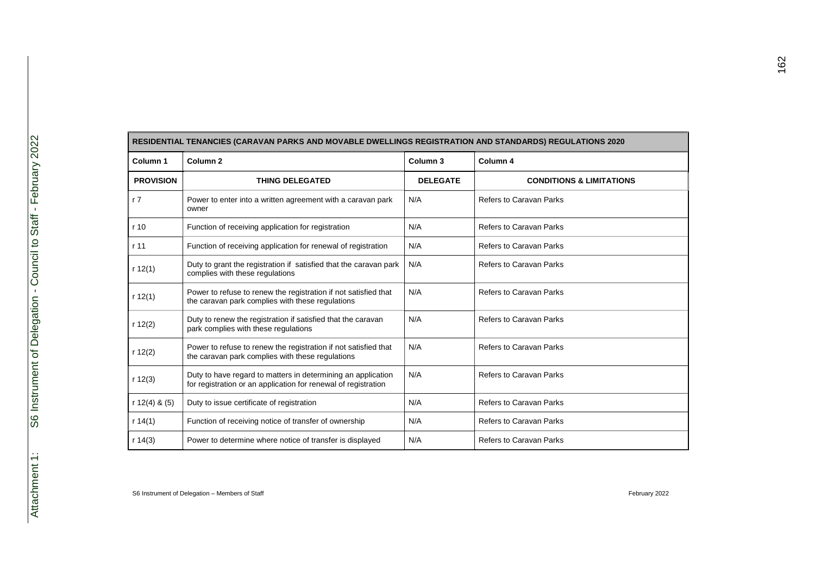| RESIDENTIAL TENANCIES (CARAVAN PARKS AND MOVABLE DWELLINGS REGISTRATION AND STANDARDS) REGULATIONS 2020 |                                                                                                                                |                     |                                     |  |
|---------------------------------------------------------------------------------------------------------|--------------------------------------------------------------------------------------------------------------------------------|---------------------|-------------------------------------|--|
| Column 1                                                                                                | Column <sub>2</sub>                                                                                                            | Column <sub>3</sub> | Column 4                            |  |
| <b>PROVISION</b>                                                                                        | <b>THING DELEGATED</b>                                                                                                         | <b>DELEGATE</b>     | <b>CONDITIONS &amp; LIMITATIONS</b> |  |
| r <sub>7</sub>                                                                                          | Power to enter into a written agreement with a caravan park<br>owner                                                           | N/A                 | Refers to Caravan Parks             |  |
| r <sub>10</sub>                                                                                         | Function of receiving application for registration                                                                             | N/A                 | <b>Refers to Caravan Parks</b>      |  |
| r 11                                                                                                    | Function of receiving application for renewal of registration                                                                  | N/A                 | <b>Refers to Caravan Parks</b>      |  |
| r 12(1)                                                                                                 | Duty to grant the registration if satisfied that the caravan park<br>complies with these regulations                           | N/A                 | <b>Refers to Caravan Parks</b>      |  |
| r 12(1)                                                                                                 | Power to refuse to renew the registration if not satisfied that<br>the caravan park complies with these regulations            | N/A                 | <b>Refers to Caravan Parks</b>      |  |
| r 12(2)                                                                                                 | Duty to renew the registration if satisfied that the caravan<br>park complies with these regulations                           | N/A                 | <b>Refers to Caravan Parks</b>      |  |
| r $12(2)$                                                                                               | Power to refuse to renew the registration if not satisfied that<br>the caravan park complies with these regulations            | N/A                 | <b>Refers to Caravan Parks</b>      |  |
| r 12(3)                                                                                                 | Duty to have regard to matters in determining an application<br>for registration or an application for renewal of registration | N/A                 | <b>Refers to Caravan Parks</b>      |  |
| r $12(4)$ & $(5)$                                                                                       | Duty to issue certificate of registration                                                                                      | N/A                 | <b>Refers to Caravan Parks</b>      |  |
| r 14(1)                                                                                                 | Function of receiving notice of transfer of ownership                                                                          | N/A                 | <b>Refers to Caravan Parks</b>      |  |
| r 14(3)                                                                                                 | Power to determine where notice of transfer is displayed                                                                       | N/A                 | Refers to Caravan Parks             |  |

Е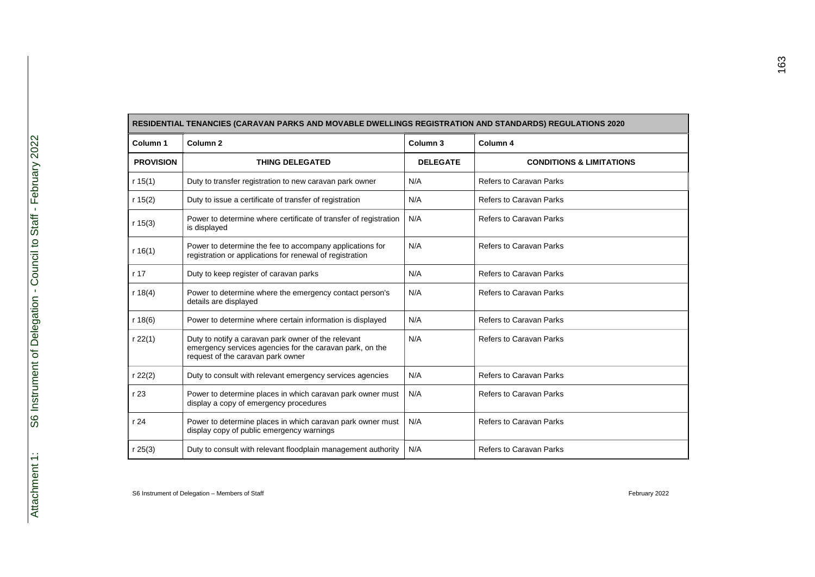| RESIDENTIAL TENANCIES (CARAVAN PARKS AND MOVABLE DWELLINGS REGISTRATION AND STANDARDS) REGULATIONS 2020 |                                                                                                                                                      |                     |                                     |  |
|---------------------------------------------------------------------------------------------------------|------------------------------------------------------------------------------------------------------------------------------------------------------|---------------------|-------------------------------------|--|
| Column 1                                                                                                | Column <sub>2</sub>                                                                                                                                  | Column <sub>3</sub> | Column 4                            |  |
| <b>PROVISION</b>                                                                                        | <b>THING DELEGATED</b>                                                                                                                               | <b>DELEGATE</b>     | <b>CONDITIONS &amp; LIMITATIONS</b> |  |
| r $15(1)$                                                                                               | Duty to transfer registration to new caravan park owner                                                                                              | N/A                 | <b>Refers to Caravan Parks</b>      |  |
| r 15(2)                                                                                                 | Duty to issue a certificate of transfer of registration                                                                                              | N/A                 | <b>Refers to Caravan Parks</b>      |  |
| r 15(3)                                                                                                 | Power to determine where certificate of transfer of registration<br>is displayed                                                                     | N/A                 | <b>Refers to Caravan Parks</b>      |  |
| r $16(1)$                                                                                               | Power to determine the fee to accompany applications for<br>registration or applications for renewal of registration                                 | N/A                 | <b>Refers to Caravan Parks</b>      |  |
| r 17                                                                                                    | Duty to keep register of caravan parks                                                                                                               | N/A                 | <b>Refers to Caravan Parks</b>      |  |
| r $18(4)$                                                                                               | Power to determine where the emergency contact person's<br>details are displayed                                                                     | N/A                 | <b>Refers to Caravan Parks</b>      |  |
| r 18(6)                                                                                                 | Power to determine where certain information is displayed                                                                                            | N/A                 | <b>Refers to Caravan Parks</b>      |  |
| $r$ 22(1)                                                                                               | Duty to notify a caravan park owner of the relevant<br>emergency services agencies for the caravan park, on the<br>request of the caravan park owner | N/A                 | <b>Refers to Caravan Parks</b>      |  |
| $r$ 22(2)                                                                                               | Duty to consult with relevant emergency services agencies                                                                                            | N/A                 | <b>Refers to Caravan Parks</b>      |  |
| r 23                                                                                                    | Power to determine places in which caravan park owner must<br>display a copy of emergency procedures                                                 | N/A                 | <b>Refers to Caravan Parks</b>      |  |
| r24                                                                                                     | Power to determine places in which caravan park owner must<br>display copy of public emergency warnings                                              | N/A                 | <b>Refers to Caravan Parks</b>      |  |
| r 25(3)                                                                                                 | Duty to consult with relevant floodplain management authority                                                                                        | N/A                 | <b>Refers to Caravan Parks</b>      |  |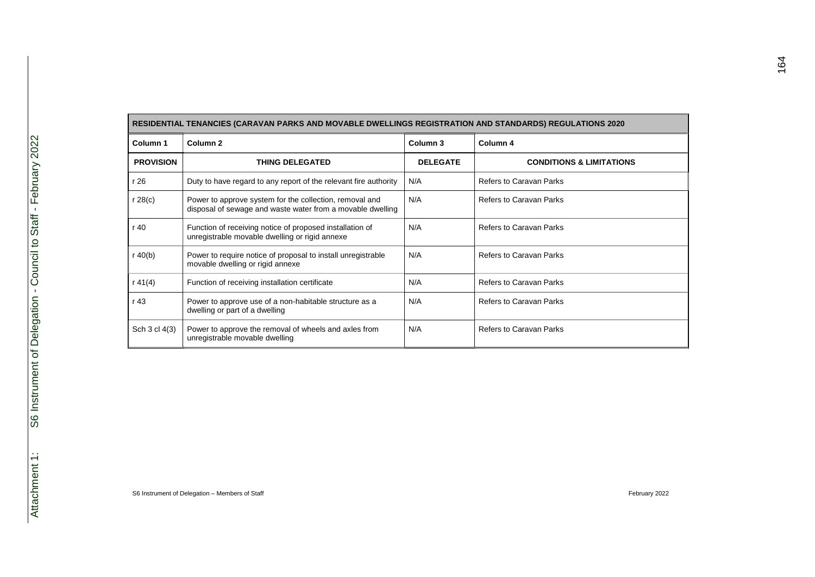| RESIDENTIAL TENANCIES (CARAVAN PARKS AND MOVABLE DWELLINGS REGISTRATION AND STANDARDS) REGULATIONS 2020 |                                                                                                                       |                     |                                     |  |  |
|---------------------------------------------------------------------------------------------------------|-----------------------------------------------------------------------------------------------------------------------|---------------------|-------------------------------------|--|--|
| Column 1                                                                                                | Column <sub>2</sub>                                                                                                   | Column <sub>3</sub> | Column 4                            |  |  |
| <b>PROVISION</b>                                                                                        | <b>THING DELEGATED</b>                                                                                                | <b>DELEGATE</b>     | <b>CONDITIONS &amp; LIMITATIONS</b> |  |  |
| r 26                                                                                                    | Duty to have regard to any report of the relevant fire authority                                                      | N/A                 | <b>Refers to Caravan Parks</b>      |  |  |
| $r$ 28(c)                                                                                               | Power to approve system for the collection, removal and<br>disposal of sewage and waste water from a movable dwelling | N/A                 | <b>Refers to Caravan Parks</b>      |  |  |
| r 40                                                                                                    | Function of receiving notice of proposed installation of<br>unregistrable movable dwelling or rigid annexe            | N/A                 | <b>Refers to Caravan Parks</b>      |  |  |
| r $40(b)$                                                                                               | Power to require notice of proposal to install unregistrable<br>movable dwelling or rigid annexe                      | N/A                 | <b>Refers to Caravan Parks</b>      |  |  |
| r 41 $(4)$                                                                                              | Function of receiving installation certificate                                                                        | N/A                 | Refers to Caravan Parks             |  |  |
| r 43                                                                                                    | Power to approve use of a non-habitable structure as a<br>dwelling or part of a dwelling                              | N/A                 | <b>Refers to Caravan Parks</b>      |  |  |
| Sch 3 cl 4(3)                                                                                           | Power to approve the removal of wheels and axles from<br>unregistrable movable dwelling                               | N/A                 | <b>Refers to Caravan Parks</b>      |  |  |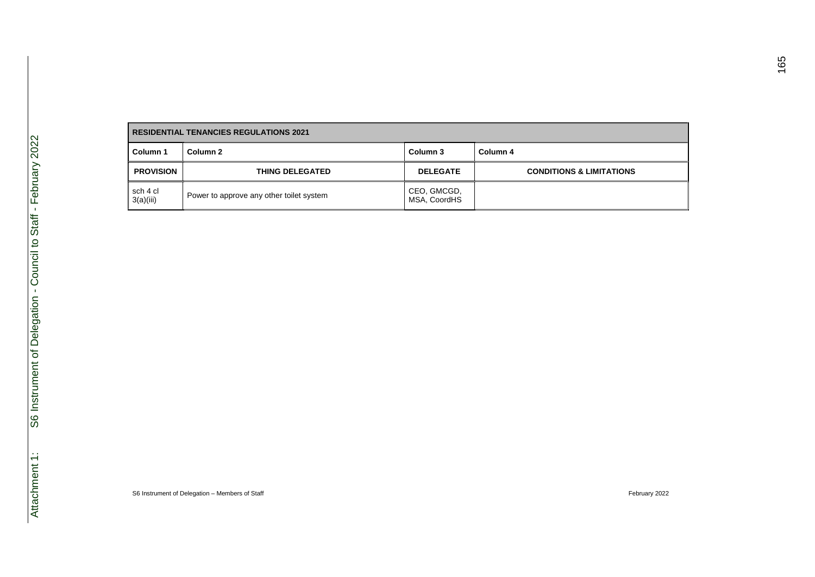| <b>RESIDENTIAL TENANCIES REGULATIONS 2021</b> |                                          |                             |                                     |
|-----------------------------------------------|------------------------------------------|-----------------------------|-------------------------------------|
| Column 1                                      | Column 2                                 | Column 3                    | Column 4                            |
| <b>PROVISION</b>                              | <b>THING DELEGATED</b>                   | <b>DELEGATE</b>             | <b>CONDITIONS &amp; LIMITATIONS</b> |
| sch 4 cl<br>3(a)(iii)                         | Power to approve any other toilet system | CEO, GMCGD,<br>MSA, CoordHS |                                     |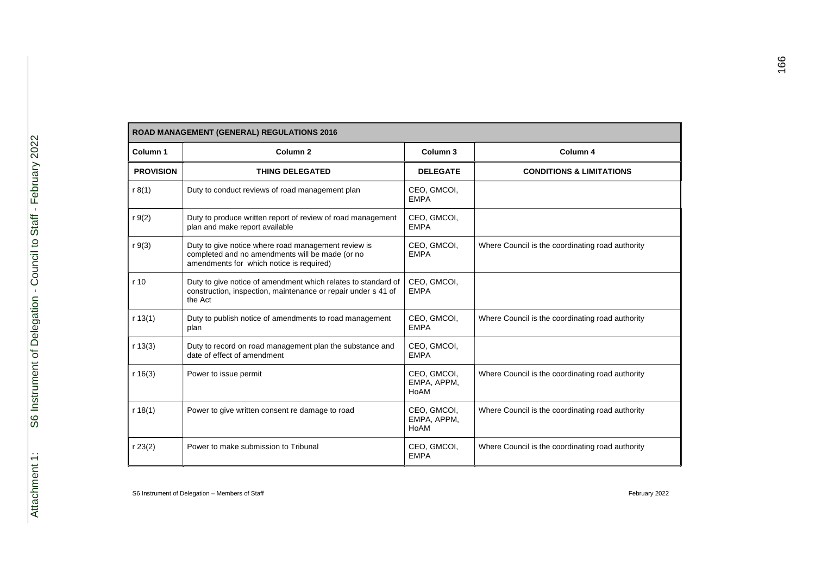| ROAD MANAGEMENT (GENERAL) REGULATIONS 2016 |                                                                                                                                                    |                                    |                                                  |  |
|--------------------------------------------|----------------------------------------------------------------------------------------------------------------------------------------------------|------------------------------------|--------------------------------------------------|--|
| Column 1                                   | Column <sub>2</sub>                                                                                                                                | Column <sub>3</sub>                | Column 4                                         |  |
| <b>PROVISION</b>                           | <b>THING DELEGATED</b>                                                                                                                             | <b>DELEGATE</b>                    | <b>CONDITIONS &amp; LIMITATIONS</b>              |  |
| r 8(1)                                     | Duty to conduct reviews of road management plan                                                                                                    | CEO, GMCOI,<br><b>EMPA</b>         |                                                  |  |
| $r \, 9(2)$                                | Duty to produce written report of review of road management<br>plan and make report available                                                      | CEO, GMCOI,<br><b>EMPA</b>         |                                                  |  |
| $r \, 9(3)$                                | Duty to give notice where road management review is<br>completed and no amendments will be made (or no<br>amendments for which notice is required) | CEO, GMCOI,<br><b>EMPA</b>         | Where Council is the coordinating road authority |  |
| r <sub>10</sub>                            | Duty to give notice of amendment which relates to standard of<br>construction, inspection, maintenance or repair under s 41 of<br>the Act          | CEO, GMCOI,<br><b>EMPA</b>         |                                                  |  |
| r 13(1)                                    | Duty to publish notice of amendments to road management<br>plan                                                                                    | CEO, GMCOI,<br><b>EMPA</b>         | Where Council is the coordinating road authority |  |
| r 13(3)                                    | Duty to record on road management plan the substance and<br>date of effect of amendment                                                            | CEO, GMCOI,<br><b>EMPA</b>         |                                                  |  |
| r 16(3)                                    | Power to issue permit                                                                                                                              | CEO, GMCOI,<br>EMPA, APPM,<br>HoAM | Where Council is the coordinating road authority |  |
| r 18(1)                                    | Power to give written consent re damage to road                                                                                                    | CEO, GMCOI,<br>EMPA, APPM,<br>HoAM | Where Council is the coordinating road authority |  |
| r 23(2)                                    | Power to make submission to Tribunal                                                                                                               | CEO, GMCOI,<br><b>EMPA</b>         | Where Council is the coordinating road authority |  |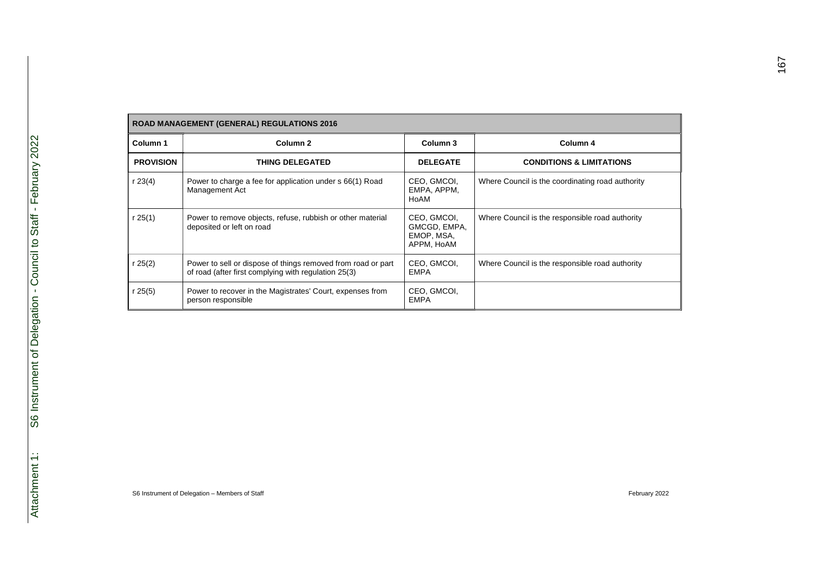| <b>ROAD MANAGEMENT (GENERAL) REGULATIONS 2016</b> |                                                                                                                      |                                                         |                                                  |  |
|---------------------------------------------------|----------------------------------------------------------------------------------------------------------------------|---------------------------------------------------------|--------------------------------------------------|--|
| Column 1                                          | Column <sub>2</sub>                                                                                                  | Column 3                                                | Column 4                                         |  |
| <b>PROVISION</b>                                  | <b>THING DELEGATED</b>                                                                                               | <b>DELEGATE</b>                                         | <b>CONDITIONS &amp; LIMITATIONS</b>              |  |
| r 23(4)                                           | Power to charge a fee for application under s 66(1) Road<br>Management Act                                           | CEO, GMCOI,<br>EMPA. APPM.<br>HoAM                      | Where Council is the coordinating road authority |  |
| r 25 $(1)$                                        | Power to remove objects, refuse, rubbish or other material<br>deposited or left on road                              | CEO, GMCOI,<br>GMCGD, EMPA,<br>EMOP, MSA,<br>APPM, HoAM | Where Council is the responsible road authority  |  |
| r 25(2)                                           | Power to sell or dispose of things removed from road or part<br>of road (after first complying with regulation 25(3) | CEO, GMCOI,<br><b>EMPA</b>                              | Where Council is the responsible road authority  |  |
| r $25(5)$                                         | Power to recover in the Magistrates' Court, expenses from<br>person responsible                                      | CEO, GMCOI,<br><b>EMPA</b>                              |                                                  |  |